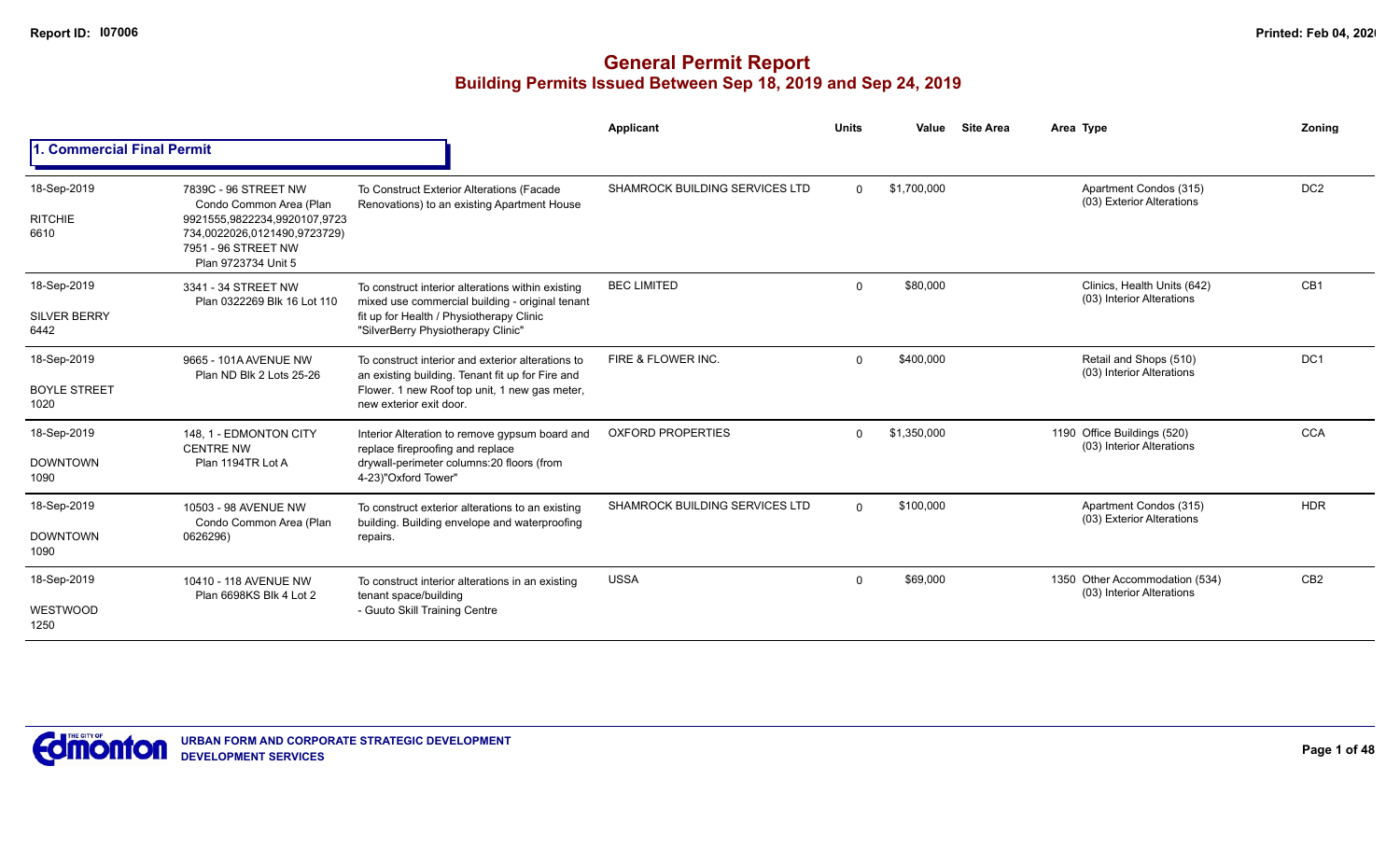|                                            |                                                                                                                                                               |                                                                                                                                                                                        | <b>Applicant</b>               | <b>Units</b> | Value       | <b>Site Area</b> | Area Type                                                   | Zonina          |
|--------------------------------------------|---------------------------------------------------------------------------------------------------------------------------------------------------------------|----------------------------------------------------------------------------------------------------------------------------------------------------------------------------------------|--------------------------------|--------------|-------------|------------------|-------------------------------------------------------------|-----------------|
| . Commercial Final Permit                  |                                                                                                                                                               |                                                                                                                                                                                        |                                |              |             |                  |                                                             |                 |
| 18-Sep-2019<br><b>RITCHIE</b><br>6610      | 7839C - 96 STREET NW<br>Condo Common Area (Plan<br>9921555,9822234,9920107,9723<br>734,0022026,0121490,9723729)<br>7951 - 96 STREET NW<br>Plan 9723734 Unit 5 | To Construct Exterior Alterations (Facade<br>Renovations) to an existing Apartment House                                                                                               | SHAMROCK BUILDING SERVICES LTD | $\Omega$     | \$1,700,000 |                  | Apartment Condos (315)<br>(03) Exterior Alterations         | DC <sub>2</sub> |
| 18-Sep-2019<br><b>SILVER BERRY</b><br>6442 | 3341 - 34 STREET NW<br>Plan 0322269 Blk 16 Lot 110                                                                                                            | To construct interior alterations within existing<br>mixed use commercial building - original tenant<br>fit up for Health / Physiotherapy Clinic<br>"SilverBerry Physiotherapy Clinic" | <b>BEC LIMITED</b>             | $\mathbf 0$  | \$80,000    |                  | Clinics, Health Units (642)<br>(03) Interior Alterations    | CB <sub>1</sub> |
| 18-Sep-2019<br><b>BOYLE STREET</b><br>1020 | 9665 - 101A AVENUE NW<br>Plan ND Blk 2 Lots 25-26                                                                                                             | To construct interior and exterior alterations to<br>an existing building. Tenant fit up for Fire and<br>Flower. 1 new Roof top unit, 1 new gas meter,<br>new exterior exit door.      | FIRE & FLOWER INC.             | $\Omega$     | \$400,000   |                  | Retail and Shops (510)<br>(03) Interior Alterations         | DC <sub>1</sub> |
| 18-Sep-2019<br><b>DOWNTOWN</b><br>1090     | 148, 1 - EDMONTON CITY<br><b>CENTRE NW</b><br>Plan 1194TR Lot A                                                                                               | Interior Alteration to remove gypsum board and<br>replace fireproofing and replace<br>drywall-perimeter columns:20 floors (from<br>4-23)"Oxford Tower"                                 | <b>OXFORD PROPERTIES</b>       | $\Omega$     | \$1,350,000 |                  | 1190 Office Buildings (520)<br>(03) Interior Alterations    | <b>CCA</b>      |
| 18-Sep-2019<br><b>DOWNTOWN</b><br>1090     | 10503 - 98 AVENUE NW<br>Condo Common Area (Plan<br>0626296)                                                                                                   | To construct exterior alterations to an existing<br>building. Building envelope and waterproofing<br>repairs.                                                                          | SHAMROCK BUILDING SERVICES LTD | $\Omega$     | \$100,000   |                  | Apartment Condos (315)<br>(03) Exterior Alterations         | <b>HDR</b>      |
| 18-Sep-2019<br>WESTWOOD<br>1250            | 10410 - 118 AVENUE NW<br>Plan 6698KS Blk 4 Lot 2                                                                                                              | To construct interior alterations in an existing<br>tenant space/building<br>- Guuto Skill Training Centre                                                                             | <b>USSA</b>                    | $\mathbf 0$  | \$69,000    |                  | 1350 Other Accommodation (534)<br>(03) Interior Alterations | CB <sub>2</sub> |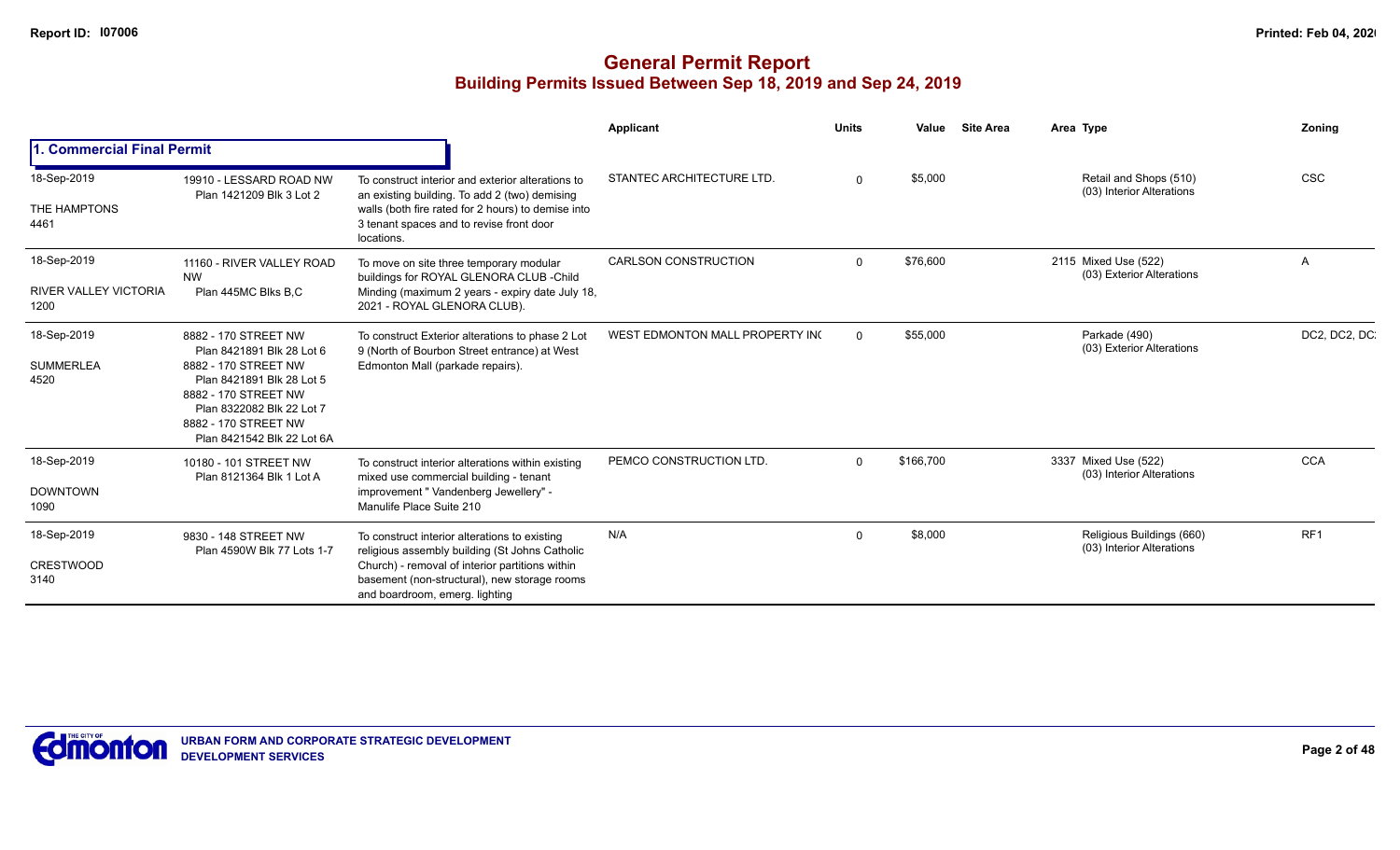|                                                     |                                                                                                                                                                                                                   |                                                                                                                                                                                                                                      | <b>Applicant</b>                | <b>Units</b> | Value     | <b>Site Area</b> | Area Type                                              | Zoning          |
|-----------------------------------------------------|-------------------------------------------------------------------------------------------------------------------------------------------------------------------------------------------------------------------|--------------------------------------------------------------------------------------------------------------------------------------------------------------------------------------------------------------------------------------|---------------------------------|--------------|-----------|------------------|--------------------------------------------------------|-----------------|
| 1. Commercial Final Permit                          |                                                                                                                                                                                                                   |                                                                                                                                                                                                                                      |                                 |              |           |                  |                                                        |                 |
| 18-Sep-2019<br>THE HAMPTONS<br>4461                 | 19910 - LESSARD ROAD NW<br>Plan 1421209 Blk 3 Lot 2                                                                                                                                                               | To construct interior and exterior alterations to<br>an existing building. To add 2 (two) demising<br>walls (both fire rated for 2 hours) to demise into<br>3 tenant spaces and to revise front door<br>locations.                   | STANTEC ARCHITECTURE LTD.       | $\Omega$     | \$5,000   |                  | Retail and Shops (510)<br>(03) Interior Alterations    | <b>CSC</b>      |
| 18-Sep-2019<br><b>RIVER VALLEY VICTORIA</b><br>1200 | 11160 - RIVER VALLEY ROAD<br><b>NW</b><br>Plan 445MC Blks B,C                                                                                                                                                     | To move on site three temporary modular<br>buildings for ROYAL GLENORA CLUB - Child<br>Minding (maximum 2 years - expiry date July 18,<br>2021 - ROYAL GLENORA CLUB).                                                                | <b>CARLSON CONSTRUCTION</b>     | $\Omega$     | \$76,600  |                  | 2115 Mixed Use (522)<br>(03) Exterior Alterations      | A               |
| 18-Sep-2019<br><b>SUMMERLEA</b><br>4520             | 8882 - 170 STREET NW<br>Plan 8421891 Blk 28 Lot 6<br>8882 - 170 STREET NW<br>Plan 8421891 Blk 28 Lot 5<br>8882 - 170 STREET NW<br>Plan 8322082 Blk 22 Lot 7<br>8882 - 170 STREET NW<br>Plan 8421542 Blk 22 Lot 6A | To construct Exterior alterations to phase 2 Lot<br>9 (North of Bourbon Street entrance) at West<br>Edmonton Mall (parkade repairs).                                                                                                 | WEST EDMONTON MALL PROPERTY ING | $\Omega$     | \$55,000  |                  | Parkade (490)<br>(03) Exterior Alterations             | DC2, DC2, DC    |
| 18-Sep-2019<br><b>DOWNTOWN</b><br>1090              | 10180 - 101 STREET NW<br>Plan 8121364 Blk 1 Lot A                                                                                                                                                                 | To construct interior alterations within existing<br>mixed use commercial building - tenant<br>improvement " Vandenberg Jewellery" -<br>Manulife Place Suite 210                                                                     | PEMCO CONSTRUCTION LTD.         | $\Omega$     | \$166,700 |                  | 3337 Mixed Use (522)<br>(03) Interior Alterations      | <b>CCA</b>      |
| 18-Sep-2019<br><b>CRESTWOOD</b><br>3140             | 9830 - 148 STREET NW<br>Plan 4590W Blk 77 Lots 1-7                                                                                                                                                                | To construct interior alterations to existing<br>religious assembly building (St Johns Catholic<br>Church) - removal of interior partitions within<br>basement (non-structural), new storage rooms<br>and boardroom, emerg. lighting | N/A                             | $\Omega$     | \$8,000   |                  | Religious Buildings (660)<br>(03) Interior Alterations | RF <sub>1</sub> |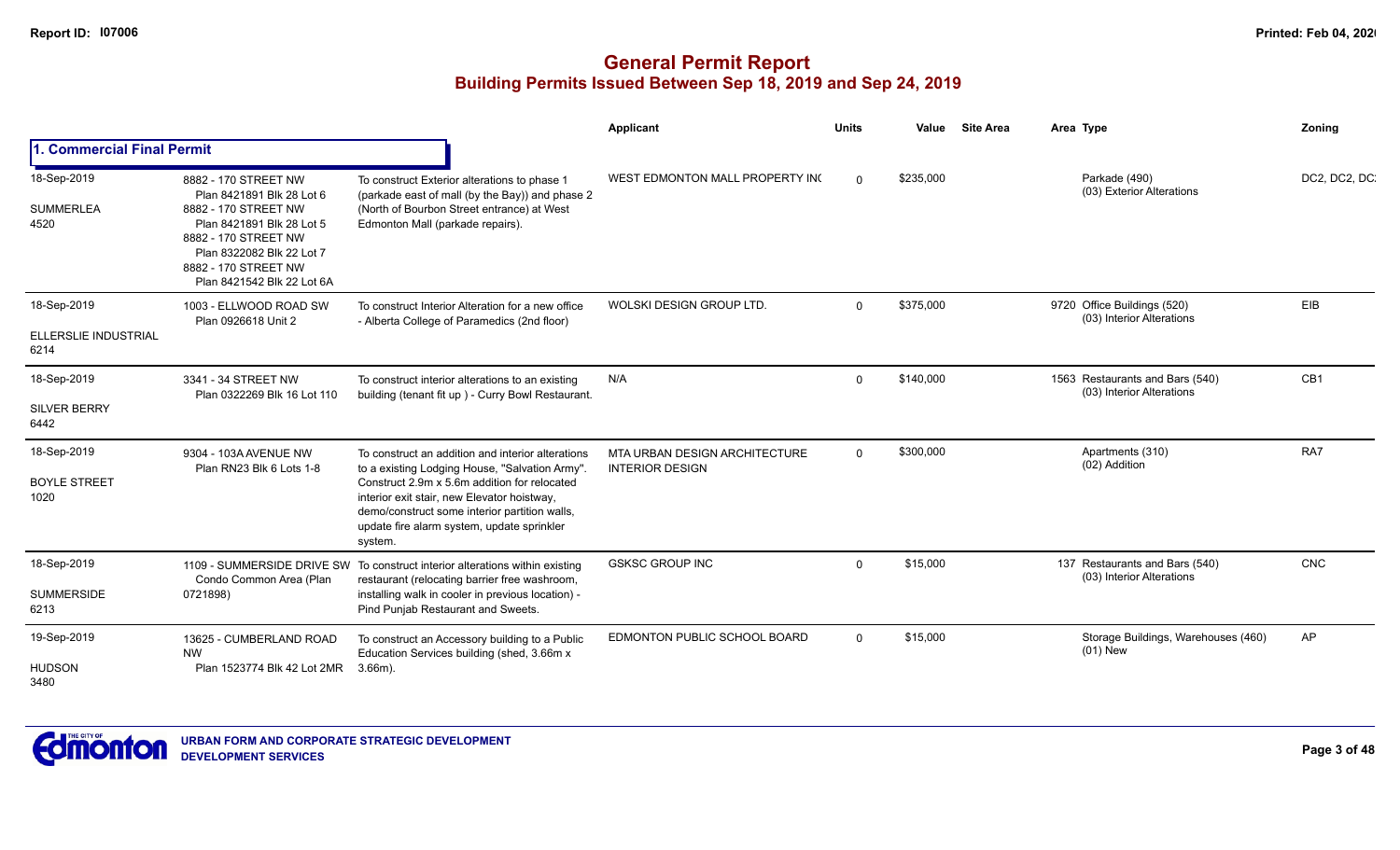|                                             |                                                                                                                                                                                                                   |                                                                                                                                                                                                                                                                                                              | Applicant                                               | <b>Units</b> | Value     | <b>Site Area</b> | Area Type                                                    | Zoning          |
|---------------------------------------------|-------------------------------------------------------------------------------------------------------------------------------------------------------------------------------------------------------------------|--------------------------------------------------------------------------------------------------------------------------------------------------------------------------------------------------------------------------------------------------------------------------------------------------------------|---------------------------------------------------------|--------------|-----------|------------------|--------------------------------------------------------------|-----------------|
| . Commercial Final Permit                   |                                                                                                                                                                                                                   |                                                                                                                                                                                                                                                                                                              |                                                         |              |           |                  |                                                              |                 |
| 18-Sep-2019<br><b>SUMMERLEA</b><br>4520     | 8882 - 170 STREET NW<br>Plan 8421891 Blk 28 Lot 6<br>8882 - 170 STREET NW<br>Plan 8421891 Blk 28 Lot 5<br>8882 - 170 STREET NW<br>Plan 8322082 Blk 22 Lot 7<br>8882 - 170 STREET NW<br>Plan 8421542 Blk 22 Lot 6A | To construct Exterior alterations to phase 1<br>(parkade east of mall (by the Bay)) and phase 2<br>(North of Bourbon Street entrance) at West<br>Edmonton Mall (parkade repairs).                                                                                                                            | WEST EDMONTON MALL PROPERTY INC                         | $\Omega$     | \$235,000 |                  | Parkade (490)<br>(03) Exterior Alterations                   | DC2, DC2, DC    |
| 18-Sep-2019<br>ELLERSLIE INDUSTRIAL<br>6214 | 1003 - ELLWOOD ROAD SW<br>Plan 0926618 Unit 2                                                                                                                                                                     | To construct Interior Alteration for a new office<br>- Alberta College of Paramedics (2nd floor)                                                                                                                                                                                                             | WOLSKI DESIGN GROUP LTD.                                | $\Omega$     | \$375,000 |                  | 9720 Office Buildings (520)<br>(03) Interior Alterations     | EIB             |
| 18-Sep-2019<br><b>SILVER BERRY</b><br>6442  | 3341 - 34 STREET NW<br>Plan 0322269 Blk 16 Lot 110                                                                                                                                                                | To construct interior alterations to an existing<br>building (tenant fit up) - Curry Bowl Restaurant.                                                                                                                                                                                                        | N/A                                                     | $\Omega$     | \$140.000 |                  | 1563 Restaurants and Bars (540)<br>(03) Interior Alterations | CB <sub>1</sub> |
| 18-Sep-2019<br><b>BOYLE STREET</b><br>1020  | 9304 - 103A AVENUE NW<br>Plan RN23 Blk 6 Lots 1-8                                                                                                                                                                 | To construct an addition and interior alterations<br>to a existing Lodging House, "Salvation Army".<br>Construct 2.9m x 5.6m addition for relocated<br>interior exit stair, new Elevator hoistway,<br>demo/construct some interior partition walls,<br>update fire alarm system, update sprinkler<br>system. | MTA URBAN DESIGN ARCHITECTURE<br><b>INTERIOR DESIGN</b> | $\Omega$     | \$300,000 |                  | Apartments (310)<br>(02) Addition                            | RA7             |
| 18-Sep-2019<br><b>SUMMERSIDE</b><br>6213    | Condo Common Area (Plan<br>0721898)                                                                                                                                                                               | 1109 - SUMMERSIDE DRIVE SW To construct interior alterations within existing<br>restaurant (relocating barrier free washroom,<br>installing walk in cooler in previous location) -<br>Pind Punjab Restaurant and Sweets.                                                                                     | <b>GSKSC GROUP INC</b>                                  | $\Omega$     | \$15,000  |                  | 137 Restaurants and Bars (540)<br>(03) Interior Alterations  | CNC             |
| 19-Sep-2019<br><b>HUDSON</b><br>3480        | 13625 - CUMBERLAND ROAD<br><b>NW</b><br>Plan 1523774 Blk 42 Lot 2MR                                                                                                                                               | To construct an Accessory building to a Public<br>Education Services building (shed, 3.66m x<br>$3.66m$ ).                                                                                                                                                                                                   | EDMONTON PUBLIC SCHOOL BOARD                            | $\Omega$     | \$15,000  |                  | Storage Buildings, Warehouses (460)<br>$(01)$ New            | AP              |

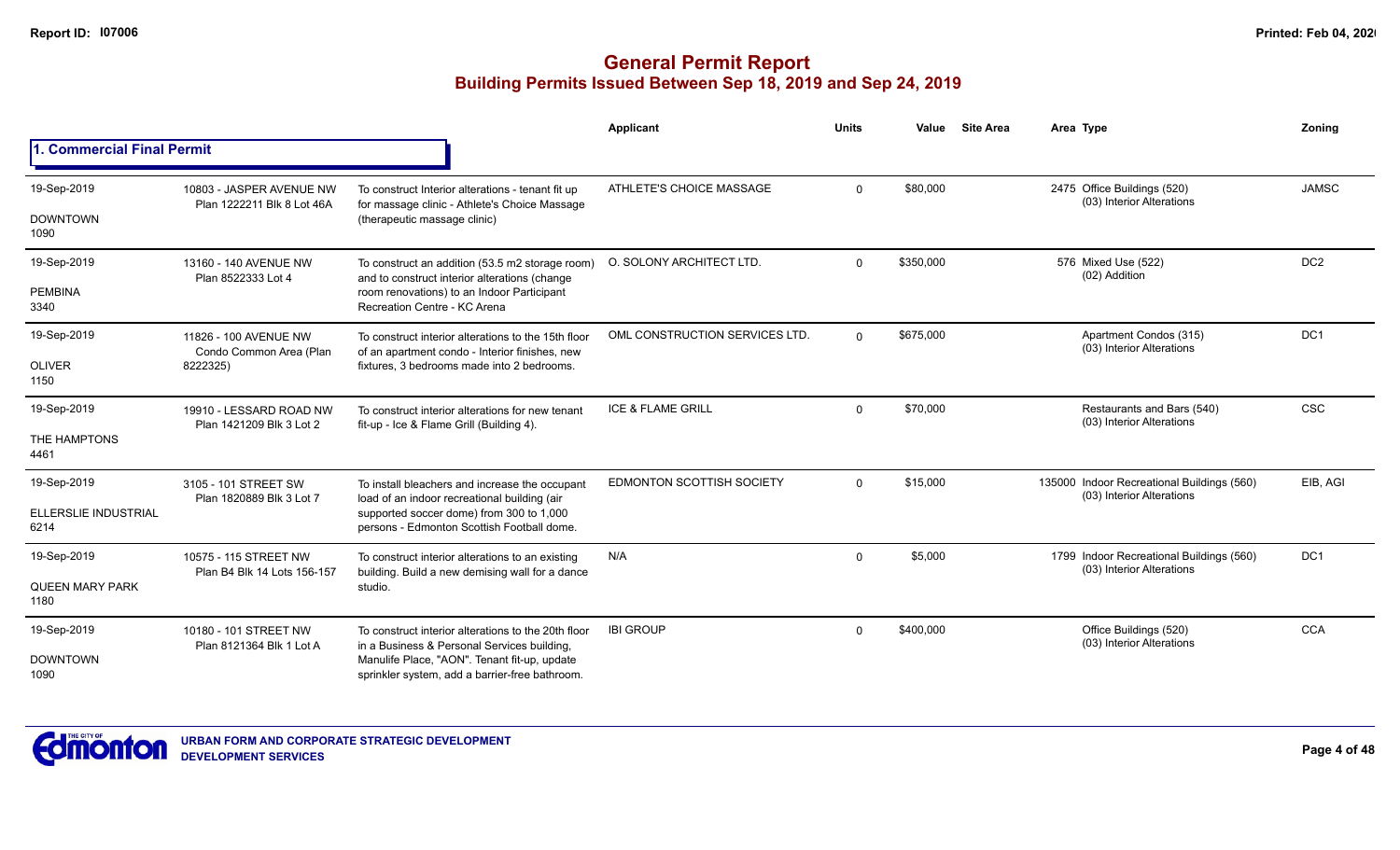|                                   |                                                        |                                                                                                       | <b>Applicant</b>                 | <b>Units</b> | Value     | <b>Site Area</b> | Area Type                                                               | Zoning          |
|-----------------------------------|--------------------------------------------------------|-------------------------------------------------------------------------------------------------------|----------------------------------|--------------|-----------|------------------|-------------------------------------------------------------------------|-----------------|
| <b>1. Commercial Final Permit</b> |                                                        |                                                                                                       |                                  |              |           |                  |                                                                         |                 |
| 19-Sep-2019                       | 10803 - JASPER AVENUE NW<br>Plan 1222211 Blk 8 Lot 46A | To construct Interior alterations - tenant fit up<br>for massage clinic - Athlete's Choice Massage    | ATHLETE'S CHOICE MASSAGE         | $\Omega$     | \$80,000  |                  | 2475 Office Buildings (520)<br>(03) Interior Alterations                | <b>JAMSC</b>    |
| <b>DOWNTOWN</b><br>1090           |                                                        | (therapeutic massage clinic)                                                                          |                                  |              |           |                  |                                                                         |                 |
| 19-Sep-2019                       | 13160 - 140 AVENUE NW<br>Plan 8522333 Lot 4            | To construct an addition (53.5 m2 storage room)<br>and to construct interior alterations (change      | O. SOLONY ARCHITECT LTD.         | $\Omega$     | \$350.000 |                  | 576 Mixed Use (522)<br>(02) Addition                                    | DC <sub>2</sub> |
| <b>PEMBINA</b><br>3340            |                                                        | room renovations) to an Indoor Participant<br>Recreation Centre - KC Arena                            |                                  |              |           |                  |                                                                         |                 |
| 19-Sep-2019                       | 11826 - 100 AVENUE NW<br>Condo Common Area (Plan       | To construct interior alterations to the 15th floor<br>of an apartment condo - Interior finishes, new | OML CONSTRUCTION SERVICES LTD.   | $\Omega$     | \$675,000 |                  | Apartment Condos (315)<br>(03) Interior Alterations                     | DC <sub>1</sub> |
| <b>OLIVER</b><br>1150             | 8222325)                                               | fixtures, 3 bedrooms made into 2 bedrooms.                                                            |                                  |              |           |                  |                                                                         |                 |
| 19-Sep-2019                       | 19910 - LESSARD ROAD NW                                | To construct interior alterations for new tenant<br>fit-up - Ice & Flame Grill (Building 4).          | <b>ICE &amp; FLAME GRILL</b>     | $\Omega$     | \$70,000  |                  | Restaurants and Bars (540)<br>(03) Interior Alterations                 | <b>CSC</b>      |
| THE HAMPTONS<br>4461              | Plan 1421209 Blk 3 Lot 2                               |                                                                                                       |                                  |              |           |                  |                                                                         |                 |
| 19-Sep-2019                       | 3105 - 101 STREET SW<br>Plan 1820889 Blk 3 Lot 7       | To install bleachers and increase the occupant<br>load of an indoor recreational building (air        | <b>EDMONTON SCOTTISH SOCIETY</b> | $\Omega$     | \$15,000  |                  | 135000 Indoor Recreational Buildings (560)<br>(03) Interior Alterations | EIB, AGI        |
| ELLERSLIE INDUSTRIAL<br>6214      |                                                        | supported soccer dome) from 300 to 1,000<br>persons - Edmonton Scottish Football dome.                |                                  |              |           |                  |                                                                         |                 |
| 19-Sep-2019                       | 10575 - 115 STREET NW                                  | To construct interior alterations to an existing<br>building. Build a new demising wall for a dance   | N/A                              | $\Omega$     | \$5,000   |                  | 1799 Indoor Recreational Buildings (560)<br>(03) Interior Alterations   | DC <sub>1</sub> |
| <b>QUEEN MARY PARK</b><br>1180    | Plan B4 Blk 14 Lots 156-157                            | studio.                                                                                               |                                  |              |           |                  |                                                                         |                 |
| 19-Sep-2019                       | 10180 - 101 STREET NW<br>Plan 8121364 Blk 1 Lot A      | To construct interior alterations to the 20th floor<br>in a Business & Personal Services building,    | <b>IBI GROUP</b>                 | $\Omega$     | \$400,000 |                  | Office Buildings (520)<br>(03) Interior Alterations                     | <b>CCA</b>      |
| <b>DOWNTOWN</b><br>1090           |                                                        | Manulife Place, "AON". Tenant fit-up, update<br>sprinkler system, add a barrier-free bathroom.        |                                  |              |           |                  |                                                                         |                 |

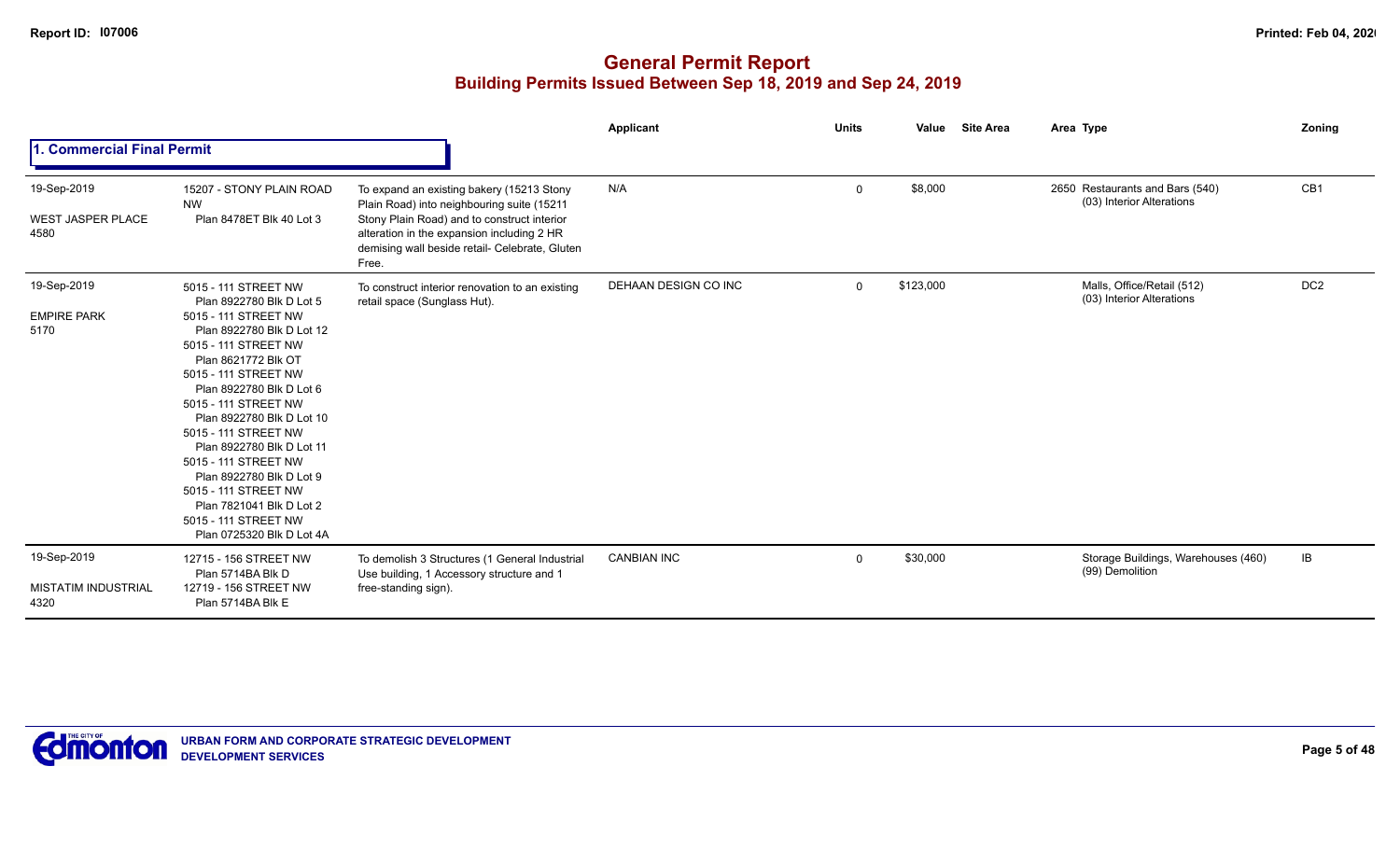|                                                 |                                                                                                                                                                                                                                                                                                                                                                                                                                                                                 |                                                                                                                                                                                                                                                 | <b>Applicant</b>     | <b>Units</b> | <b>Site Area</b><br>Value | Area Type                                                    | Zoning          |
|-------------------------------------------------|---------------------------------------------------------------------------------------------------------------------------------------------------------------------------------------------------------------------------------------------------------------------------------------------------------------------------------------------------------------------------------------------------------------------------------------------------------------------------------|-------------------------------------------------------------------------------------------------------------------------------------------------------------------------------------------------------------------------------------------------|----------------------|--------------|---------------------------|--------------------------------------------------------------|-----------------|
| 1. Commercial Final Permit                      |                                                                                                                                                                                                                                                                                                                                                                                                                                                                                 |                                                                                                                                                                                                                                                 |                      |              |                           |                                                              |                 |
| 19-Sep-2019<br><b>WEST JASPER PLACE</b><br>4580 | 15207 - STONY PLAIN ROAD<br><b>NW</b><br>Plan 8478ET Blk 40 Lot 3                                                                                                                                                                                                                                                                                                                                                                                                               | To expand an existing bakery (15213 Stony<br>Plain Road) into neighbouring suite (15211<br>Stony Plain Road) and to construct interior<br>alteration in the expansion including 2 HR<br>demising wall beside retail- Celebrate, Gluten<br>Free. | N/A                  | $\mathbf 0$  | \$8,000                   | 2650 Restaurants and Bars (540)<br>(03) Interior Alterations | CB1             |
| 19-Sep-2019<br><b>EMPIRE PARK</b><br>5170       | 5015 - 111 STREET NW<br>Plan 8922780 Blk D Lot 5<br>5015 - 111 STREET NW<br>Plan 8922780 Blk D Lot 12<br>5015 - 111 STREET NW<br>Plan 8621772 Blk OT<br>5015 - 111 STREET NW<br>Plan 8922780 Blk D Lot 6<br>5015 - 111 STREET NW<br>Plan 8922780 Blk D Lot 10<br>5015 - 111 STREET NW<br>Plan 8922780 Blk D Lot 11<br>5015 - 111 STREET NW<br>Plan 8922780 Blk D Lot 9<br>5015 - 111 STREET NW<br>Plan 7821041 Blk D Lot 2<br>5015 - 111 STREET NW<br>Plan 0725320 Blk D Lot 4A | To construct interior renovation to an existing<br>retail space (Sunglass Hut).                                                                                                                                                                 | DEHAAN DESIGN CO INC | $\Omega$     | \$123,000                 | Malls, Office/Retail (512)<br>(03) Interior Alterations      | DC <sub>2</sub> |
| 19-Sep-2019<br>MISTATIM INDUSTRIAL<br>4320      | 12715 - 156 STREET NW<br>Plan 5714BA Blk D<br>12719 - 156 STREET NW<br>Plan 5714BA Blk E                                                                                                                                                                                                                                                                                                                                                                                        | To demolish 3 Structures (1 General Industrial<br>Use building, 1 Accessory structure and 1<br>free-standing sign).                                                                                                                             | <b>CANBIAN INC</b>   | $\mathbf 0$  | \$30,000                  | Storage Buildings, Warehouses (460)<br>(99) Demolition       | IB              |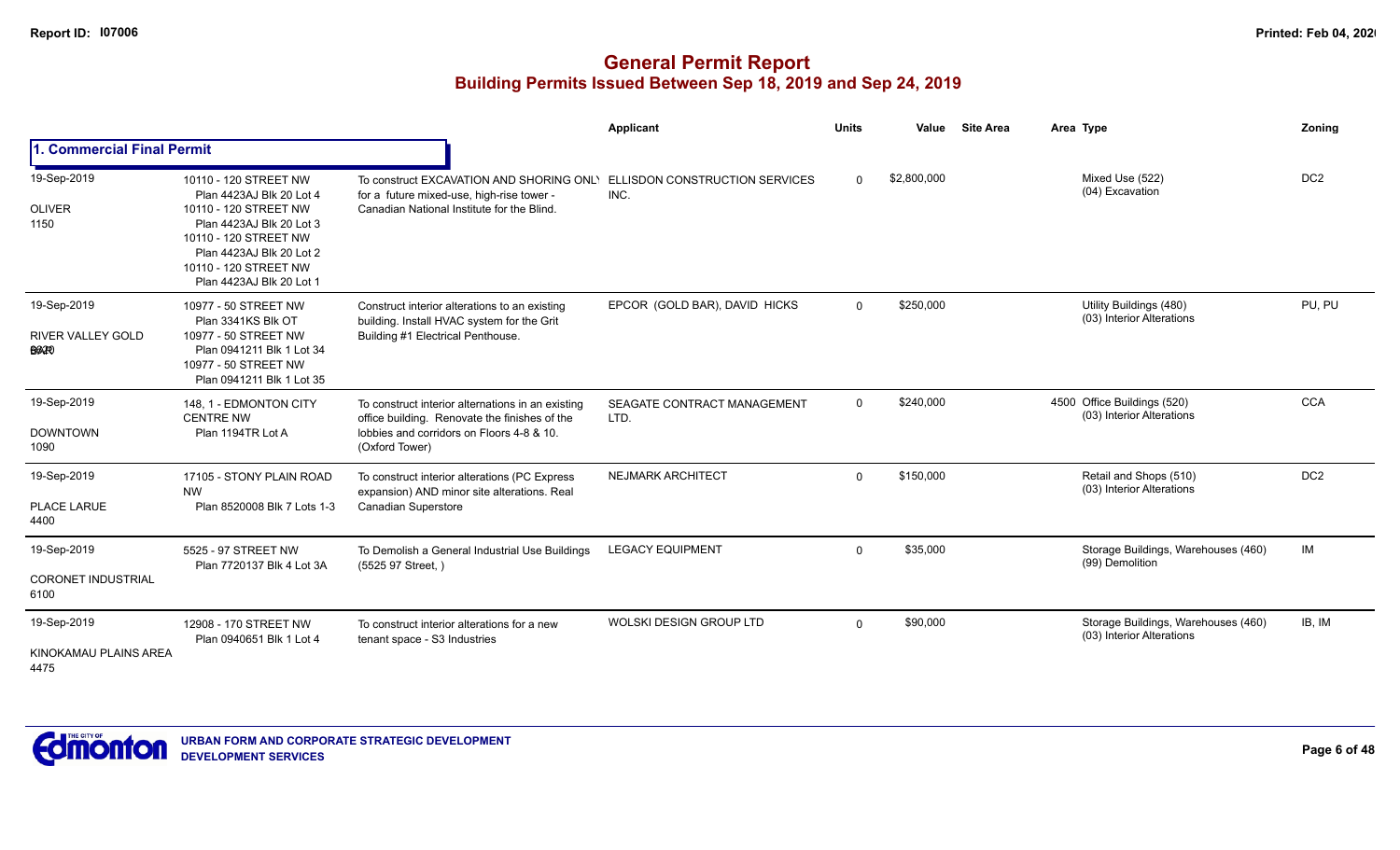|                                                  |                                                                                                                                                                                                                  |                                                                                                                                                                   | <b>Applicant</b>                       | <b>Units</b> | Value       | <b>Site Area</b> | Area Type                                                        | Zoning          |
|--------------------------------------------------|------------------------------------------------------------------------------------------------------------------------------------------------------------------------------------------------------------------|-------------------------------------------------------------------------------------------------------------------------------------------------------------------|----------------------------------------|--------------|-------------|------------------|------------------------------------------------------------------|-----------------|
| 1. Commercial Final Permit                       |                                                                                                                                                                                                                  |                                                                                                                                                                   |                                        |              |             |                  |                                                                  |                 |
| 19-Sep-2019<br><b>OLIVER</b><br>1150             | 10110 - 120 STREET NW<br>Plan 4423AJ Blk 20 Lot 4<br>10110 - 120 STREET NW<br>Plan 4423AJ Blk 20 Lot 3<br>10110 - 120 STREET NW<br>Plan 4423AJ Blk 20 Lot 2<br>10110 - 120 STREET NW<br>Plan 4423AJ Blk 20 Lot 1 | To construct EXCAVATION AND SHORING ONLY<br>for a future mixed-use, high-rise tower -<br>Canadian National Institute for the Blind.                               | ELLISDON CONSTRUCTION SERVICES<br>INC. | $\Omega$     | \$2,800,000 |                  | Mixed Use (522)<br>(04) Excavation                               | DC <sub>2</sub> |
| 19-Sep-2019<br>RIVER VALLEY GOLD<br><b>BAP</b>   | 10977 - 50 STREET NW<br>Plan 3341KS Blk OT<br>10977 - 50 STREET NW<br>Plan 0941211 Blk 1 Lot 34<br>10977 - 50 STREET NW<br>Plan 0941211 Blk 1 Lot 35                                                             | Construct interior alterations to an existing<br>building. Install HVAC system for the Grit<br>Building #1 Electrical Penthouse.                                  | EPCOR (GOLD BAR), DAVID HICKS          | $\mathbf 0$  | \$250,000   |                  | Utility Buildings (480)<br>(03) Interior Alterations             | PU, PU          |
| 19-Sep-2019<br><b>DOWNTOWN</b><br>1090           | 148, 1 - EDMONTON CITY<br><b>CENTRE NW</b><br>Plan 1194TR Lot A                                                                                                                                                  | To construct interior alternations in an existing<br>office building. Renovate the finishes of the<br>lobbies and corridors on Floors 4-8 & 10.<br>(Oxford Tower) | SEAGATE CONTRACT MANAGEMENT<br>LTD.    | $\Omega$     | \$240,000   |                  | 4500 Office Buildings (520)<br>(03) Interior Alterations         | <b>CCA</b>      |
| 19-Sep-2019<br>PLACE LARUE<br>4400               | 17105 - STONY PLAIN ROAD<br><b>NW</b><br>Plan 8520008 Blk 7 Lots 1-3                                                                                                                                             | To construct interior alterations (PC Express<br>expansion) AND minor site alterations. Real<br><b>Canadian Superstore</b>                                        | <b>NEJMARK ARCHITECT</b>               | $\Omega$     | \$150,000   |                  | Retail and Shops (510)<br>(03) Interior Alterations              | DC <sub>2</sub> |
| 19-Sep-2019<br><b>CORONET INDUSTRIAL</b><br>6100 | 5525 - 97 STREET NW<br>Plan 7720137 Blk 4 Lot 3A                                                                                                                                                                 | To Demolish a General Industrial Use Buildings<br>(5525 97 Street,)                                                                                               | <b>LEGACY EQUIPMENT</b>                | $\Omega$     | \$35,000    |                  | Storage Buildings, Warehouses (460)<br>(99) Demolition           | IM              |
| 19-Sep-2019<br>KINOKAMAU PLAINS AREA<br>4475     | 12908 - 170 STREET NW<br>Plan 0940651 Blk 1 Lot 4                                                                                                                                                                | To construct interior alterations for a new<br>tenant space - S3 Industries                                                                                       | WOLSKI DESIGN GROUP LTD                | $\Omega$     | \$90,000    |                  | Storage Buildings, Warehouses (460)<br>(03) Interior Alterations | IB, IM          |

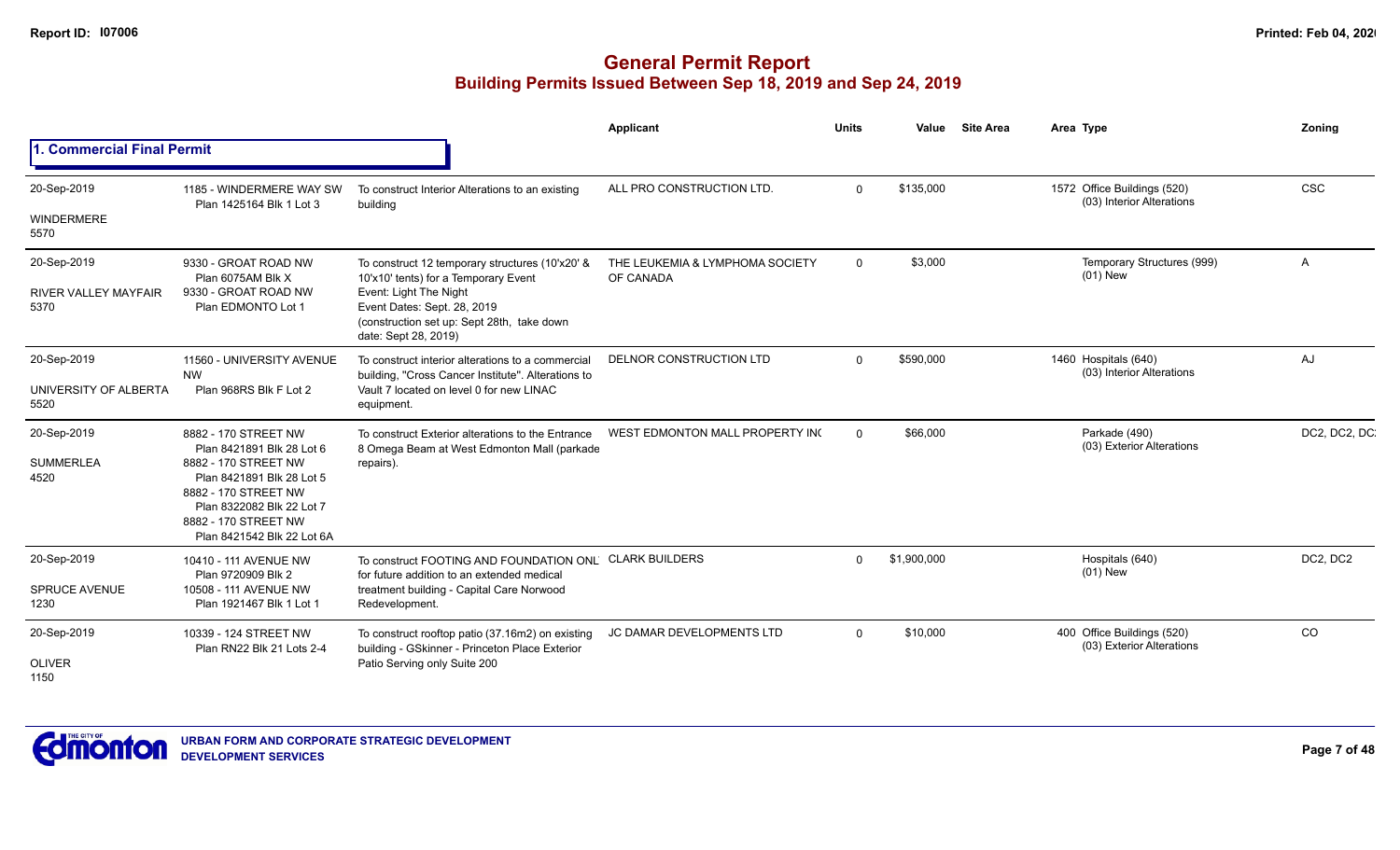|                                                    |                                                                                                                                                                                                                   |                                                                                                                                                                                                                        | Applicant                                    | <b>Units</b>   | Value       | <b>Site Area</b> | Area Type                                                | Zoning       |
|----------------------------------------------------|-------------------------------------------------------------------------------------------------------------------------------------------------------------------------------------------------------------------|------------------------------------------------------------------------------------------------------------------------------------------------------------------------------------------------------------------------|----------------------------------------------|----------------|-------------|------------------|----------------------------------------------------------|--------------|
| 1. Commercial Final Permit                         |                                                                                                                                                                                                                   |                                                                                                                                                                                                                        |                                              |                |             |                  |                                                          |              |
| 20-Sep-2019<br><b>WINDERMERE</b>                   | 1185 - WINDERMERE WAY SW<br>Plan 1425164 Blk 1 Lot 3                                                                                                                                                              | To construct Interior Alterations to an existing<br>building                                                                                                                                                           | ALL PRO CONSTRUCTION LTD.                    | $\Omega$       | \$135,000   |                  | 1572 Office Buildings (520)<br>(03) Interior Alterations | CSC          |
| 5570                                               |                                                                                                                                                                                                                   |                                                                                                                                                                                                                        |                                              |                |             |                  |                                                          |              |
| 20-Sep-2019<br><b>RIVER VALLEY MAYFAIR</b><br>5370 | 9330 - GROAT ROAD NW<br>Plan 6075AM Blk X<br>9330 - GROAT ROAD NW<br>Plan EDMONTO Lot 1                                                                                                                           | To construct 12 temporary structures (10'x20' &<br>10'x10' tents) for a Temporary Event<br>Event: Light The Night<br>Event Dates: Sept. 28, 2019<br>(construction set up: Sept 28th, take down<br>date: Sept 28, 2019) | THE LEUKEMIA & LYMPHOMA SOCIETY<br>OF CANADA | $\overline{0}$ | \$3,000     |                  | Temporary Structures (999)<br>$(01)$ New                 | A            |
| 20-Sep-2019<br>UNIVERSITY OF ALBERTA<br>5520       | 11560 - UNIVERSITY AVENUE<br><b>NW</b><br>Plan 968RS Blk F Lot 2                                                                                                                                                  | To construct interior alterations to a commercial<br>building, "Cross Cancer Institute". Alterations to<br>Vault 7 located on level 0 for new LINAC<br>equipment.                                                      | <b>DELNOR CONSTRUCTION LTD</b>               | $\Omega$       | \$590,000   |                  | 1460 Hospitals (640)<br>(03) Interior Alterations        | AJ           |
| 20-Sep-2019<br><b>SUMMERLEA</b><br>4520            | 8882 - 170 STREET NW<br>Plan 8421891 Blk 28 Lot 6<br>8882 - 170 STREET NW<br>Plan 8421891 Blk 28 Lot 5<br>8882 - 170 STREET NW<br>Plan 8322082 Blk 22 Lot 7<br>8882 - 170 STREET NW<br>Plan 8421542 Blk 22 Lot 6A | To construct Exterior alterations to the Entrance<br>8 Omega Beam at West Edmonton Mall (parkade<br>repairs).                                                                                                          | WEST EDMONTON MALL PROPERTY ING              | $\Omega$       | \$66,000    |                  | Parkade (490)<br>(03) Exterior Alterations               | DC2, DC2, DC |
| 20-Sep-2019<br><b>SPRUCE AVENUE</b><br>1230        | 10410 - 111 AVENUE NW<br>Plan 9720909 Blk 2<br>10508 - 111 AVENUE NW<br>Plan 1921467 Blk 1 Lot 1                                                                                                                  | To construct FOOTING AND FOUNDATION ONL CLARK BUILDERS<br>for future addition to an extended medical<br>treatment building - Capital Care Norwood<br>Redevelopment.                                                    |                                              | $\Omega$       | \$1,900,000 |                  | Hospitals (640)<br>$(01)$ New                            | DC2, DC2     |
| 20-Sep-2019<br><b>OLIVER</b><br>1150               | 10339 - 124 STREET NW<br>Plan RN22 Blk 21 Lots 2-4                                                                                                                                                                | To construct rooftop patio (37.16m2) on existing<br>building - GSkinner - Princeton Place Exterior<br>Patio Serving only Suite 200                                                                                     | JC DAMAR DEVELOPMENTS LTD                    | $\Omega$       | \$10,000    |                  | 400 Office Buildings (520)<br>(03) Exterior Alterations  | CO           |

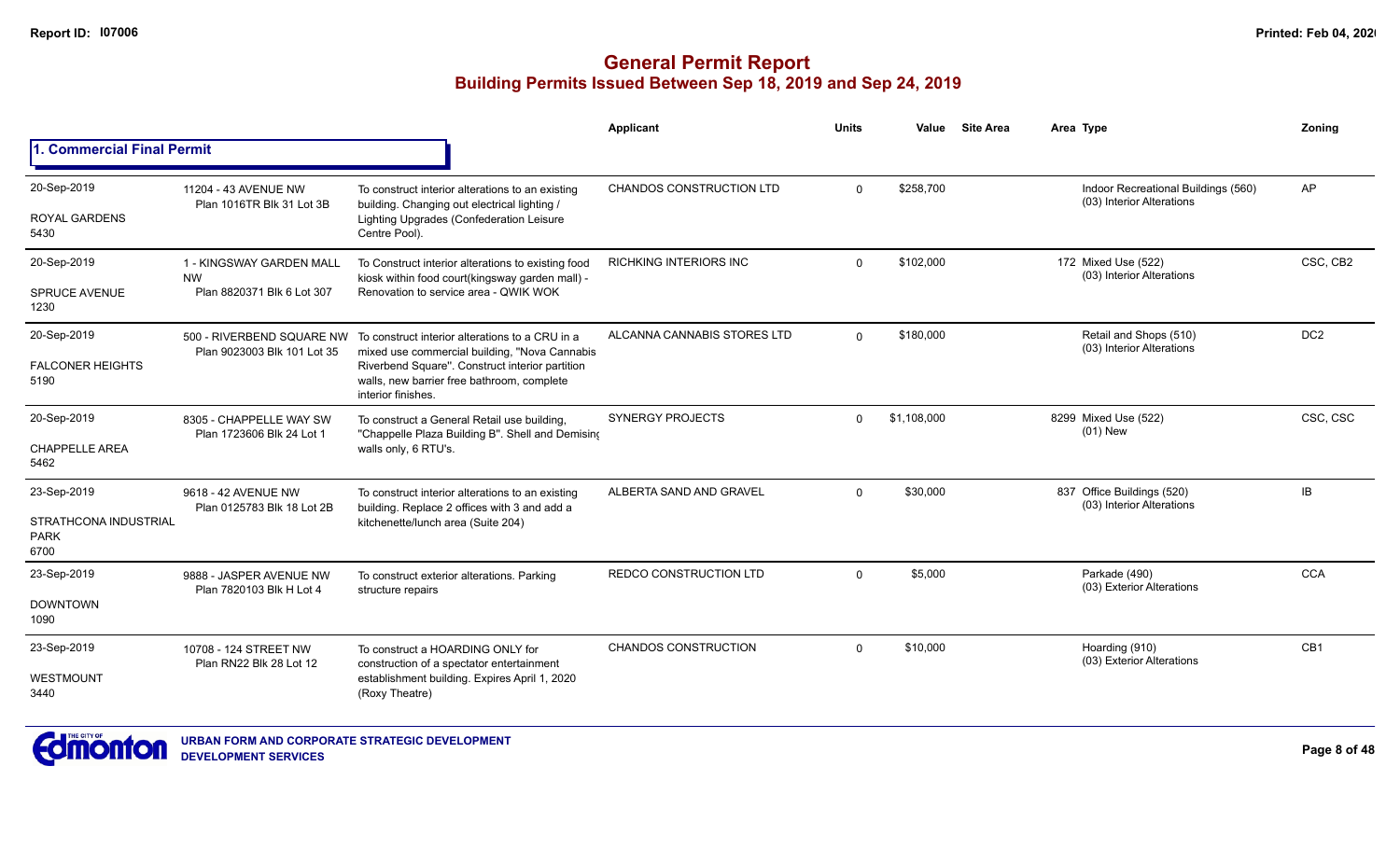|                                              |                                                      |                                                                                                                            | Applicant                     | <b>Units</b> | Value       | <b>Site Area</b> | Area Type                                                        | Zoning          |
|----------------------------------------------|------------------------------------------------------|----------------------------------------------------------------------------------------------------------------------------|-------------------------------|--------------|-------------|------------------|------------------------------------------------------------------|-----------------|
| 1. Commercial Final Permit                   |                                                      |                                                                                                                            |                               |              |             |                  |                                                                  |                 |
| 20-Sep-2019                                  | 11204 - 43 AVENUE NW<br>Plan 1016TR Blk 31 Lot 3B    | To construct interior alterations to an existing<br>building. Changing out electrical lighting /                           | CHANDOS CONSTRUCTION LTD      | $\mathbf 0$  | \$258,700   |                  | Indoor Recreational Buildings (560)<br>(03) Interior Alterations | AP              |
| <b>ROYAL GARDENS</b><br>5430                 |                                                      | Lighting Upgrades (Confederation Leisure<br>Centre Pool).                                                                  |                               |              |             |                  |                                                                  |                 |
| 20-Sep-2019                                  | 1 - KINGSWAY GARDEN MALL<br><b>NW</b>                | To Construct interior alterations to existing food<br>kiosk within food court(kingsway garden mall) -                      | <b>RICHKING INTERIORS INC</b> | $\Omega$     | \$102,000   |                  | 172 Mixed Use (522)<br>(03) Interior Alterations                 | CSC, CB2        |
| <b>SPRUCE AVENUE</b><br>1230                 | Plan 8820371 Blk 6 Lot 307                           | Renovation to service area - QWIK WOK                                                                                      |                               |              |             |                  |                                                                  |                 |
| 20-Sep-2019                                  | Plan 9023003 Blk 101 Lot 35                          | 500 - RIVERBEND SQUARE NW To construct interior alterations to a CRU in a<br>mixed use commercial building, "Nova Cannabis | ALCANNA CANNABIS STORES LTD   | $\Omega$     | \$180,000   |                  | Retail and Shops (510)<br>(03) Interior Alterations              | DC <sub>2</sub> |
| <b>FALCONER HEIGHTS</b><br>5190              |                                                      | Riverbend Square". Construct interior partition<br>walls, new barrier free bathroom, complete<br>interior finishes.        |                               |              |             |                  |                                                                  |                 |
| 20-Sep-2019                                  | 8305 - CHAPPELLE WAY SW<br>Plan 1723606 Blk 24 Lot 1 | To construct a General Retail use building,<br>"Chappelle Plaza Building B". Shell and Demising                            | <b>SYNERGY PROJECTS</b>       | $\Omega$     | \$1,108,000 |                  | 8299 Mixed Use (522)<br>$(01)$ New                               | CSC, CSC        |
| <b>CHAPPELLE AREA</b><br>5462                |                                                      | walls only, 6 RTU's.                                                                                                       |                               |              |             |                  |                                                                  |                 |
| 23-Sep-2019                                  | 9618 - 42 AVENUE NW<br>Plan 0125783 Blk 18 Lot 2B    | To construct interior alterations to an existing<br>building. Replace 2 offices with 3 and add a                           | ALBERTA SAND AND GRAVEL       | $\Omega$     | \$30,000    |                  | 837 Office Buildings (520)<br>(03) Interior Alterations          | <b>IB</b>       |
| STRATHCONA INDUSTRIAL<br><b>PARK</b><br>6700 |                                                      | kitchenette/lunch area (Suite 204)                                                                                         |                               |              |             |                  |                                                                  |                 |
| 23-Sep-2019                                  | 9888 - JASPER AVENUE NW<br>Plan 7820103 Blk H Lot 4  | To construct exterior alterations. Parking<br>structure repairs                                                            | <b>REDCO CONSTRUCTION LTD</b> | $\Omega$     | \$5,000     |                  | Parkade (490)<br>(03) Exterior Alterations                       | <b>CCA</b>      |
| <b>DOWNTOWN</b><br>1090                      |                                                      |                                                                                                                            |                               |              |             |                  |                                                                  |                 |
| 23-Sep-2019                                  | 10708 - 124 STREET NW<br>Plan RN22 Blk 28 Lot 12     | To construct a HOARDING ONLY for<br>construction of a spectator entertainment                                              | <b>CHANDOS CONSTRUCTION</b>   | $\Omega$     | \$10,000    |                  | Hoarding (910)<br>(03) Exterior Alterations                      | CB <sub>1</sub> |
| WESTMOUNT<br>3440                            |                                                      | establishment building. Expires April 1, 2020<br>(Roxy Theatre)                                                            |                               |              |             |                  |                                                                  |                 |

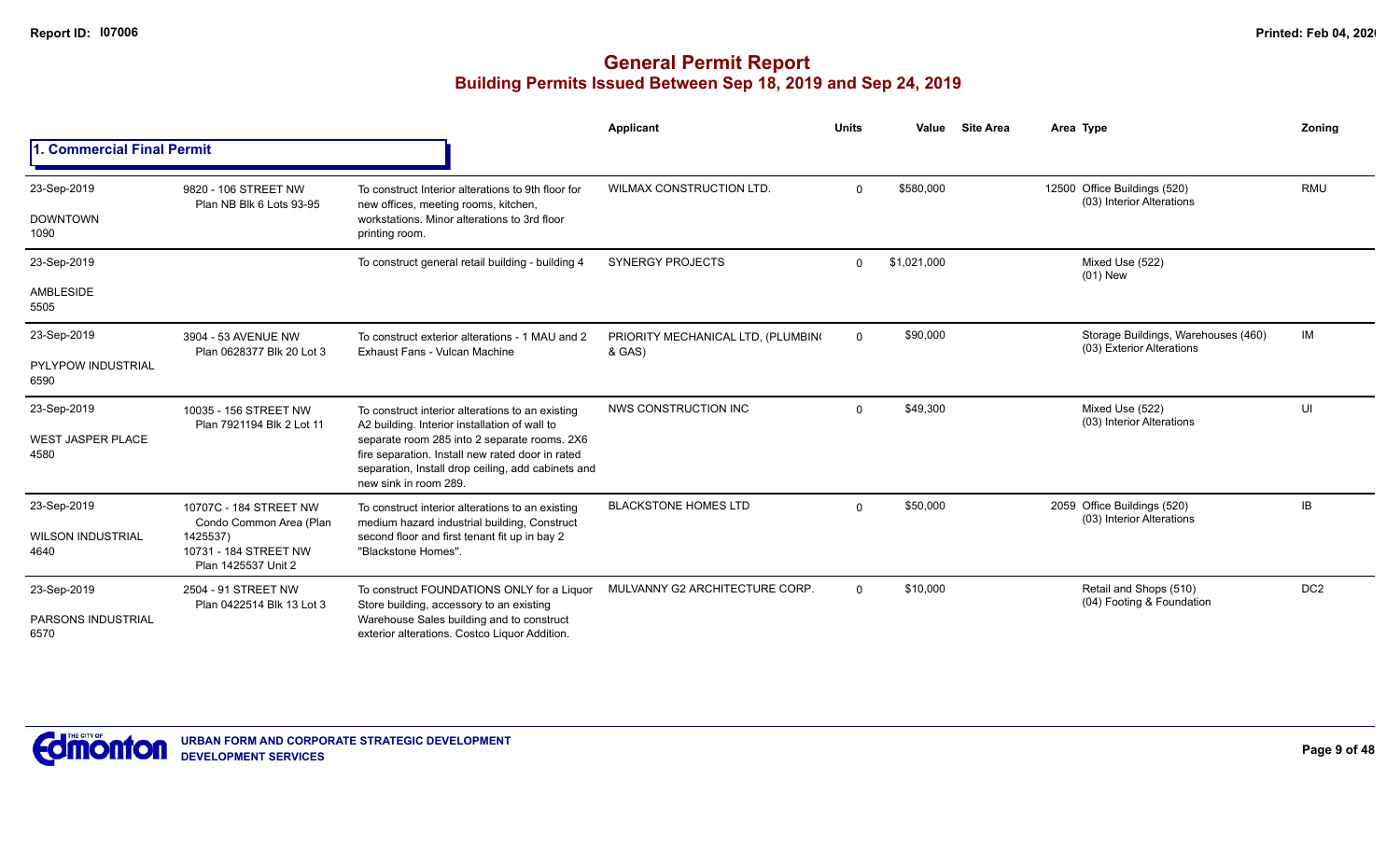|                                   |                                                          |                                                                                                                                                                                                                                  | <b>Applicant</b>                             | <b>Units</b> | Value       | <b>Site Area</b> | Area Type                                                        | Zoning          |
|-----------------------------------|----------------------------------------------------------|----------------------------------------------------------------------------------------------------------------------------------------------------------------------------------------------------------------------------------|----------------------------------------------|--------------|-------------|------------------|------------------------------------------------------------------|-----------------|
| 1. Commercial Final Permit        |                                                          |                                                                                                                                                                                                                                  |                                              |              |             |                  |                                                                  |                 |
| 23-Sep-2019                       | 9820 - 106 STREET NW<br>Plan NB Blk 6 Lots 93-95         | To construct Interior alterations to 9th floor for                                                                                                                                                                               | WILMAX CONSTRUCTION LTD.                     | $\Omega$     | \$580,000   |                  | 12500 Office Buildings (520)<br>(03) Interior Alterations        | <b>RMU</b>      |
| <b>DOWNTOWN</b><br>1090           |                                                          | new offices, meeting rooms, kitchen,<br>workstations. Minor alterations to 3rd floor<br>printing room.                                                                                                                           |                                              |              |             |                  |                                                                  |                 |
| 23-Sep-2019                       |                                                          | To construct general retail building - building 4                                                                                                                                                                                | <b>SYNERGY PROJECTS</b>                      | $\Omega$     | \$1,021,000 |                  | Mixed Use (522)<br>$(01)$ New                                    |                 |
| <b>AMBLESIDE</b><br>5505          |                                                          |                                                                                                                                                                                                                                  |                                              |              |             |                  |                                                                  |                 |
| 23-Sep-2019                       | 3904 - 53 AVENUE NW<br>Plan 0628377 Blk 20 Lot 3         | To construct exterior alterations - 1 MAU and 2<br>Exhaust Fans - Vulcan Machine                                                                                                                                                 | PRIORITY MECHANICAL LTD, (PLUMBING<br>& GAS) | $\mathbf 0$  | \$90,000    |                  | Storage Buildings, Warehouses (460)<br>(03) Exterior Alterations | IM              |
| <b>PYLYPOW INDUSTRIAL</b><br>6590 |                                                          |                                                                                                                                                                                                                                  |                                              |              |             |                  |                                                                  |                 |
| 23-Sep-2019                       | 10035 - 156 STREET NW<br>Plan 7921194 Blk 2 Lot 11       | To construct interior alterations to an existing                                                                                                                                                                                 | NWS CONSTRUCTION INC                         | $\Omega$     | \$49,300    |                  | Mixed Use (522)<br>(03) Interior Alterations                     | UI              |
| <b>WEST JASPER PLACE</b><br>4580  |                                                          | A2 building. Interior installation of wall to<br>separate room 285 into 2 separate rooms. 2X6<br>fire separation. Install new rated door in rated<br>separation, Install drop ceiling, add cabinets and<br>new sink in room 289. |                                              |              |             |                  |                                                                  |                 |
| 23-Sep-2019                       | 10707C - 184 STREET NW<br>Condo Common Area (Plan        | To construct interior alterations to an existing<br>medium hazard industrial building, Construct                                                                                                                                 | <b>BLACKSTONE HOMES LTD</b>                  | $\Omega$     | \$50,000    |                  | 2059 Office Buildings (520)<br>(03) Interior Alterations         | IB              |
| <b>WILSON INDUSTRIAL</b><br>4640  | 1425537)<br>10731 - 184 STREET NW<br>Plan 1425537 Unit 2 | second floor and first tenant fit up in bay 2<br>"Blackstone Homes".                                                                                                                                                             |                                              |              |             |                  |                                                                  |                 |
| 23-Sep-2019                       | 2504 - 91 STREET NW<br>Plan 0422514 Blk 13 Lot 3         | To construct FOUNDATIONS ONLY for a Liquor<br>Store building, accessory to an existing                                                                                                                                           | MULVANNY G2 ARCHITECTURE CORP.               | $\Omega$     | \$10,000    |                  | Retail and Shops (510)<br>(04) Footing & Foundation              | DC <sub>2</sub> |
| <b>PARSONS INDUSTRIAL</b><br>6570 |                                                          | Warehouse Sales building and to construct<br>exterior alterations. Costco Liquor Addition.                                                                                                                                       |                                              |              |             |                  |                                                                  |                 |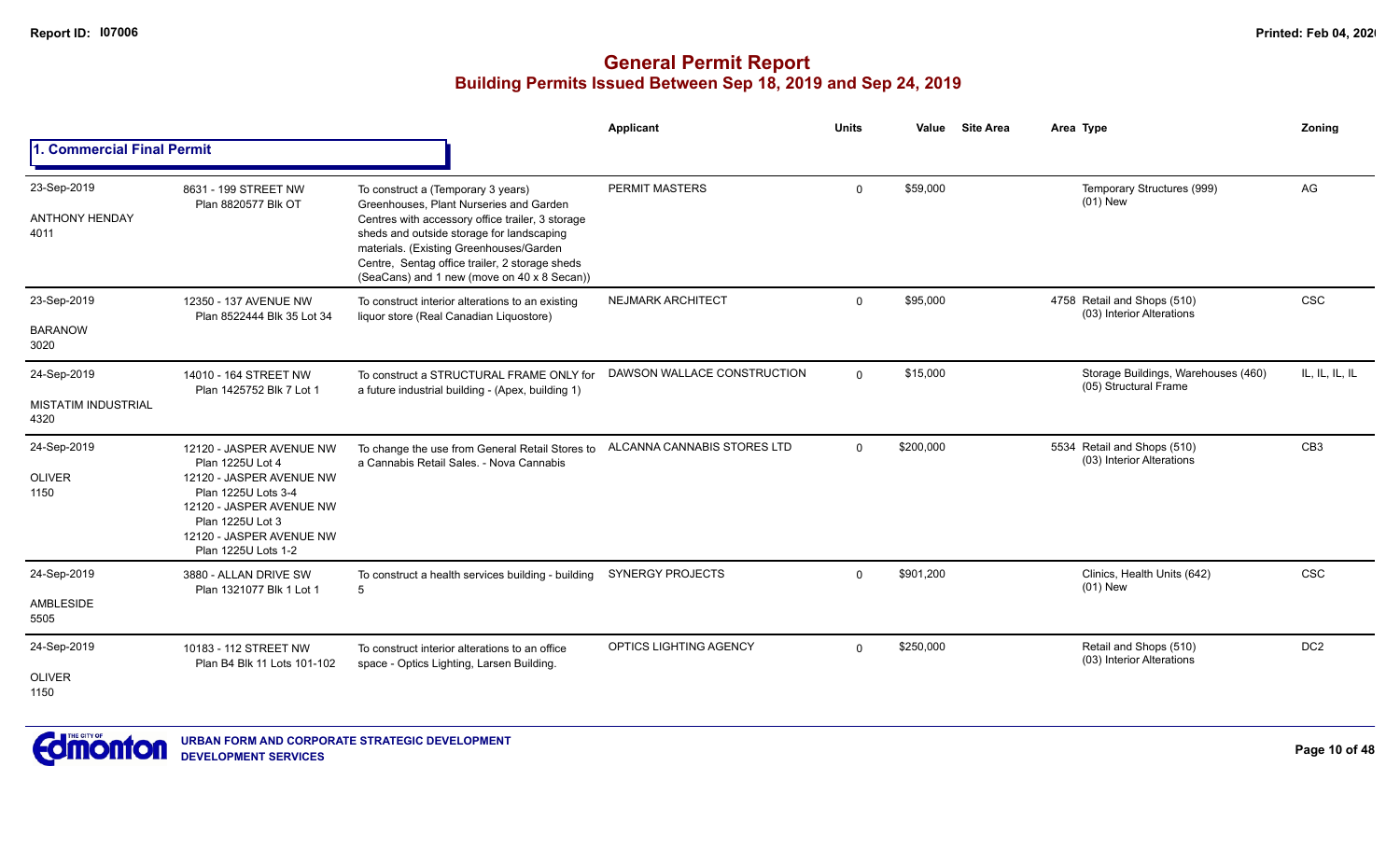|                                                   |                                                                                                                                                                                                    |                                                                                                                                                                                                                                                                                                                            | Applicant                   | Units        | Value     | <b>Site Area</b> | Area Type                                                    | Zoning          |
|---------------------------------------------------|----------------------------------------------------------------------------------------------------------------------------------------------------------------------------------------------------|----------------------------------------------------------------------------------------------------------------------------------------------------------------------------------------------------------------------------------------------------------------------------------------------------------------------------|-----------------------------|--------------|-----------|------------------|--------------------------------------------------------------|-----------------|
| 1. Commercial Final Permit                        |                                                                                                                                                                                                    |                                                                                                                                                                                                                                                                                                                            |                             |              |           |                  |                                                              |                 |
| 23-Sep-2019<br><b>ANTHONY HENDAY</b><br>4011      | 8631 - 199 STREET NW<br>Plan 8820577 Blk OT                                                                                                                                                        | To construct a (Temporary 3 years)<br>Greenhouses. Plant Nurseries and Garden<br>Centres with accessory office trailer, 3 storage<br>sheds and outside storage for landscaping<br>materials. (Existing Greenhouses/Garden<br>Centre, Sentag office trailer, 2 storage sheds<br>(SeaCans) and 1 new (move on 40 x 8 Secan)) | <b>PERMIT MASTERS</b>       | 0            | \$59,000  |                  | Temporary Structures (999)<br>$(01)$ New                     | AG              |
| 23-Sep-2019<br><b>BARANOW</b><br>3020             | 12350 - 137 AVENUE NW<br>Plan 8522444 Blk 35 Lot 34                                                                                                                                                | To construct interior alterations to an existing<br>liquor store (Real Canadian Liquostore)                                                                                                                                                                                                                                | <b>NEJMARK ARCHITECT</b>    | $\mathbf{0}$ | \$95,000  |                  | 4758 Retail and Shops (510)<br>(03) Interior Alterations     | <b>CSC</b>      |
| 24-Sep-2019<br><b>MISTATIM INDUSTRIAL</b><br>4320 | 14010 - 164 STREET NW<br>Plan 1425752 Blk 7 Lot 1                                                                                                                                                  | To construct a STRUCTURAL FRAME ONLY for<br>a future industrial building - (Apex, building 1)                                                                                                                                                                                                                              | DAWSON WALLACE CONSTRUCTION | $\Omega$     | \$15,000  |                  | Storage Buildings, Warehouses (460)<br>(05) Structural Frame | IL, IL, IL, IL  |
| 24-Sep-2019<br><b>OLIVER</b><br>1150              | 12120 - JASPER AVENUE NW<br>Plan 1225U Lot 4<br>12120 - JASPER AVENUE NW<br>Plan 1225U Lots 3-4<br>12120 - JASPER AVENUE NW<br>Plan 1225U Lot 3<br>12120 - JASPER AVENUE NW<br>Plan 1225U Lots 1-2 | To change the use from General Retail Stores to<br>a Cannabis Retail Sales. - Nova Cannabis                                                                                                                                                                                                                                | ALCANNA CANNABIS STORES LTD | $\Omega$     | \$200,000 |                  | 5534 Retail and Shops (510)<br>(03) Interior Alterations     | CB <sub>3</sub> |
| 24-Sep-2019<br>AMBLESIDE<br>5505                  | 3880 - ALLAN DRIVE SW<br>Plan 1321077 Blk 1 Lot 1                                                                                                                                                  | To construct a health services building - building<br>5                                                                                                                                                                                                                                                                    | <b>SYNERGY PROJECTS</b>     | $\Omega$     | \$901.200 |                  | Clinics, Health Units (642)<br>$(01)$ New                    | <b>CSC</b>      |
| 24-Sep-2019<br><b>OLIVER</b><br>1150              | 10183 - 112 STREET NW<br>Plan B4 Blk 11 Lots 101-102                                                                                                                                               | To construct interior alterations to an office<br>space - Optics Lighting, Larsen Building.                                                                                                                                                                                                                                | OPTICS LIGHTING AGENCY      | $\Omega$     | \$250,000 |                  | Retail and Shops (510)<br>(03) Interior Alterations          | DC <sub>2</sub> |

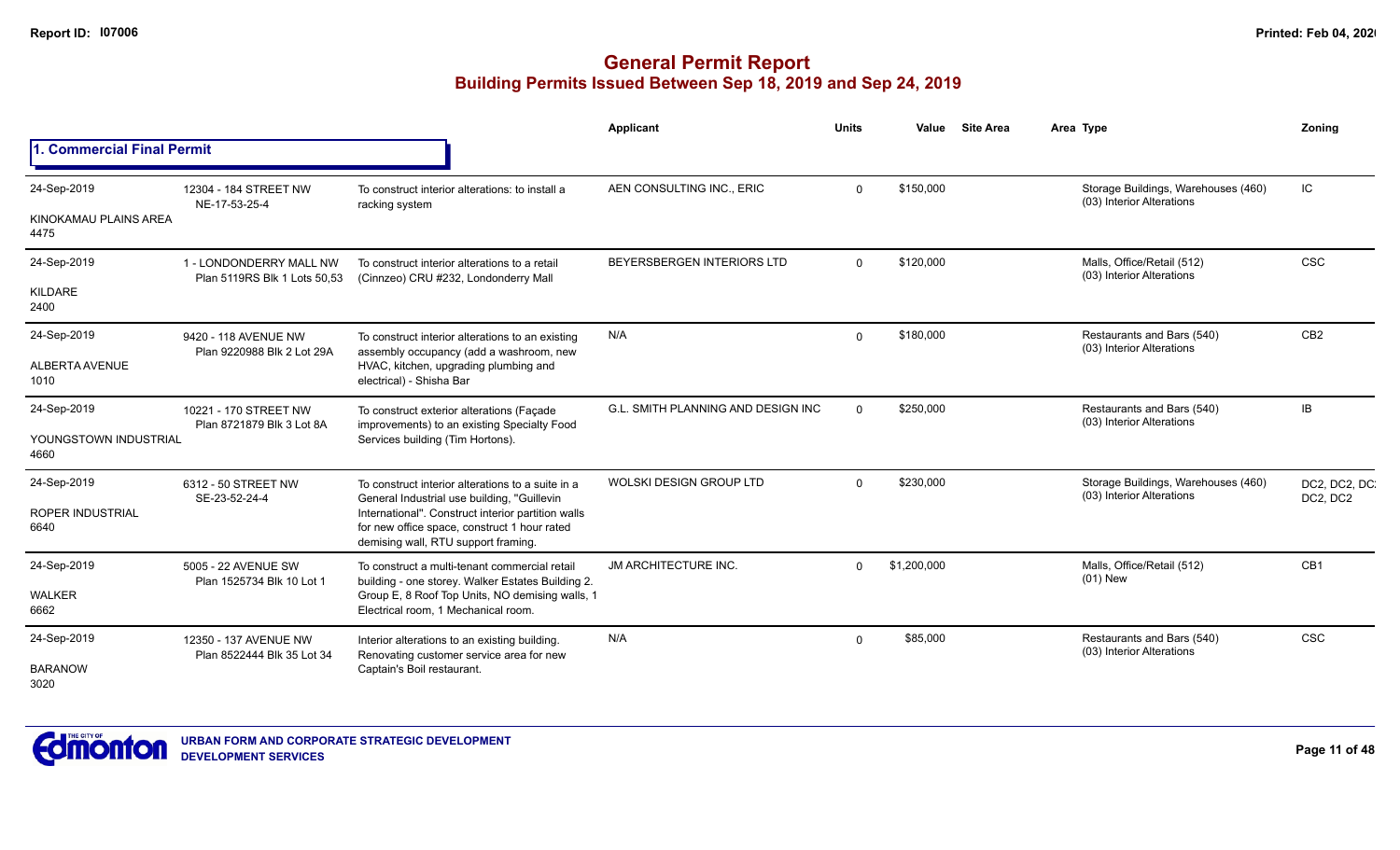|                                                |                                                         |                                                                                                                                                                                                                                               | Applicant                                 | <b>Units</b> | Value       | <b>Site Area</b> | Area Type                                                        | Zoning                    |
|------------------------------------------------|---------------------------------------------------------|-----------------------------------------------------------------------------------------------------------------------------------------------------------------------------------------------------------------------------------------------|-------------------------------------------|--------------|-------------|------------------|------------------------------------------------------------------|---------------------------|
| 1. Commercial Final Permit                     |                                                         |                                                                                                                                                                                                                                               |                                           |              |             |                  |                                                                  |                           |
| 24-Sep-2019<br>KINOKAMAU PLAINS AREA<br>4475   | 12304 - 184 STREET NW<br>NE-17-53-25-4                  | To construct interior alterations: to install a<br>racking system                                                                                                                                                                             | AEN CONSULTING INC., ERIC                 | $\Omega$     | \$150,000   |                  | Storage Buildings, Warehouses (460)<br>(03) Interior Alterations | IC                        |
| 24-Sep-2019<br>KILDARE<br>2400                 | 1 - LONDONDERRY MALL NW<br>Plan 5119RS Blk 1 Lots 50,53 | To construct interior alterations to a retail<br>(Cinnzeo) CRU #232, Londonderry Mall                                                                                                                                                         | BEYERSBERGEN INTERIORS LTD                | $\Omega$     | \$120,000   |                  | Malls, Office/Retail (512)<br>(03) Interior Alterations          | CSC                       |
| 24-Sep-2019<br>ALBERTA AVENUE<br>1010          | 9420 - 118 AVENUE NW<br>Plan 9220988 Blk 2 Lot 29A      | To construct interior alterations to an existing<br>assembly occupancy (add a washroom, new<br>HVAC, kitchen, upgrading plumbing and<br>electrical) - Shisha Bar                                                                              | N/A                                       | $\Omega$     | \$180,000   |                  | Restaurants and Bars (540)<br>(03) Interior Alterations          | CB <sub>2</sub>           |
| 24-Sep-2019<br>YOUNGSTOWN INDUSTRIAL<br>4660   | 10221 - 170 STREET NW<br>Plan 8721879 Blk 3 Lot 8A      | To construct exterior alterations (Façade<br>improvements) to an existing Specialty Food<br>Services building (Tim Hortons).                                                                                                                  | <b>G.L. SMITH PLANNING AND DESIGN INC</b> | $\Omega$     | \$250,000   |                  | Restaurants and Bars (540)<br>(03) Interior Alterations          | IB                        |
| 24-Sep-2019<br><b>ROPER INDUSTRIAL</b><br>6640 | 6312 - 50 STREET NW<br>SE-23-52-24-4                    | To construct interior alterations to a suite in a<br>General Industrial use building, "Guillevin<br>International". Construct interior partition walls<br>for new office space, construct 1 hour rated<br>demising wall, RTU support framing. | <b>WOLSKI DESIGN GROUP LTD</b>            |              | \$230.000   |                  | Storage Buildings, Warehouses (460)<br>(03) Interior Alterations | DC2, DC2, DC.<br>DC2, DC2 |
| 24-Sep-2019<br><b>WALKER</b><br>6662           | 5005 - 22 AVENUE SW<br>Plan 1525734 Blk 10 Lot 1        | To construct a multi-tenant commercial retail<br>building - one storey. Walker Estates Building 2.<br>Group E, 8 Roof Top Units, NO demising walls, 1<br>Electrical room, 1 Mechanical room.                                                  | <b>JM ARCHITECTURE INC.</b>               | $\Omega$     | \$1,200,000 |                  | Malls, Office/Retail (512)<br>$(01)$ New                         | CB <sub>1</sub>           |
| 24-Sep-2019<br><b>BARANOW</b><br>3020          | 12350 - 137 AVENUE NW<br>Plan 8522444 Blk 35 Lot 34     | Interior alterations to an existing building.<br>Renovating customer service area for new<br>Captain's Boil restaurant.                                                                                                                       | N/A                                       | $\Omega$     | \$85,000    |                  | Restaurants and Bars (540)<br>(03) Interior Alterations          | <b>CSC</b>                |

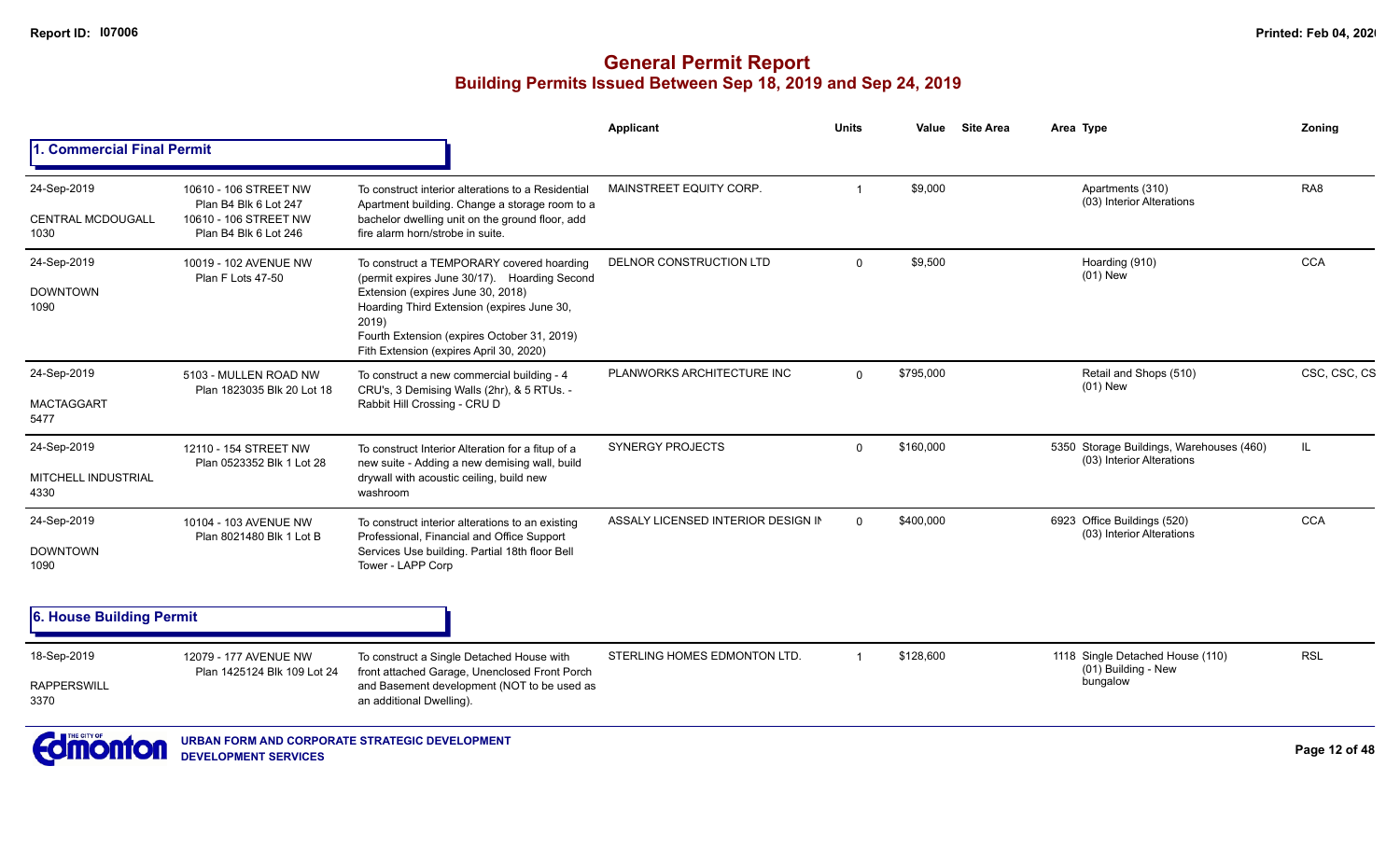|                                                 |                                                                                                  |                                                                                                                                                                                                                                                                                 | <b>Applicant</b>                   | <b>Units</b> | Value     | <b>Site Area</b> | Area Type                                                             | Zoning          |
|-------------------------------------------------|--------------------------------------------------------------------------------------------------|---------------------------------------------------------------------------------------------------------------------------------------------------------------------------------------------------------------------------------------------------------------------------------|------------------------------------|--------------|-----------|------------------|-----------------------------------------------------------------------|-----------------|
| . Commercial Final Permit                       |                                                                                                  |                                                                                                                                                                                                                                                                                 |                                    |              |           |                  |                                                                       |                 |
| 24-Sep-2019<br><b>CENTRAL MCDOUGALL</b><br>1030 | 10610 - 106 STREET NW<br>Plan B4 Blk 6 Lot 247<br>10610 - 106 STREET NW<br>Plan B4 Blk 6 Lot 246 | To construct interior alterations to a Residential<br>Apartment building. Change a storage room to a<br>bachelor dwelling unit on the ground floor, add<br>fire alarm horn/strobe in suite.                                                                                     | MAINSTREET EQUITY CORP.            |              | \$9,000   |                  | Apartments (310)<br>(03) Interior Alterations                         | RA <sub>8</sub> |
| 24-Sep-2019<br><b>DOWNTOWN</b><br>1090          | 10019 - 102 AVENUE NW<br>Plan F Lots 47-50                                                       | To construct a TEMPORARY covered hoarding<br>(permit expires June 30/17). Hoarding Second<br>Extension (expires June 30, 2018)<br>Hoarding Third Extension (expires June 30,<br>2019)<br>Fourth Extension (expires October 31, 2019)<br>Fith Extension (expires April 30, 2020) | DELNOR CONSTRUCTION LTD            | $\Omega$     | \$9,500   |                  | Hoarding (910)<br>$(01)$ New                                          | <b>CCA</b>      |
| 24-Sep-2019<br><b>MACTAGGART</b><br>5477        | 5103 - MULLEN ROAD NW<br>Plan 1823035 Blk 20 Lot 18                                              | To construct a new commercial building - 4<br>CRU's, 3 Demising Walls (2hr), & 5 RTUs. -<br>Rabbit Hill Crossing - CRU D                                                                                                                                                        | PLANWORKS ARCHITECTURE INC         | $\Omega$     | \$795,000 |                  | Retail and Shops (510)<br>$(01)$ New                                  | CSC, CSC, CS    |
| 24-Sep-2019<br>MITCHELL INDUSTRIAL<br>4330      | 12110 - 154 STREET NW<br>Plan 0523352 Blk 1 Lot 28                                               | To construct Interior Alteration for a fitup of a<br>new suite - Adding a new demising wall, build<br>drywall with acoustic ceiling, build new<br>washroom                                                                                                                      | <b>SYNERGY PROJECTS</b>            | $\Omega$     | \$160,000 |                  | 5350 Storage Buildings, Warehouses (460)<br>(03) Interior Alterations | IL              |
| 24-Sep-2019<br><b>DOWNTOWN</b><br>1090          | 10104 - 103 AVENUE NW<br>Plan 8021480 Blk 1 Lot B                                                | To construct interior alterations to an existing<br>Professional, Financial and Office Support<br>Services Use building. Partial 18th floor Bell<br>Tower - LAPP Corp                                                                                                           | ASSALY LICENSED INTERIOR DESIGN IN | $\Omega$     | \$400,000 |                  | 6923 Office Buildings (520)<br>(03) Interior Alterations              | <b>CCA</b>      |
| <b>6. House Building Permit</b>                 |                                                                                                  |                                                                                                                                                                                                                                                                                 |                                    |              |           |                  |                                                                       |                 |
| 18-Sep-2019<br><b>RAPPERSWILL</b><br>3370       | 12079 - 177 AVENUE NW<br>Plan 1425124 Blk 109 Lot 24                                             | To construct a Single Detached House with<br>front attached Garage, Unenclosed Front Porch<br>and Basement development (NOT to be used as<br>an additional Dwelling).                                                                                                           | STERLING HOMES EDMONTON LTD.       |              | \$128,600 |                  | 1118 Single Detached House (110)<br>(01) Building - New<br>bungalow   | <b>RSL</b>      |

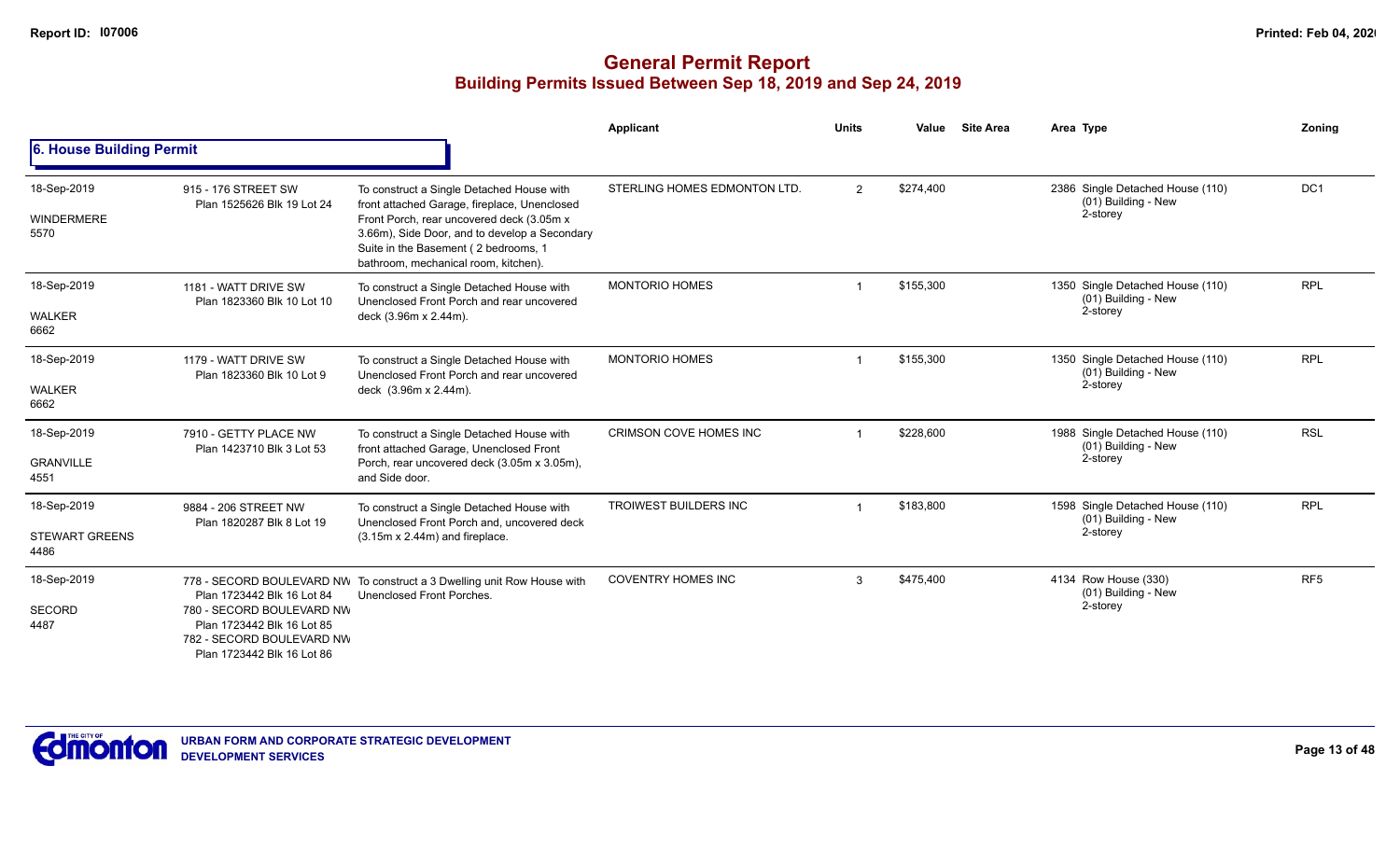|                                              |                                                                                                                                                  |                                                                                                                                                                                                                                                                         | Applicant                    | <b>Units</b>   | Value     | <b>Site Area</b> | Area Type                                                           | Zoning          |
|----------------------------------------------|--------------------------------------------------------------------------------------------------------------------------------------------------|-------------------------------------------------------------------------------------------------------------------------------------------------------------------------------------------------------------------------------------------------------------------------|------------------------------|----------------|-----------|------------------|---------------------------------------------------------------------|-----------------|
| 6. House Building Permit                     |                                                                                                                                                  |                                                                                                                                                                                                                                                                         |                              |                |           |                  |                                                                     |                 |
| 18-Sep-2019<br><b>WINDERMERE</b><br>5570     | 915 - 176 STREET SW<br>Plan 1525626 Blk 19 Lot 24                                                                                                | To construct a Single Detached House with<br>front attached Garage, fireplace, Unenclosed<br>Front Porch, rear uncovered deck (3.05m x<br>3.66m), Side Door, and to develop a Secondary<br>Suite in the Basement (2 bedrooms, 1<br>bathroom, mechanical room, kitchen). | STERLING HOMES EDMONTON LTD. | $\overline{2}$ | \$274.400 |                  | 2386 Single Detached House (110)<br>(01) Building - New<br>2-storey | DC <sub>1</sub> |
| 18-Sep-2019<br><b>WALKER</b><br>6662         | 1181 - WATT DRIVE SW<br>Plan 1823360 Blk 10 Lot 10                                                                                               | To construct a Single Detached House with<br>Unenclosed Front Porch and rear uncovered<br>deck (3.96m x 2.44m).                                                                                                                                                         | <b>MONTORIO HOMES</b>        |                | \$155,300 |                  | 1350 Single Detached House (110)<br>(01) Building - New<br>2-storey | <b>RPL</b>      |
| 18-Sep-2019<br><b>WALKER</b><br>6662         | 1179 - WATT DRIVE SW<br>Plan 1823360 Blk 10 Lot 9                                                                                                | To construct a Single Detached House with<br>Unenclosed Front Porch and rear uncovered<br>deck (3.96m x 2.44m).                                                                                                                                                         | <b>MONTORIO HOMES</b>        |                | \$155,300 |                  | 1350 Single Detached House (110)<br>(01) Building - New<br>2-storey | <b>RPL</b>      |
| 18-Sep-2019<br><b>GRANVILLE</b><br>4551      | 7910 - GETTY PLACE NW<br>Plan 1423710 Blk 3 Lot 53                                                                                               | To construct a Single Detached House with<br>front attached Garage, Unenclosed Front<br>Porch, rear uncovered deck (3.05m x 3.05m),<br>and Side door.                                                                                                                   | CRIMSON COVE HOMES INC       |                | \$228,600 |                  | 1988 Single Detached House (110)<br>(01) Building - New<br>2-storey | <b>RSL</b>      |
| 18-Sep-2019<br><b>STEWART GREENS</b><br>4486 | 9884 - 206 STREET NW<br>Plan 1820287 Blk 8 Lot 19                                                                                                | To construct a Single Detached House with<br>Unenclosed Front Porch and, uncovered deck<br>$(3.15m \times 2.44m)$ and fireplace.                                                                                                                                        | <b>TROIWEST BUILDERS INC</b> |                | \$183,800 |                  | 1598 Single Detached House (110)<br>(01) Building - New<br>2-storey | <b>RPL</b>      |
| 18-Sep-2019<br><b>SECORD</b><br>4487         | Plan 1723442 Blk 16 Lot 84<br>780 - SECORD BOULEVARD NW<br>Plan 1723442 Blk 16 Lot 85<br>782 - SECORD BOULEVARD NW<br>Plan 1723442 Blk 16 Lot 86 | 778 - SECORD BOULEVARD NW To construct a 3 Dwelling unit Row House with<br>Unenclosed Front Porches.                                                                                                                                                                    | <b>COVENTRY HOMES INC</b>    | 3              | \$475.400 |                  | 4134 Row House (330)<br>(01) Building - New<br>2-storey             | RF <sub>5</sub> |

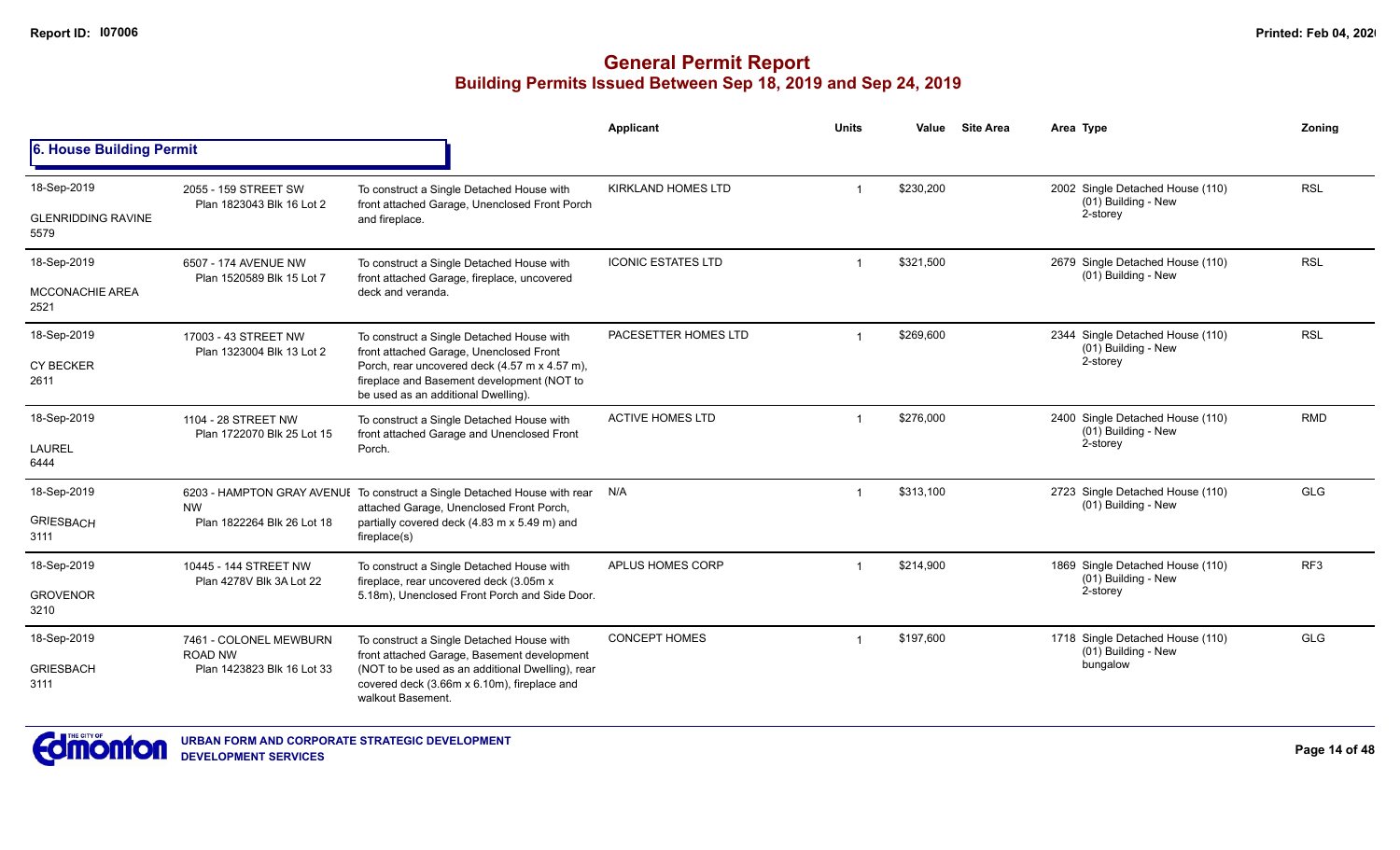|                                   |                                                   |                                                                                                                                    | Applicant                 | <b>Units</b>   | Value     | <b>Site Area</b> | Area Type                                               | Zonina          |
|-----------------------------------|---------------------------------------------------|------------------------------------------------------------------------------------------------------------------------------------|---------------------------|----------------|-----------|------------------|---------------------------------------------------------|-----------------|
| 6. House Building Permit          |                                                   |                                                                                                                                    |                           |                |           |                  |                                                         |                 |
| 18-Sep-2019                       | 2055 - 159 STREET SW                              | To construct a Single Detached House with                                                                                          | <b>KIRKLAND HOMES LTD</b> | $\mathbf 1$    | \$230,200 |                  | 2002 Single Detached House (110)<br>(01) Building - New | <b>RSL</b>      |
| <b>GLENRIDDING RAVINE</b><br>5579 | Plan 1823043 Blk 16 Lot 2                         | front attached Garage, Unenclosed Front Porch<br>and fireplace.                                                                    |                           |                |           |                  | 2-storey                                                |                 |
| 18-Sep-2019                       | 6507 - 174 AVENUE NW<br>Plan 1520589 Blk 15 Lot 7 | To construct a Single Detached House with<br>front attached Garage, fireplace, uncovered                                           | <b>ICONIC ESTATES LTD</b> | $\mathbf 1$    | \$321,500 |                  | 2679 Single Detached House (110)<br>(01) Building - New | <b>RSL</b>      |
| <b>MCCONACHIE AREA</b><br>2521    |                                                   | deck and veranda.                                                                                                                  |                           |                |           |                  |                                                         |                 |
| 18-Sep-2019                       | 17003 - 43 STREET NW<br>Plan 1323004 Blk 13 Lot 2 | To construct a Single Detached House with<br>front attached Garage, Unenclosed Front                                               | PACESETTER HOMES LTD      |                | \$269,600 |                  | 2344 Single Detached House (110)<br>(01) Building - New | <b>RSL</b>      |
| CY BECKER<br>2611                 |                                                   | Porch, rear uncovered deck (4.57 m x 4.57 m),<br>fireplace and Basement development (NOT to<br>be used as an additional Dwelling). |                           |                |           |                  | 2-storey                                                |                 |
| 18-Sep-2019                       | 1104 - 28 STREET NW<br>Plan 1722070 Blk 25 Lot 15 | To construct a Single Detached House with<br>front attached Garage and Unenclosed Front                                            | <b>ACTIVE HOMES LTD</b>   |                | \$276,000 |                  | 2400 Single Detached House (110)<br>(01) Building - New | <b>RMD</b>      |
| LAUREL<br>6444                    |                                                   | Porch.                                                                                                                             |                           |                |           |                  | 2-storey                                                |                 |
| 18-Sep-2019                       | <b>NW</b>                                         | 6203 - HAMPTON GRAY AVENUI To construct a Single Detached House with rear<br>attached Garage, Unenclosed Front Porch,              | N/A                       | $\overline{1}$ | \$313,100 |                  | 2723 Single Detached House (110)<br>(01) Building - New | <b>GLG</b>      |
| <b>GRIESBACH</b><br>3111          | Plan 1822264 Blk 26 Lot 18                        | partially covered deck (4.83 m x 5.49 m) and<br>fireplace(s)                                                                       |                           |                |           |                  |                                                         |                 |
| 18-Sep-2019                       | 10445 - 144 STREET NW<br>Plan 4278V Blk 3A Lot 22 | To construct a Single Detached House with<br>fireplace, rear uncovered deck (3.05m x                                               | APLUS HOMES CORP          |                | \$214,900 |                  | 1869 Single Detached House (110)<br>(01) Building - New | RF <sub>3</sub> |
| <b>GROVENOR</b><br>3210           |                                                   | 5.18m), Unenclosed Front Porch and Side Door.                                                                                      |                           |                |           |                  | 2-storey                                                |                 |
| 18-Sep-2019                       | 7461 - COLONEL MEWBURN<br><b>ROAD NW</b>          | To construct a Single Detached House with<br>front attached Garage, Basement development                                           | <b>CONCEPT HOMES</b>      | $\overline{1}$ | \$197.600 |                  | 1718 Single Detached House (110)<br>(01) Building - New | <b>GLG</b>      |
| <b>GRIESBACH</b><br>3111          | Plan 1423823 Blk 16 Lot 33                        | (NOT to be used as an additional Dwelling), rear<br>covered deck (3.66m x 6.10m), fireplace and<br>walkout Basement.               |                           |                |           |                  | bungalow                                                |                 |

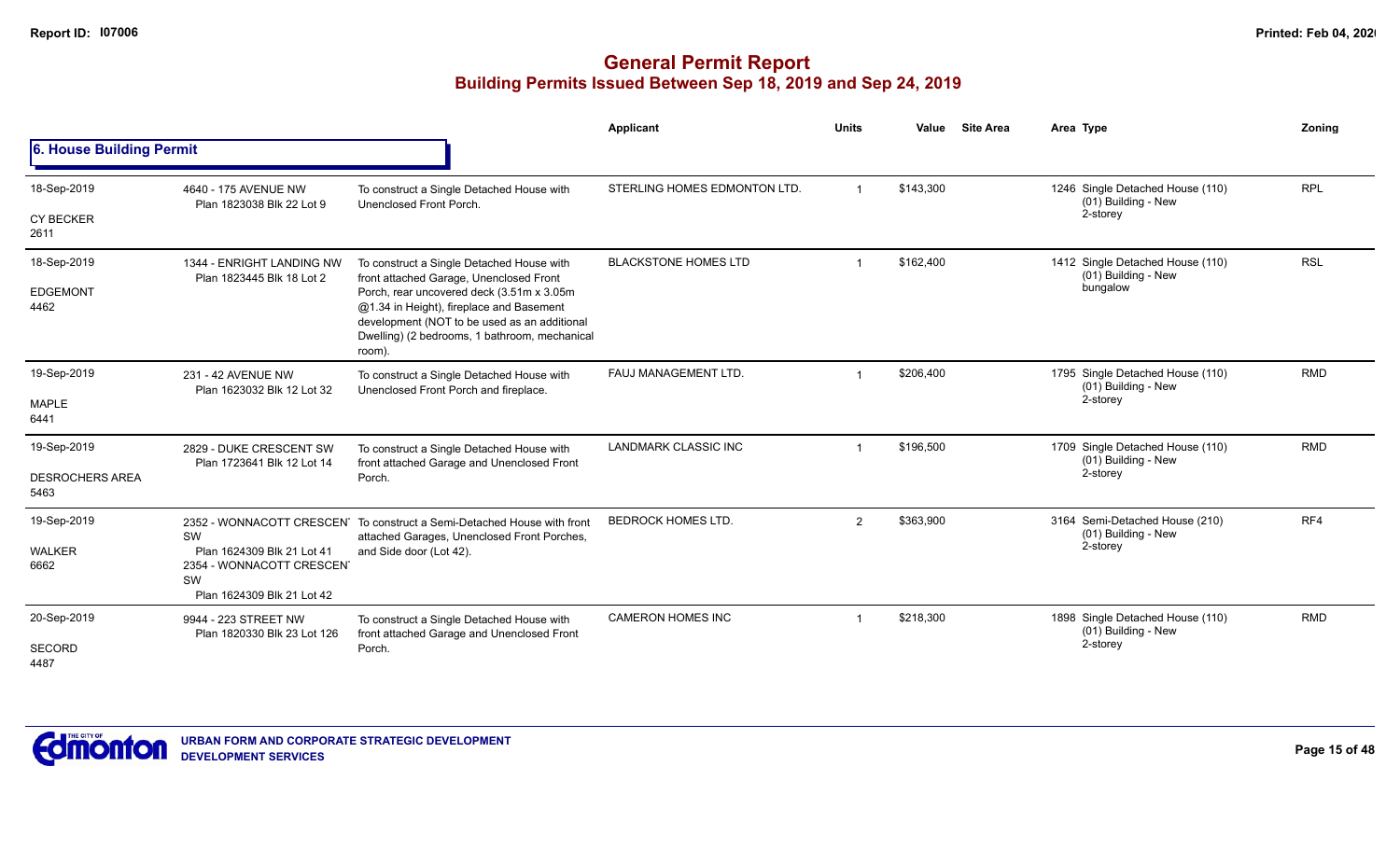### **General Permit Report Building Permits Issued Between Sep 18, 2019 and Sep 24, 2019**

|                                               |                                                                                                   |                                                                                                                                                                                                                                                                                          | Applicant                    | <b>Units</b>   | Value     | <b>Site Area</b> | Area Type                                                           | Zoning     |
|-----------------------------------------------|---------------------------------------------------------------------------------------------------|------------------------------------------------------------------------------------------------------------------------------------------------------------------------------------------------------------------------------------------------------------------------------------------|------------------------------|----------------|-----------|------------------|---------------------------------------------------------------------|------------|
| 6. House Building Permit                      |                                                                                                   |                                                                                                                                                                                                                                                                                          |                              |                |           |                  |                                                                     |            |
| 18-Sep-2019                                   | 4640 - 175 AVENUE NW<br>Plan 1823038 Blk 22 Lot 9                                                 | To construct a Single Detached House with<br>Unenclosed Front Porch.                                                                                                                                                                                                                     | STERLING HOMES EDMONTON LTD. |                | \$143,300 |                  | 1246 Single Detached House (110)<br>(01) Building - New             | <b>RPL</b> |
| <b>CY BECKER</b><br>2611                      |                                                                                                   |                                                                                                                                                                                                                                                                                          |                              |                |           |                  | 2-storey                                                            |            |
| 18-Sep-2019<br><b>EDGEMONT</b><br>4462        | 1344 - ENRIGHT LANDING NW<br>Plan 1823445 Blk 18 Lot 2                                            | To construct a Single Detached House with<br>front attached Garage, Unenclosed Front<br>Porch, rear uncovered deck (3.51m x 3.05m<br>@1.34 in Height), fireplace and Basement<br>development (NOT to be used as an additional<br>Dwelling) (2 bedrooms, 1 bathroom, mechanical<br>room). | <b>BLACKSTONE HOMES LTD</b>  |                | \$162,400 |                  | 1412 Single Detached House (110)<br>(01) Building - New<br>bungalow | <b>RSL</b> |
| 19-Sep-2019<br><b>MAPLE</b><br>6441           | 231 - 42 AVENUE NW<br>Plan 1623032 Blk 12 Lot 32                                                  | To construct a Single Detached House with<br>Unenclosed Front Porch and fireplace.                                                                                                                                                                                                       | FAUJ MANAGEMENT LTD.         |                | \$206,400 |                  | 1795 Single Detached House (110)<br>(01) Building - New<br>2-storey | <b>RMD</b> |
| 19-Sep-2019<br><b>DESROCHERS AREA</b><br>5463 | 2829 - DUKE CRESCENT SW<br>Plan 1723641 Blk 12 Lot 14                                             | To construct a Single Detached House with<br>front attached Garage and Unenclosed Front<br>Porch.                                                                                                                                                                                        | <b>LANDMARK CLASSIC INC</b>  |                | \$196,500 |                  | 1709 Single Detached House (110)<br>(01) Building - New<br>2-storey | <b>RMD</b> |
| 19-Sep-2019<br><b>WALKER</b><br>6662          | SW<br>Plan 1624309 Blk 21 Lot 41<br>2354 - WONNACOTT CRESCENT<br>SW<br>Plan 1624309 Blk 21 Lot 42 | 2352 - WONNACOTT CRESCEN To construct a Semi-Detached House with front<br>attached Garages, Unenclosed Front Porches,<br>and Side door (Lot 42).                                                                                                                                         | <b>BEDROCK HOMES LTD.</b>    | $\overline{2}$ | \$363,900 |                  | 3164 Semi-Detached House (210)<br>(01) Building - New<br>2-storey   | RF4        |
| 20-Sep-2019<br>SECORD                         | 9944 - 223 STREET NW<br>Plan 1820330 Blk 23 Lot 126                                               | To construct a Single Detached House with<br>front attached Garage and Unenclosed Front<br>Porch.                                                                                                                                                                                        | <b>CAMERON HOMES INC</b>     |                | \$218,300 |                  | 1898 Single Detached House (110)<br>(01) Building - New<br>2-storey | <b>RMD</b> |



**URBAN FORM AND CORPORATE STRATEGIC DEVELOPMENT DEVELOPMENT SERVICES**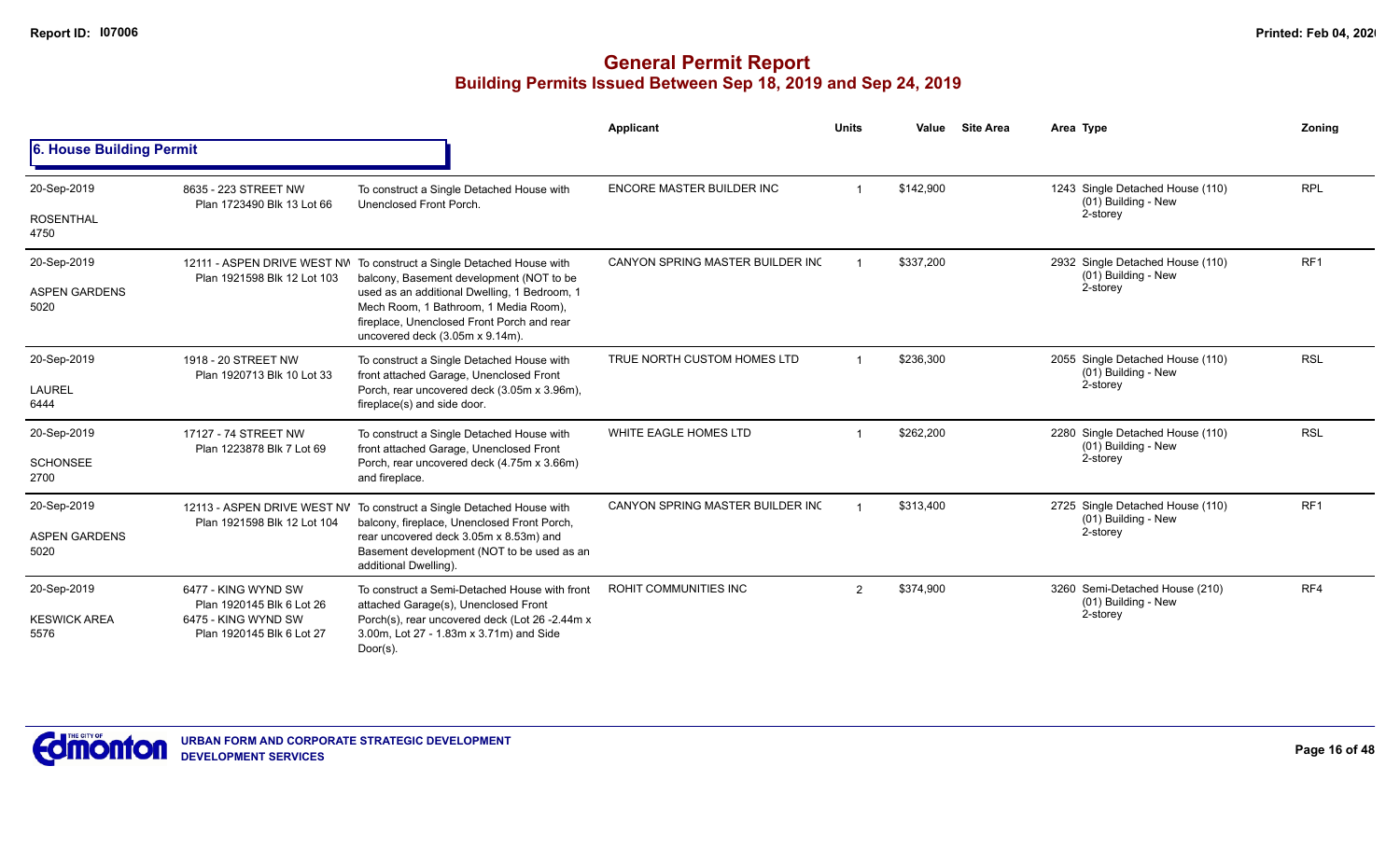|                              |                                                    |                                                                                                                                                                        | Applicant                        | <b>Units</b>   | Value     | <b>Site Area</b> | Area Type                                               | Zoning          |
|------------------------------|----------------------------------------------------|------------------------------------------------------------------------------------------------------------------------------------------------------------------------|----------------------------------|----------------|-----------|------------------|---------------------------------------------------------|-----------------|
| 6. House Building Permit     |                                                    |                                                                                                                                                                        |                                  |                |           |                  |                                                         |                 |
| 20-Sep-2019                  | 8635 - 223 STREET NW<br>Plan 1723490 Blk 13 Lot 66 | To construct a Single Detached House with<br>Unenclosed Front Porch.                                                                                                   | <b>ENCORE MASTER BUILDER INC</b> |                | \$142,900 |                  | 1243 Single Detached House (110)<br>(01) Building - New | <b>RPL</b>      |
| <b>ROSENTHAL</b><br>4750     |                                                    |                                                                                                                                                                        |                                  |                |           |                  | 2-storey                                                |                 |
| 20-Sep-2019                  | Plan 1921598 Blk 12 Lot 103                        | 12111 - ASPEN DRIVE WEST NW To construct a Single Detached House with<br>balcony, Basement development (NOT to be                                                      | CANYON SPRING MASTER BUILDER INC |                | \$337,200 |                  | 2932 Single Detached House (110)<br>(01) Building - New | RF <sub>1</sub> |
| <b>ASPEN GARDENS</b><br>5020 |                                                    | used as an additional Dwelling, 1 Bedroom, 1<br>Mech Room, 1 Bathroom, 1 Media Room),<br>fireplace, Unenclosed Front Porch and rear<br>uncovered deck (3.05m x 9.14m). |                                  |                |           |                  | 2-storey                                                |                 |
| 20-Sep-2019                  | 1918 - 20 STREET NW<br>Plan 1920713 Blk 10 Lot 33  | To construct a Single Detached House with<br>front attached Garage, Unenclosed Front                                                                                   | TRUE NORTH CUSTOM HOMES LTD      |                | \$236,300 |                  | 2055 Single Detached House (110)<br>(01) Building - New | <b>RSL</b>      |
| LAUREL<br>6444               |                                                    | Porch, rear uncovered deck (3.05m x 3.96m),<br>fireplace(s) and side door.                                                                                             |                                  |                |           |                  | 2-storey                                                |                 |
| 20-Sep-2019                  | 17127 - 74 STREET NW<br>Plan 1223878 Blk 7 Lot 69  | To construct a Single Detached House with<br>front attached Garage, Unenclosed Front                                                                                   | WHITE EAGLE HOMES LTD            |                | \$262.200 |                  | 2280 Single Detached House (110)<br>(01) Building - New | <b>RSL</b>      |
| <b>SCHONSEE</b><br>2700      |                                                    | Porch, rear uncovered deck (4.75m x 3.66m)<br>and fireplace.                                                                                                           |                                  |                |           |                  | 2-storey                                                |                 |
| 20-Sep-2019                  | Plan 1921598 Blk 12 Lot 104                        | 12113 - ASPEN DRIVE WEST NV To construct a Single Detached House with<br>balcony, fireplace, Unenclosed Front Porch,                                                   | CANYON SPRING MASTER BUILDER INC |                | \$313,400 |                  | 2725 Single Detached House (110)<br>(01) Building - New | RF <sub>1</sub> |
| <b>ASPEN GARDENS</b><br>5020 |                                                    | rear uncovered deck 3.05m x 8.53m) and<br>Basement development (NOT to be used as an<br>additional Dwelling).                                                          |                                  |                |           |                  | 2-storey                                                |                 |
| 20-Sep-2019                  | 6477 - KING WYND SW<br>Plan 1920145 Blk 6 Lot 26   | To construct a Semi-Detached House with front<br>attached Garage(s), Unenclosed Front                                                                                  | ROHIT COMMUNITIES INC            | $\mathfrak{p}$ | \$374,900 |                  | 3260 Semi-Detached House (210)<br>(01) Building - New   | RF4             |
| <b>KESWICK AREA</b><br>5576  | 6475 - KING WYND SW<br>Plan 1920145 Blk 6 Lot 27   | Porch(s), rear uncovered deck (Lot 26 -2.44m x<br>3.00m, Lot 27 - 1.83m x 3.71m) and Side<br>$Door(s)$ .                                                               |                                  |                |           |                  | 2-storey                                                |                 |

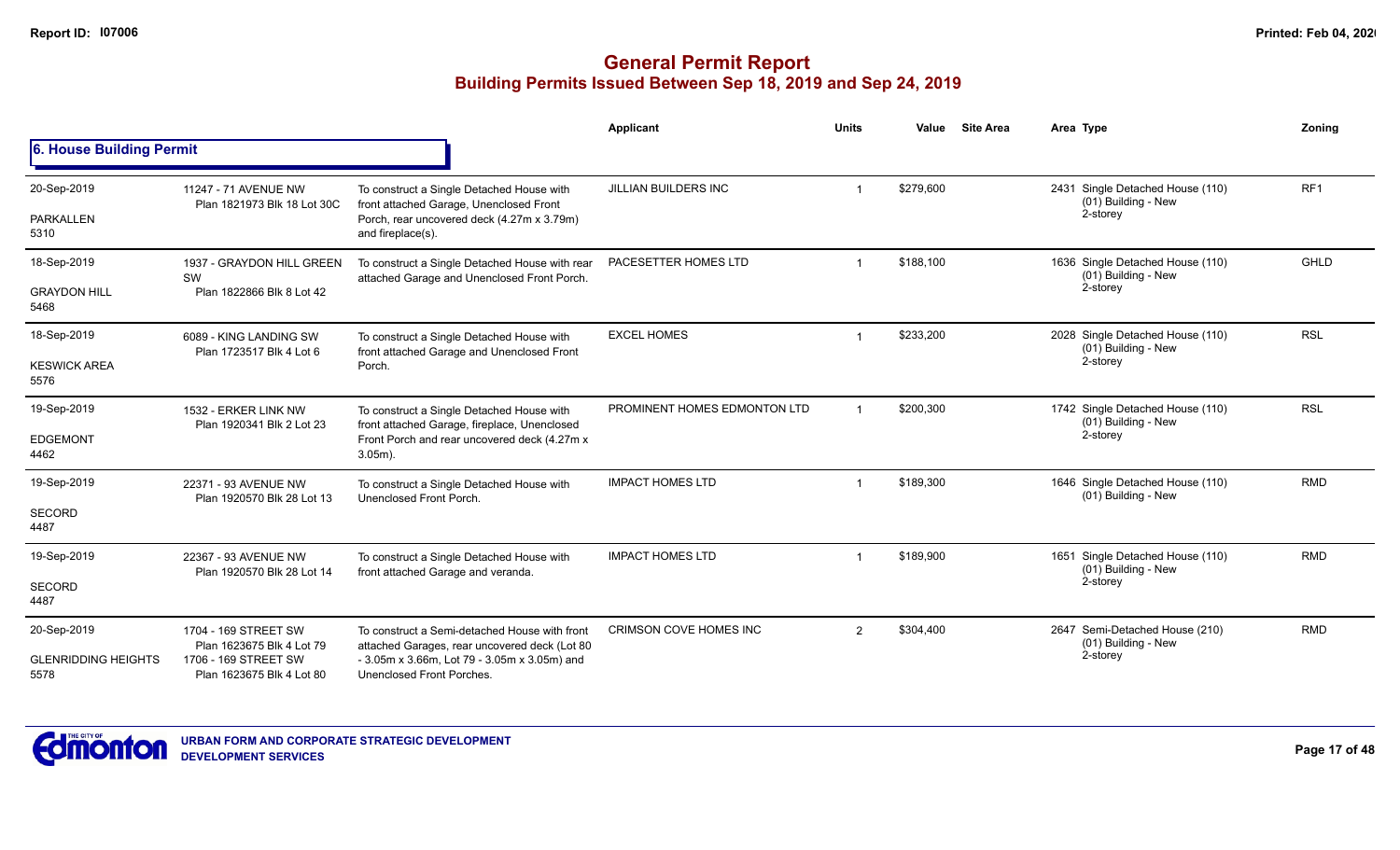|                                    |                                                     |                                                                                                | Applicant                     | <b>Units</b>   | Value     | <b>Site Area</b> | Area Type                                               | Zoning          |
|------------------------------------|-----------------------------------------------------|------------------------------------------------------------------------------------------------|-------------------------------|----------------|-----------|------------------|---------------------------------------------------------|-----------------|
| 6. House Building Permit           |                                                     |                                                                                                |                               |                |           |                  |                                                         |                 |
| 20-Sep-2019                        | 11247 - 71 AVENUE NW<br>Plan 1821973 Blk 18 Lot 30C | To construct a Single Detached House with<br>front attached Garage, Unenclosed Front           | JILLIAN BUILDERS INC          |                | \$279,600 |                  | 2431 Single Detached House (110)<br>(01) Building - New | RF <sub>1</sub> |
| PARKALLEN<br>5310                  |                                                     | Porch, rear uncovered deck (4.27m x 3.79m)<br>and fireplace(s).                                |                               |                |           |                  | 2-storey                                                |                 |
| 18-Sep-2019                        | 1937 - GRAYDON HILL GREEN<br>SW                     | To construct a Single Detached House with rear<br>attached Garage and Unenclosed Front Porch.  | PACESETTER HOMES LTD          |                | \$188,100 |                  | 1636 Single Detached House (110)<br>(01) Building - New | <b>GHLD</b>     |
| <b>GRAYDON HILL</b><br>5468        | Plan 1822866 Blk 8 Lot 42                           |                                                                                                |                               |                |           |                  | 2-storey                                                |                 |
| 18-Sep-2019                        | 6089 - KING LANDING SW<br>Plan 1723517 Blk 4 Lot 6  | To construct a Single Detached House with<br>front attached Garage and Unenclosed Front        | <b>EXCEL HOMES</b>            |                | \$233,200 |                  | 2028 Single Detached House (110)<br>(01) Building - New | <b>RSL</b>      |
| <b>KESWICK AREA</b><br>5576        |                                                     | Porch.                                                                                         |                               |                |           |                  | 2-storey                                                |                 |
| 19-Sep-2019                        | 1532 - ERKER LINK NW<br>Plan 1920341 Blk 2 Lot 23   | To construct a Single Detached House with<br>front attached Garage, fireplace, Unenclosed      | PROMINENT HOMES EDMONTON LTD  |                | \$200,300 |                  | 1742 Single Detached House (110)<br>(01) Building - New | <b>RSL</b>      |
| <b>EDGEMONT</b><br>4462            |                                                     | Front Porch and rear uncovered deck (4.27m x<br>$3.05m$ ).                                     |                               |                |           |                  | 2-storey                                                |                 |
| 19-Sep-2019                        | 22371 - 93 AVENUE NW<br>Plan 1920570 Blk 28 Lot 13  | To construct a Single Detached House with<br>Unenclosed Front Porch.                           | <b>IMPACT HOMES LTD</b>       |                | \$189,300 |                  | 1646 Single Detached House (110)<br>(01) Building - New | <b>RMD</b>      |
| SECORD<br>4487                     |                                                     |                                                                                                |                               |                |           |                  |                                                         |                 |
| 19-Sep-2019                        | 22367 - 93 AVENUE NW<br>Plan 1920570 Blk 28 Lot 14  | To construct a Single Detached House with<br>front attached Garage and veranda.                | <b>IMPACT HOMES LTD</b>       |                | \$189,900 |                  | 1651 Single Detached House (110)<br>(01) Building - New | <b>RMD</b>      |
| SECORD<br>4487                     |                                                     |                                                                                                |                               |                |           |                  | 2-storey                                                |                 |
| 20-Sep-2019                        | 1704 - 169 STREET SW<br>Plan 1623675 Blk 4 Lot 79   | To construct a Semi-detached House with front<br>attached Garages, rear uncovered deck (Lot 80 | <b>CRIMSON COVE HOMES INC</b> | $\overline{2}$ | \$304,400 |                  | 2647 Semi-Detached House (210)<br>(01) Building - New   | <b>RMD</b>      |
| <b>GLENRIDDING HEIGHTS</b><br>5578 | 1706 - 169 STREET SW<br>Plan 1623675 Blk 4 Lot 80   | - 3.05m x 3.66m, Lot 79 - 3.05m x 3.05m) and<br>Unenclosed Front Porches.                      |                               |                |           |                  | 2-storey                                                |                 |

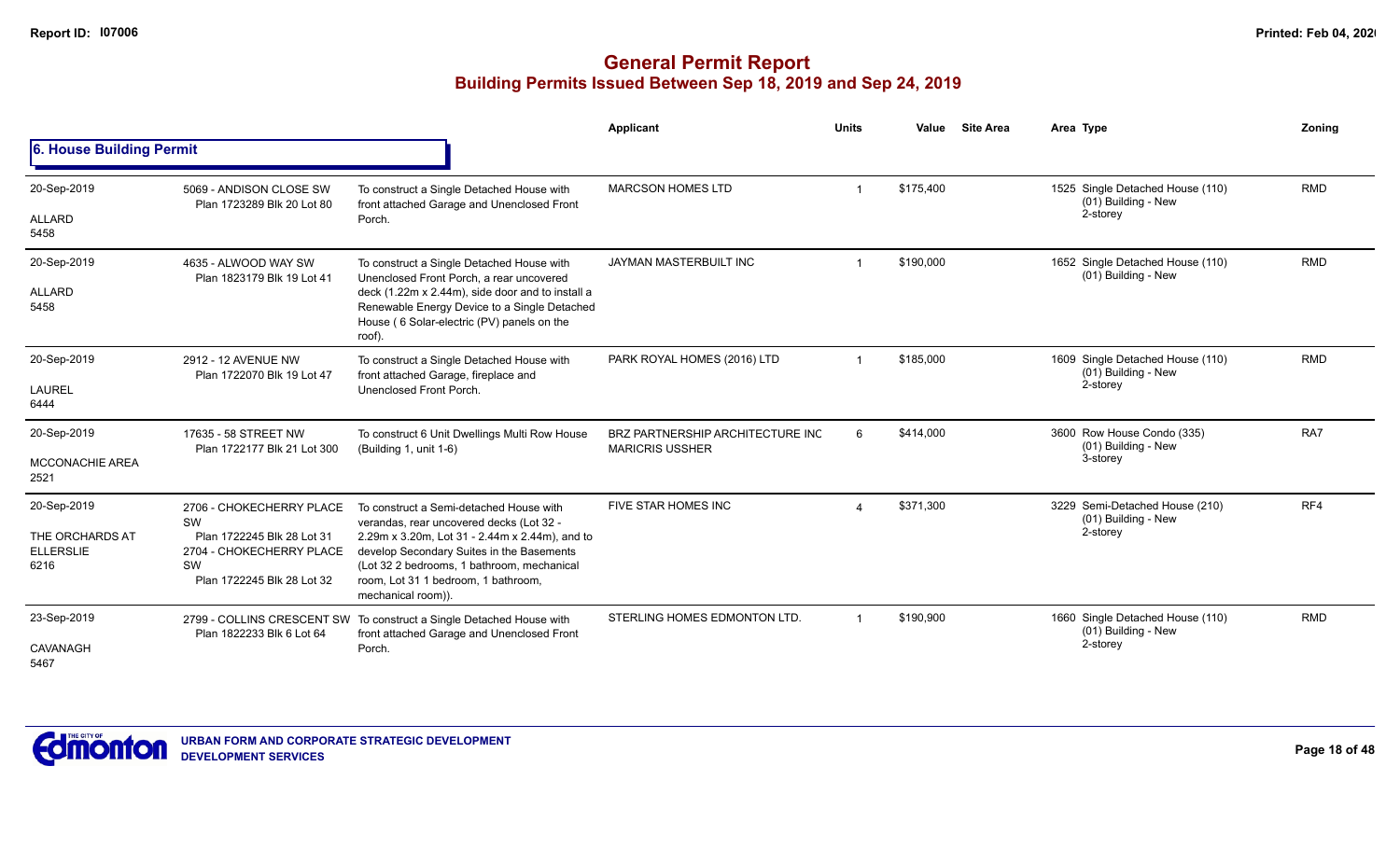|                                                            |                                                                                                                              |                                                                                                                                                                                                                                                                                               | Applicant                                                  | <b>Units</b>           | Value     | <b>Site Area</b> | Area Type                                                           | Zoning     |
|------------------------------------------------------------|------------------------------------------------------------------------------------------------------------------------------|-----------------------------------------------------------------------------------------------------------------------------------------------------------------------------------------------------------------------------------------------------------------------------------------------|------------------------------------------------------------|------------------------|-----------|------------------|---------------------------------------------------------------------|------------|
| 6. House Building Permit                                   |                                                                                                                              |                                                                                                                                                                                                                                                                                               |                                                            |                        |           |                  |                                                                     |            |
| 20-Sep-2019<br>ALLARD<br>5458                              | 5069 - ANDISON CLOSE SW<br>Plan 1723289 Blk 20 Lot 80                                                                        | To construct a Single Detached House with<br>front attached Garage and Unenclosed Front<br>Porch.                                                                                                                                                                                             | <b>MARCSON HOMES LTD</b>                                   |                        | \$175.400 |                  | 1525 Single Detached House (110)<br>(01) Building - New<br>2-storey | <b>RMD</b> |
| 20-Sep-2019<br>ALLARD<br>5458                              | 4635 - ALWOOD WAY SW<br>Plan 1823179 Blk 19 Lot 41                                                                           | To construct a Single Detached House with<br>Unenclosed Front Porch, a rear uncovered<br>deck (1.22m x 2.44m), side door and to install a<br>Renewable Energy Device to a Single Detached<br>House (6 Solar-electric (PV) panels on the<br>roof).                                             | JAYMAN MASTERBUILT INC                                     |                        | \$190,000 |                  | 1652 Single Detached House (110)<br>(01) Building - New             | <b>RMD</b> |
| 20-Sep-2019<br><b>LAUREL</b><br>6444                       | 2912 - 12 AVENUE NW<br>Plan 1722070 Blk 19 Lot 47                                                                            | To construct a Single Detached House with<br>front attached Garage, fireplace and<br>Unenclosed Front Porch.                                                                                                                                                                                  | PARK ROYAL HOMES (2016) LTD                                |                        | \$185,000 |                  | 1609 Single Detached House (110)<br>(01) Building - New<br>2-storey | <b>RMD</b> |
| 20-Sep-2019<br><b>MCCONACHIE AREA</b><br>2521              | 17635 - 58 STREET NW<br>Plan 1722177 Blk 21 Lot 300                                                                          | To construct 6 Unit Dwellings Multi Row House<br>(Building 1, unit 1-6)                                                                                                                                                                                                                       | BRZ PARTNERSHIP ARCHITECTURE INC<br><b>MARICRIS USSHER</b> | 6                      | \$414,000 |                  | 3600 Row House Condo (335)<br>(01) Building - New<br>3-storey       | RA7        |
| 20-Sep-2019<br>THE ORCHARDS AT<br><b>ELLERSLIE</b><br>6216 | 2706 - CHOKECHERRY PLACE<br>SW<br>Plan 1722245 Blk 28 Lot 31<br>2704 - CHOKECHERRY PLACE<br>SW<br>Plan 1722245 Blk 28 Lot 32 | To construct a Semi-detached House with<br>verandas, rear uncovered decks (Lot 32 -<br>2.29m x 3.20m, Lot 31 - 2.44m x 2.44m), and to<br>develop Secondary Suites in the Basements<br>(Lot 32 2 bedrooms, 1 bathroom, mechanical<br>room, Lot 31 1 bedroom, 1 bathroom,<br>mechanical room)). | FIVE STAR HOMES INC                                        | $\boldsymbol{\Lambda}$ | \$371.300 |                  | 3229 Semi-Detached House (210)<br>(01) Building - New<br>2-storey   | RF4        |
| 23-Sep-2019<br>CAVANAGH<br>5467                            | 2799 - COLLINS CRESCENT SW<br>Plan 1822233 Blk 6 Lot 64                                                                      | To construct a Single Detached House with<br>front attached Garage and Unenclosed Front<br>Porch.                                                                                                                                                                                             | STERLING HOMES EDMONTON LTD.                               | -1                     | \$190,900 |                  | 1660 Single Detached House (110)<br>(01) Building - New<br>2-storey | <b>RMD</b> |

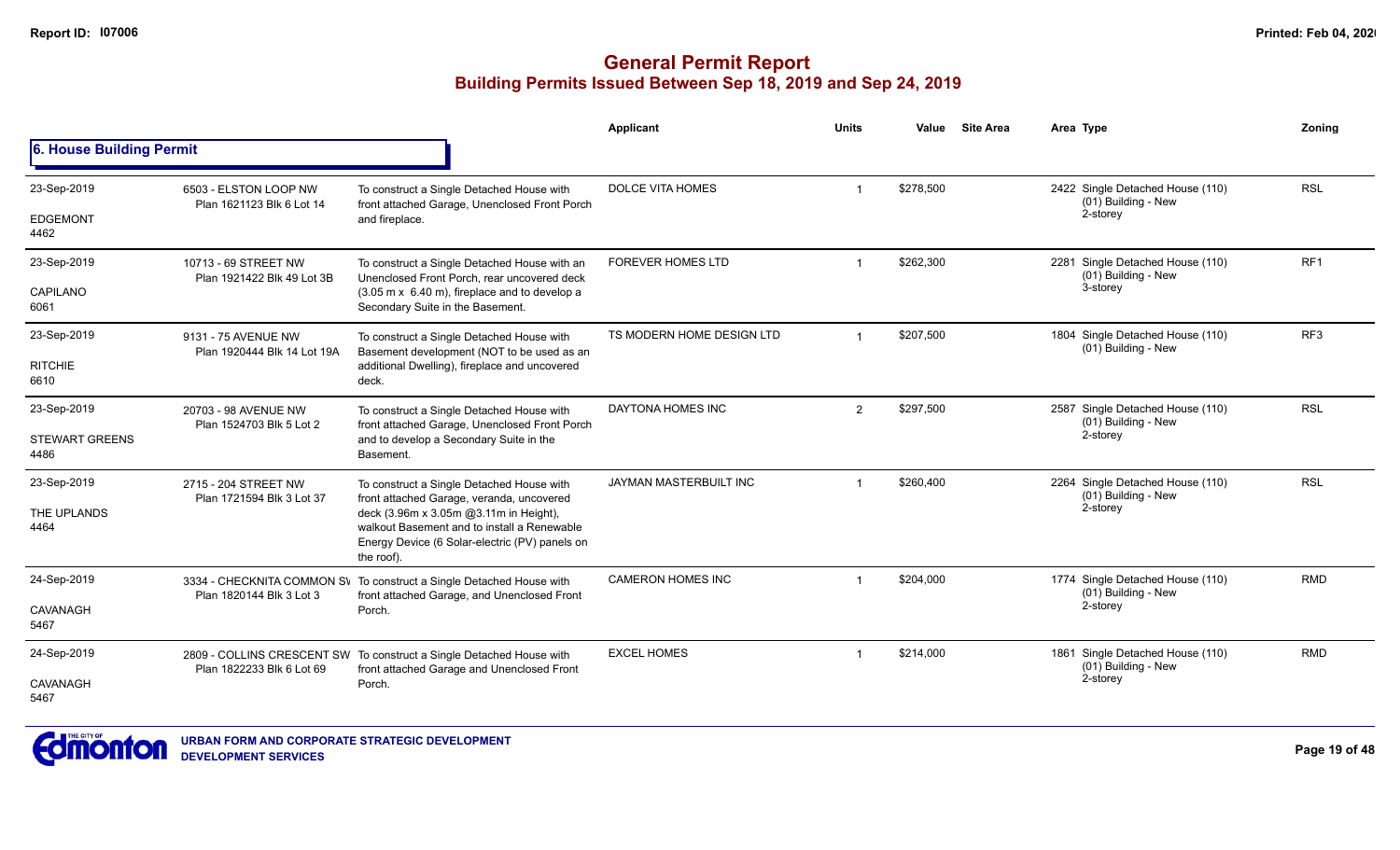|                               |                                                    |                                                                                                                                                       | Applicant                 | <b>Units</b>   | Value     | <b>Site Area</b> | Area Type                                               |                                                         | Zoning          |
|-------------------------------|----------------------------------------------------|-------------------------------------------------------------------------------------------------------------------------------------------------------|---------------------------|----------------|-----------|------------------|---------------------------------------------------------|---------------------------------------------------------|-----------------|
| 6. House Building Permit      |                                                    |                                                                                                                                                       |                           |                |           |                  |                                                         |                                                         |                 |
| 23-Sep-2019                   | 6503 - ELSTON LOOP NW<br>Plan 1621123 Blk 6 Lot 14 | To construct a Single Detached House with<br>front attached Garage, Unenclosed Front Porch                                                            | <b>DOLCE VITA HOMES</b>   |                | \$278,500 |                  |                                                         | 2422 Single Detached House (110)<br>(01) Building - New | <b>RSL</b>      |
| <b>EDGEMONT</b><br>4462       |                                                    | and fireplace.                                                                                                                                        |                           |                |           |                  |                                                         | 2-storey                                                |                 |
| 23-Sep-2019                   | 10713 - 69 STREET NW<br>Plan 1921422 Blk 49 Lot 3B | To construct a Single Detached House with an<br>Unenclosed Front Porch, rear uncovered deck                                                           | <b>FOREVER HOMES LTD</b>  |                | \$262,300 |                  | 2281 Single Detached House (110)<br>(01) Building - New |                                                         | RF <sub>1</sub> |
| <b>CAPILANO</b><br>6061       |                                                    | (3.05 m x 6.40 m), fireplace and to develop a<br>Secondary Suite in the Basement.                                                                     |                           |                |           |                  |                                                         | 3-storey                                                |                 |
| 23-Sep-2019                   | 9131 - 75 AVENUE NW<br>Plan 1920444 Blk 14 Lot 19A | To construct a Single Detached House with<br>Basement development (NOT to be used as an                                                               | TS MODERN HOME DESIGN LTD |                | \$207,500 |                  |                                                         | 1804 Single Detached House (110)<br>(01) Building - New | RF <sub>3</sub> |
| <b>RITCHIE</b><br>6610        |                                                    | additional Dwelling), fireplace and uncovered<br>deck.                                                                                                |                           |                |           |                  |                                                         |                                                         |                 |
| 23-Sep-2019                   | 20703 - 98 AVENUE NW                               | To construct a Single Detached House with<br>front attached Garage, Unenclosed Front Porch                                                            | DAYTONA HOMES INC         | $\overline{2}$ | \$297,500 |                  |                                                         | 2587 Single Detached House (110)<br>(01) Building - New | <b>RSL</b>      |
| <b>STEWART GREENS</b><br>4486 | Plan 1524703 Blk 5 Lot 2                           | and to develop a Secondary Suite in the<br>Basement.                                                                                                  |                           |                |           |                  |                                                         | 2-storey                                                |                 |
| 23-Sep-2019                   | 2715 - 204 STREET NW<br>Plan 1721594 Blk 3 Lot 37  | To construct a Single Detached House with<br>front attached Garage, veranda, uncovered                                                                | JAYMAN MASTERBUILT INC    |                | \$260,400 |                  |                                                         | 2264 Single Detached House (110)<br>(01) Building - New | <b>RSL</b>      |
| THE UPLANDS<br>4464           |                                                    | deck (3.96m x 3.05m @3.11m in Height),<br>walkout Basement and to install a Renewable<br>Energy Device (6 Solar-electric (PV) panels on<br>the roof). |                           |                |           |                  |                                                         | 2-storey                                                |                 |
| 24-Sep-2019                   | 3334 - CHECKNITA COMMON SV                         | To construct a Single Detached House with<br>front attached Garage, and Unenclosed Front                                                              | <b>CAMERON HOMES INC</b>  |                | \$204,000 |                  |                                                         | 1774 Single Detached House (110)                        | <b>RMD</b>      |
| <b>CAVANAGH</b><br>5467       | Plan 1820144 Blk 3 Lot 3                           | Porch.                                                                                                                                                |                           |                |           |                  |                                                         | (01) Building - New<br>2-storey                         |                 |
| 24-Sep-2019                   | Plan 1822233 Blk 6 Lot 69                          | <b>EXCEL HOMES</b><br>2809 - COLLINS CRESCENT SW To construct a Single Detached House with<br>front attached Garage and Unenclosed Front              |                           |                | \$214,000 |                  | 1861 Single Detached House (110)                        | (01) Building - New                                     | <b>RMD</b>      |
| CAVANAGH<br>5467              |                                                    | Porch.                                                                                                                                                |                           |                |           |                  |                                                         | 2-storey                                                |                 |

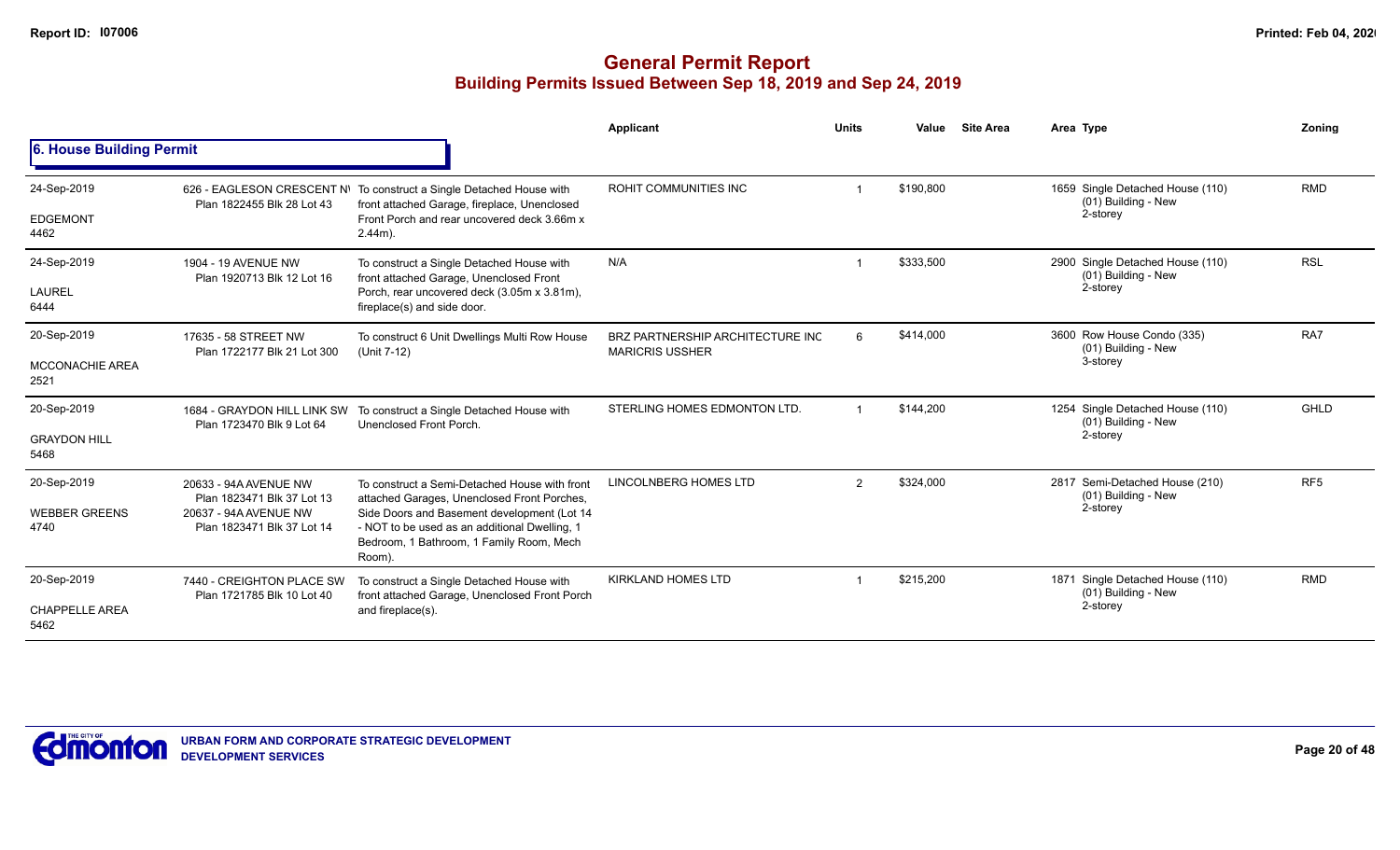|                                |                                                          |                                                                                                                                                    | Applicant                                                  | <b>Units</b>   | Value     | <b>Site Area</b> | Area Type                                                  | Zonina          |
|--------------------------------|----------------------------------------------------------|----------------------------------------------------------------------------------------------------------------------------------------------------|------------------------------------------------------------|----------------|-----------|------------------|------------------------------------------------------------|-----------------|
| 6. House Building Permit       |                                                          |                                                                                                                                                    |                                                            |                |           |                  |                                                            |                 |
| 24-Sep-2019                    | Plan 1822455 Blk 28 Lot 43                               | 626 - EAGLESON CRESCENT N\ To construct a Single Detached House with<br>front attached Garage, fireplace, Unenclosed                               | ROHIT COMMUNITIES INC                                      |                | \$190,800 |                  | 1659 Single Detached House (110)<br>(01) Building - New    | <b>RMD</b>      |
| <b>EDGEMONT</b><br>4462        |                                                          | Front Porch and rear uncovered deck 3.66m x<br>$2.44m$ ).                                                                                          |                                                            |                |           |                  | 2-storey                                                   |                 |
| 24-Sep-2019                    | 1904 - 19 AVENUE NW<br>Plan 1920713 Blk 12 Lot 16        | To construct a Single Detached House with<br>front attached Garage, Unenclosed Front                                                               | N/A                                                        |                | \$333,500 |                  | 2900 Single Detached House (110)<br>(01) Building - New    | <b>RSL</b>      |
| <b>LAUREL</b><br>6444          |                                                          | Porch, rear uncovered deck (3.05m x 3.81m),<br>fireplace(s) and side door.                                                                         |                                                            |                |           |                  | 2-storey                                                   |                 |
| 20-Sep-2019                    | 17635 - 58 STREET NW<br>Plan 1722177 Blk 21 Lot 300      | To construct 6 Unit Dwellings Multi Row House<br>(Unit 7-12)                                                                                       | BRZ PARTNERSHIP ARCHITECTURE INC<br><b>MARICRIS USSHER</b> | 6              | \$414,000 |                  | 3600 Row House Condo (335)<br>(01) Building - New          | RA7             |
| <b>MCCONACHIE AREA</b><br>2521 |                                                          |                                                                                                                                                    |                                                            |                |           |                  | 3-storey                                                   |                 |
| 20-Sep-2019                    | 1684 - GRAYDON HILL LINK SW<br>Plan 1723470 Blk 9 Lot 64 | To construct a Single Detached House with<br>Unenclosed Front Porch.                                                                               | STERLING HOMES EDMONTON LTD.                               | $\overline{1}$ | \$144,200 |                  | 1254 Single Detached House (110)<br>(01) Building - New    | <b>GHLD</b>     |
| <b>GRAYDON HILL</b><br>5468    |                                                          |                                                                                                                                                    |                                                            |                |           |                  | 2-storey                                                   |                 |
| 20-Sep-2019                    | 20633 - 94A AVENUE NW<br>Plan 1823471 Blk 37 Lot 13      | To construct a Semi-Detached House with front<br>attached Garages, Unenclosed Front Porches,                                                       | <b>LINCOLNBERG HOMES LTD</b>                               | $\overline{2}$ | \$324,000 |                  | 2817 Semi-Detached House (210)<br>(01) Building - New      | RF <sub>5</sub> |
| <b>WEBBER GREENS</b><br>4740   | 20637 - 94A AVENUE NW<br>Plan 1823471 Blk 37 Lot 14      | Side Doors and Basement development (Lot 14<br>- NOT to be used as an additional Dwelling, 1<br>Bedroom, 1 Bathroom, 1 Family Room, Mech<br>Room). |                                                            |                |           |                  | 2-storey                                                   |                 |
| 20-Sep-2019                    | 7440 - CREIGHTON PLACE SW<br>Plan 1721785 Blk 10 Lot 40  | To construct a Single Detached House with<br>front attached Garage, Unenclosed Front Porch                                                         | <b>KIRKLAND HOMES LTD</b>                                  |                | \$215,200 |                  | Single Detached House (110)<br>1871<br>(01) Building - New | <b>RMD</b>      |
| <b>CHAPPELLE AREA</b><br>5462  |                                                          | and fireplace(s).                                                                                                                                  |                                                            |                |           |                  | 2-storey                                                   |                 |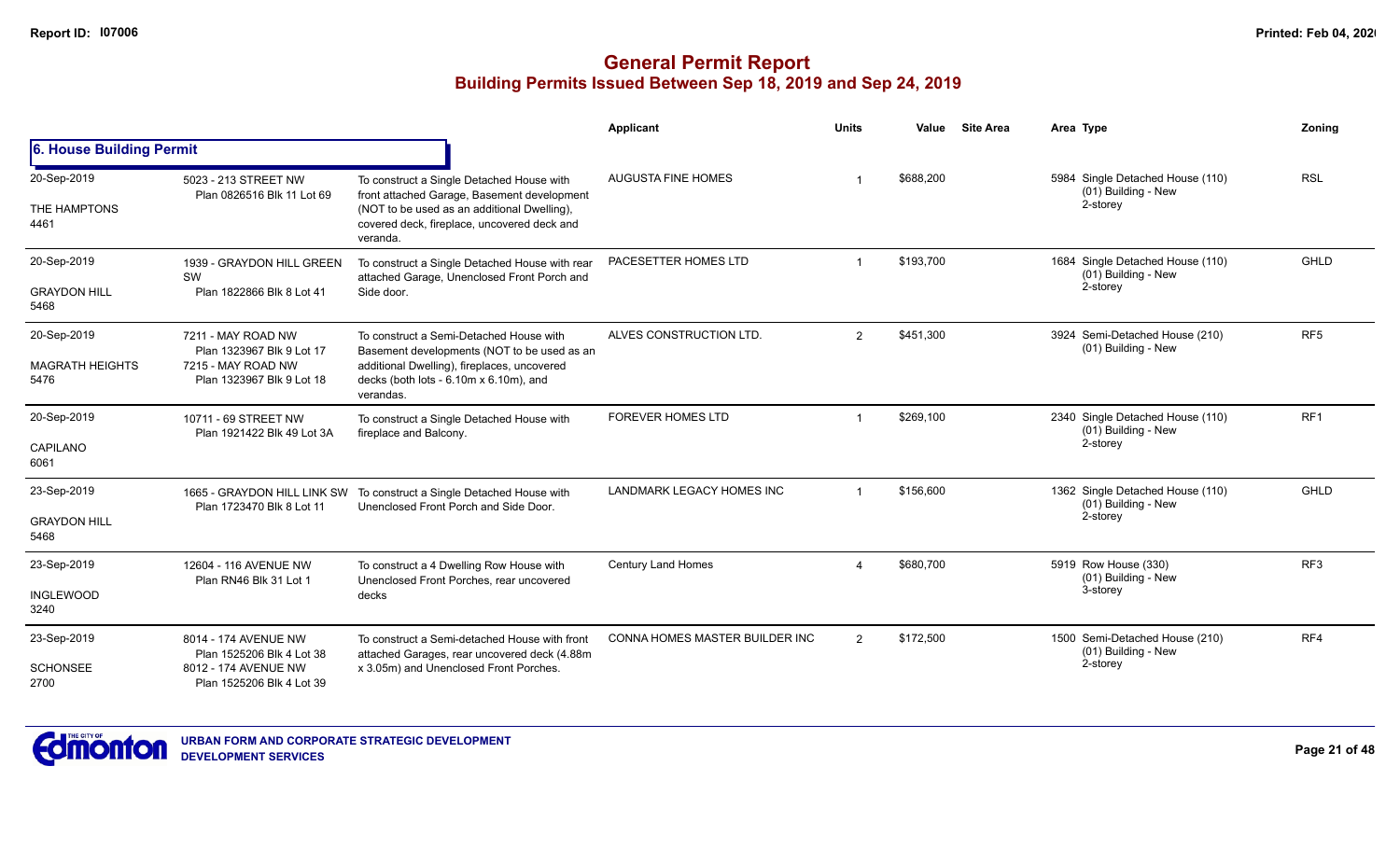|                                |                                                          |                                                                                                                                         | Applicant                        | <b>Units</b>             | Value     | <b>Site Area</b> | Area Type                                                           | Zoning          |
|--------------------------------|----------------------------------------------------------|-----------------------------------------------------------------------------------------------------------------------------------------|----------------------------------|--------------------------|-----------|------------------|---------------------------------------------------------------------|-----------------|
| 6. House Building Permit       |                                                          |                                                                                                                                         |                                  |                          |           |                  |                                                                     |                 |
| 20-Sep-2019<br>THE HAMPTONS    | 5023 - 213 STREET NW<br>Plan 0826516 Blk 11 Lot 69       | To construct a Single Detached House with<br>front attached Garage, Basement development<br>(NOT to be used as an additional Dwelling), | <b>AUGUSTA FINE HOMES</b>        |                          | \$688,200 |                  | 5984 Single Detached House (110)<br>(01) Building - New<br>2-storey | <b>RSL</b>      |
| 4461                           |                                                          | covered deck, fireplace, uncovered deck and<br>veranda.                                                                                 |                                  |                          |           |                  |                                                                     |                 |
| 20-Sep-2019                    | 1939 - GRAYDON HILL GREEN<br>SW                          | To construct a Single Detached House with rear<br>attached Garage, Unenclosed Front Porch and                                           | PACESETTER HOMES LTD             |                          | \$193,700 |                  | 1684 Single Detached House (110)<br>(01) Building - New             | <b>GHLD</b>     |
| <b>GRAYDON HILL</b><br>5468    | Plan 1822866 Blk 8 Lot 41                                | Side door.                                                                                                                              |                                  |                          |           |                  | 2-storey                                                            |                 |
| 20-Sep-2019                    | 7211 - MAY ROAD NW<br>Plan 1323967 Blk 9 Lot 17          | To construct a Semi-Detached House with<br>Basement developments (NOT to be used as an                                                  | ALVES CONSTRUCTION LTD.          | 2                        | \$451,300 |                  | 3924 Semi-Detached House (210)<br>(01) Building - New               | RF <sub>5</sub> |
| <b>MAGRATH HEIGHTS</b><br>5476 | 7215 - MAY ROAD NW<br>Plan 1323967 Blk 9 Lot 18          | additional Dwelling), fireplaces, uncovered<br>decks (both lots - $6.10m \times 6.10m$ ), and<br>verandas.                              |                                  |                          |           |                  |                                                                     |                 |
| 20-Sep-2019                    | 10711 - 69 STREET NW<br>Plan 1921422 Blk 49 Lot 3A       | To construct a Single Detached House with<br>fireplace and Balcony.                                                                     | <b>FOREVER HOMES LTD</b>         |                          | \$269,100 |                  | 2340 Single Detached House (110)<br>(01) Building - New             | RF1             |
| CAPILANO<br>6061               |                                                          |                                                                                                                                         |                                  |                          |           |                  | 2-storey                                                            |                 |
| 23-Sep-2019                    | 1665 - GRAYDON HILL LINK SW<br>Plan 1723470 Blk 8 Lot 11 | To construct a Single Detached House with<br>Unenclosed Front Porch and Side Door.                                                      | <b>LANDMARK LEGACY HOMES INC</b> |                          | \$156,600 |                  | 1362 Single Detached House (110)<br>(01) Building - New             | <b>GHLD</b>     |
| <b>GRAYDON HILL</b><br>5468    |                                                          |                                                                                                                                         |                                  |                          |           |                  | 2-storey                                                            |                 |
| 23-Sep-2019                    | 12604 - 116 AVENUE NW<br>Plan RN46 Blk 31 Lot 1          | To construct a 4 Dwelling Row House with<br>Unenclosed Front Porches, rear uncovered                                                    | <b>Century Land Homes</b>        | $\boldsymbol{\varDelta}$ | \$680,700 |                  | 5919 Row House (330)<br>(01) Building - New                         | RF <sub>3</sub> |
| <b>INGLEWOOD</b><br>3240       |                                                          | decks                                                                                                                                   |                                  |                          |           |                  | 3-storey                                                            |                 |
| 23-Sep-2019                    | 8014 - 174 AVENUE NW<br>Plan 1525206 Blk 4 Lot 38        | To construct a Semi-detached House with front<br>attached Garages, rear uncovered deck (4.88m                                           | CONNA HOMES MASTER BUILDER INC   | 2                        | \$172,500 |                  | 1500 Semi-Detached House (210)<br>(01) Building - New               | RF4             |
| <b>SCHONSEE</b><br>2700        | 8012 - 174 AVENUE NW<br>Plan 1525206 Blk 4 Lot 39        | x 3.05m) and Unenclosed Front Porches.                                                                                                  |                                  |                          |           |                  | 2-storey                                                            |                 |

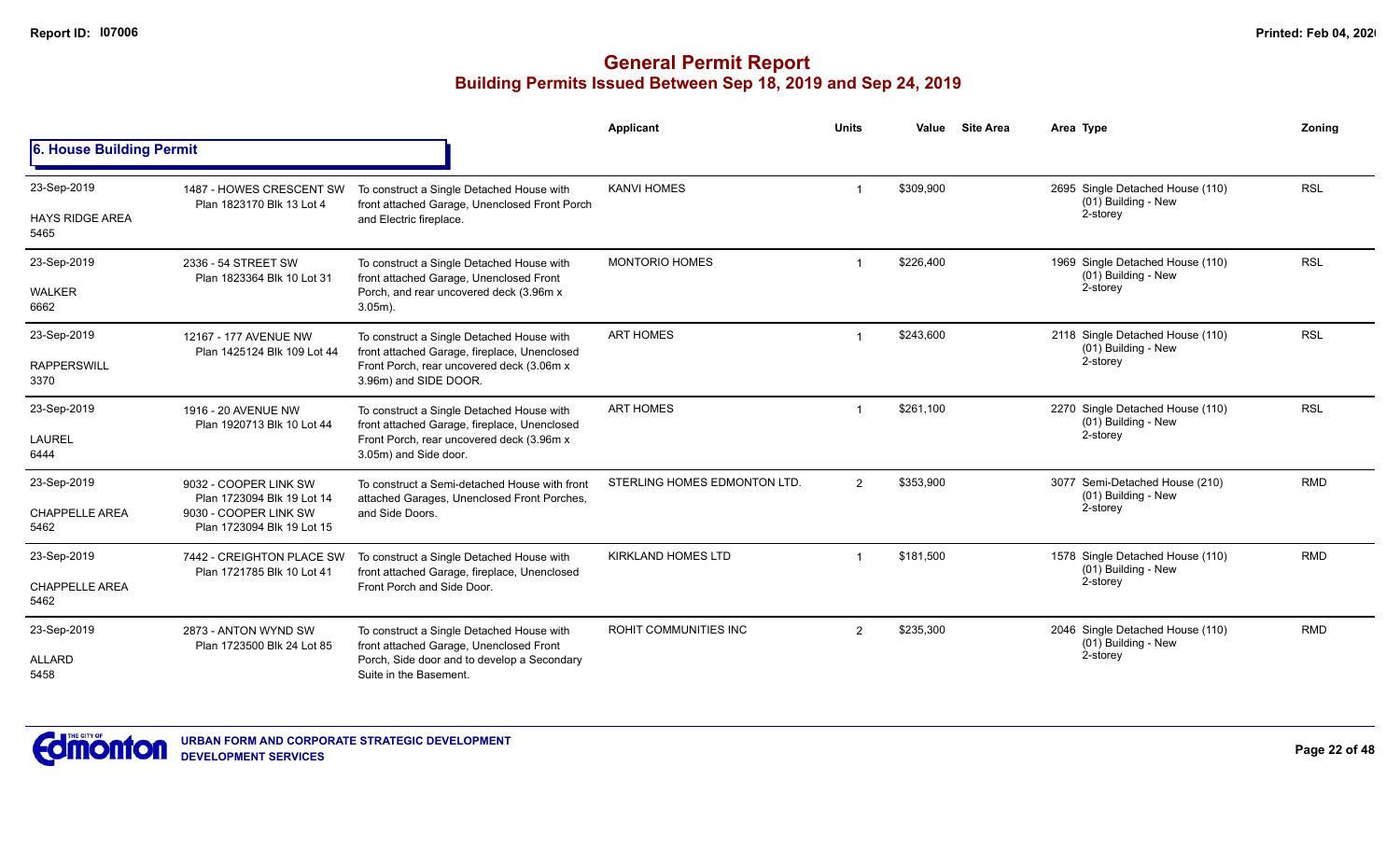|                                       |                                                       |                                                                                                                       | <b>Applicant</b>             | <b>Units</b>   | Value     | <b>Site Area</b> | Area Type                                                           | Zoning     |
|---------------------------------------|-------------------------------------------------------|-----------------------------------------------------------------------------------------------------------------------|------------------------------|----------------|-----------|------------------|---------------------------------------------------------------------|------------|
| 6. House Building Permit              |                                                       |                                                                                                                       |                              |                |           |                  |                                                                     |            |
| 23-Sep-2019<br><b>HAYS RIDGE AREA</b> | 1487 - HOWES CRESCENT SW<br>Plan 1823170 Blk 13 Lot 4 | To construct a Single Detached House with<br>front attached Garage, Unenclosed Front Porch<br>and Electric fireplace. | <b>KANVI HOMES</b>           |                | \$309,900 |                  | 2695 Single Detached House (110)<br>(01) Building - New<br>2-storey | <b>RSL</b> |
| 5465                                  |                                                       |                                                                                                                       |                              |                |           |                  |                                                                     |            |
| 23-Sep-2019                           | 2336 - 54 STREET SW<br>Plan 1823364 Blk 10 Lot 31     | To construct a Single Detached House with<br>front attached Garage, Unenclosed Front                                  | <b>MONTORIO HOMES</b>        |                | \$226,400 |                  | 1969 Single Detached House (110)<br>(01) Building - New             | <b>RSL</b> |
| <b>WALKER</b><br>6662                 |                                                       | Porch, and rear uncovered deck (3.96m x<br>$3.05m$ ).                                                                 |                              |                |           |                  | 2-storey                                                            |            |
| 23-Sep-2019                           | 12167 - 177 AVENUE NW<br>Plan 1425124 Blk 109 Lot 44  | To construct a Single Detached House with<br>front attached Garage, fireplace, Unenclosed                             | <b>ART HOMES</b>             | $\overline{1}$ | \$243.600 |                  | 2118 Single Detached House (110)<br>(01) Building - New             | <b>RSL</b> |
| <b>RAPPERSWILL</b><br>3370            |                                                       | Front Porch, rear uncovered deck (3.06m x<br>3.96m) and SIDE DOOR.                                                    |                              |                |           |                  | 2-storey                                                            |            |
| 23-Sep-2019                           | 1916 - 20 AVENUE NW<br>Plan 1920713 Blk 10 Lot 44     | To construct a Single Detached House with<br>front attached Garage, fireplace, Unenclosed                             | <b>ART HOMES</b>             | -1             | \$261,100 |                  | 2270 Single Detached House (110)<br>(01) Building - New             | <b>RSL</b> |
| LAUREL<br>6444                        |                                                       | Front Porch, rear uncovered deck (3.96m x<br>3.05m) and Side door.                                                    |                              |                |           |                  | 2-storey                                                            |            |
| 23-Sep-2019                           | 9032 - COOPER LINK SW<br>Plan 1723094 Blk 19 Lot 14   | To construct a Semi-detached House with front<br>attached Garages, Unenclosed Front Porches,                          | STERLING HOMES EDMONTON LTD. | $\overline{2}$ | \$353,900 |                  | 3077 Semi-Detached House (210)<br>(01) Building - New               | <b>RMD</b> |
| <b>CHAPPELLE AREA</b><br>5462         | 9030 - COOPER LINK SW<br>Plan 1723094 Blk 19 Lot 15   | and Side Doors.                                                                                                       |                              |                |           |                  | 2-storey                                                            |            |
| 23-Sep-2019                           | 7442 - CREIGHTON PLACE SW                             | To construct a Single Detached House with                                                                             | <b>KIRKLAND HOMES LTD</b>    |                | \$181,500 |                  | 1578 Single Detached House (110)<br>(01) Building - New             | <b>RMD</b> |
| <b>CHAPPELLE AREA</b><br>5462         | Plan 1721785 Blk 10 Lot 41                            | front attached Garage, fireplace, Unenclosed<br>Front Porch and Side Door.                                            |                              |                |           |                  | 2-storey                                                            |            |
| 23-Sep-2019                           | 2873 - ANTON WYND SW<br>Plan 1723500 Blk 24 Lot 85    | To construct a Single Detached House with<br>front attached Garage, Unenclosed Front                                  | ROHIT COMMUNITIES INC        | $\mathcal{P}$  | \$235,300 |                  | 2046 Single Detached House (110)<br>(01) Building - New             | <b>RMD</b> |
| <b>ALLARD</b><br>5458                 |                                                       | Porch, Side door and to develop a Secondary<br>Suite in the Basement.                                                 |                              |                |           |                  | 2-storey                                                            |            |

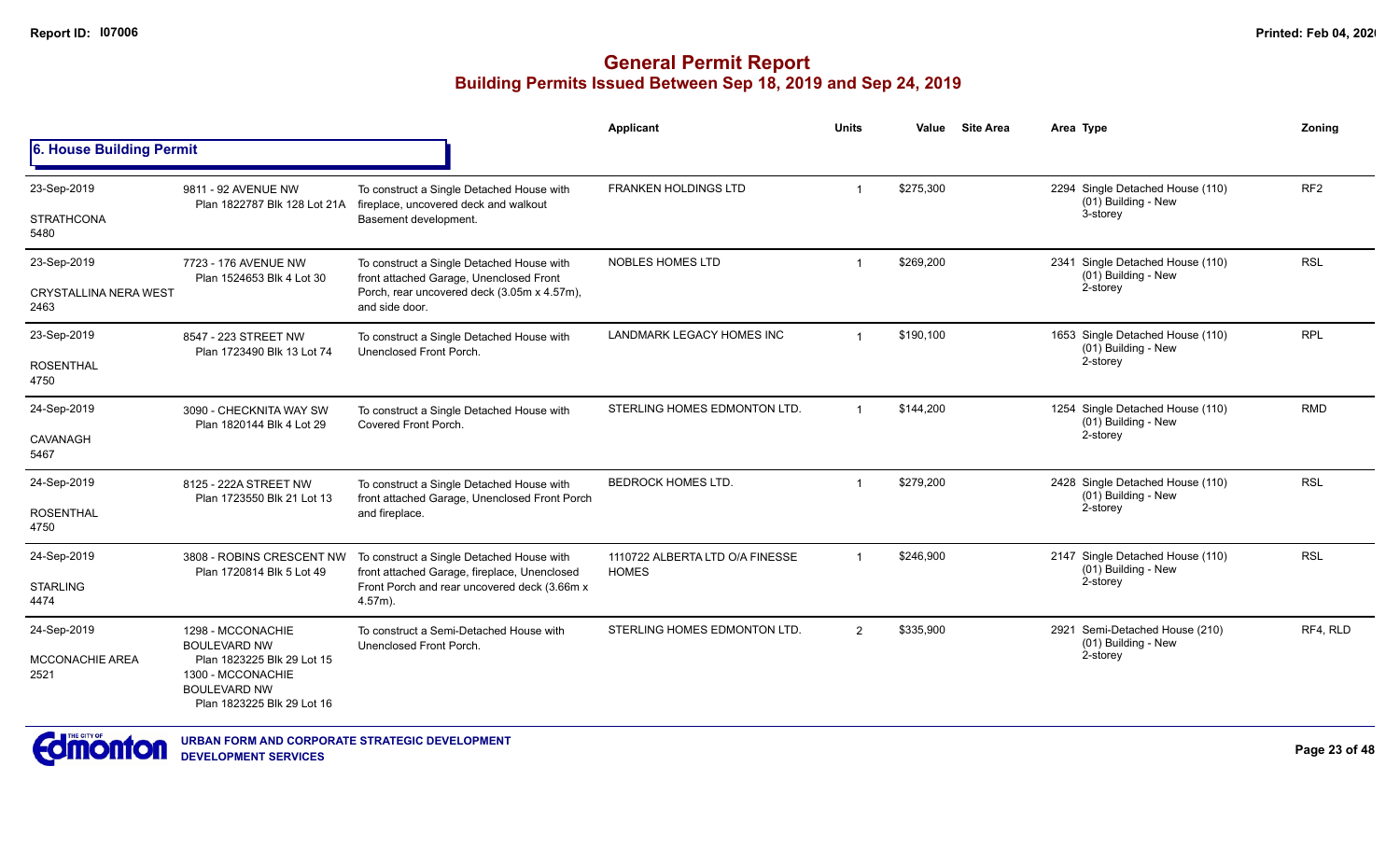|                                |                                                                                                      |                                                                                            | <b>Applicant</b>                                | <b>Units</b> | Value     | <b>Site Area</b> | Area Type                        |                                                         | Zoning          |
|--------------------------------|------------------------------------------------------------------------------------------------------|--------------------------------------------------------------------------------------------|-------------------------------------------------|--------------|-----------|------------------|----------------------------------|---------------------------------------------------------|-----------------|
| 6. House Building Permit       |                                                                                                      |                                                                                            |                                                 |              |           |                  |                                  |                                                         |                 |
| 23-Sep-2019                    | 9811 - 92 AVENUE NW<br>Plan 1822787 Blk 128 Lot 21A                                                  | To construct a Single Detached House with<br>fireplace, uncovered deck and walkout         | FRANKEN HOLDINGS LTD                            |              | \$275,300 |                  |                                  | 2294 Single Detached House (110)<br>(01) Building - New | RF <sub>2</sub> |
| <b>STRATHCONA</b><br>5480      |                                                                                                      | Basement development.                                                                      |                                                 |              |           |                  |                                  | 3-storey                                                |                 |
| 23-Sep-2019                    | 7723 - 176 AVENUE NW<br>Plan 1524653 Blk 4 Lot 30                                                    | To construct a Single Detached House with<br>front attached Garage, Unenclosed Front       | <b>NOBLES HOMES LTD</b>                         |              | \$269,200 |                  |                                  | 2341 Single Detached House (110)<br>(01) Building - New | <b>RSL</b>      |
| CRYSTALLINA NERA WEST<br>2463  |                                                                                                      | Porch, rear uncovered deck (3.05m x 4.57m),<br>and side door.                              |                                                 |              |           |                  |                                  | 2-storey                                                |                 |
| 23-Sep-2019                    | 8547 - 223 STREET NW<br>Plan 1723490 Blk 13 Lot 74                                                   | To construct a Single Detached House with<br>Unenclosed Front Porch.                       | LANDMARK LEGACY HOMES INC                       | -1           | \$190,100 |                  |                                  | 1653 Single Detached House (110)<br>(01) Building - New | <b>RPL</b>      |
| <b>ROSENTHAL</b><br>4750       |                                                                                                      |                                                                                            |                                                 |              |           |                  |                                  | 2-storey                                                |                 |
| 24-Sep-2019                    | 3090 - CHECKNITA WAY SW<br>Plan 1820144 Blk 4 Lot 29                                                 | To construct a Single Detached House with<br>Covered Front Porch.                          | STERLING HOMES EDMONTON LTD.                    |              | \$144,200 |                  |                                  | 1254 Single Detached House (110)<br>(01) Building - New | <b>RMD</b>      |
| CAVANAGH<br>5467               |                                                                                                      |                                                                                            |                                                 |              |           |                  |                                  | 2-storey                                                |                 |
| 24-Sep-2019                    | 8125 - 222A STREET NW<br>Plan 1723550 Blk 21 Lot 13                                                  | To construct a Single Detached House with<br>front attached Garage, Unenclosed Front Porch | <b>BEDROCK HOMES LTD.</b>                       |              | \$279,200 |                  | 2428 Single Detached House (110) |                                                         | <b>RSL</b>      |
| <b>ROSENTHAL</b><br>4750       |                                                                                                      | and fireplace.                                                                             |                                                 |              |           |                  |                                  | (01) Building - New<br>2-storey                         |                 |
| 24-Sep-2019                    | 3808 - ROBINS CRESCENT NW                                                                            | To construct a Single Detached House with<br>front attached Garage, fireplace, Unenclosed  | 1110722 ALBERTA LTD O/A FINESSE<br><b>HOMES</b> |              | \$246,900 |                  |                                  | 2147 Single Detached House (110)                        | <b>RSL</b>      |
| <b>STARLING</b><br>4474        | Plan 1720814 Blk 5 Lot 49                                                                            | Front Porch and rear uncovered deck (3.66m x<br>$4.57m$ ).                                 |                                                 |              |           |                  |                                  | (01) Building - New<br>2-storey                         |                 |
| 24-Sep-2019                    | 1298 - MCCONACHIE<br><b>BOULEVARD NW</b>                                                             | To construct a Semi-Detached House with                                                    | STERLING HOMES EDMONTON LTD.                    | 2            | \$335,900 |                  |                                  | 2921 Semi-Detached House (210)<br>(01) Building - New   | RF4, RLD        |
| <b>MCCONACHIE AREA</b><br>2521 | Plan 1823225 Blk 29 Lot 15<br>1300 - MCCONACHIE<br><b>BOULEVARD NW</b><br>Plan 1823225 Blk 29 Lot 16 | Unenclosed Front Porch.                                                                    |                                                 |              |           |                  | 2-storey                         |                                                         |                 |

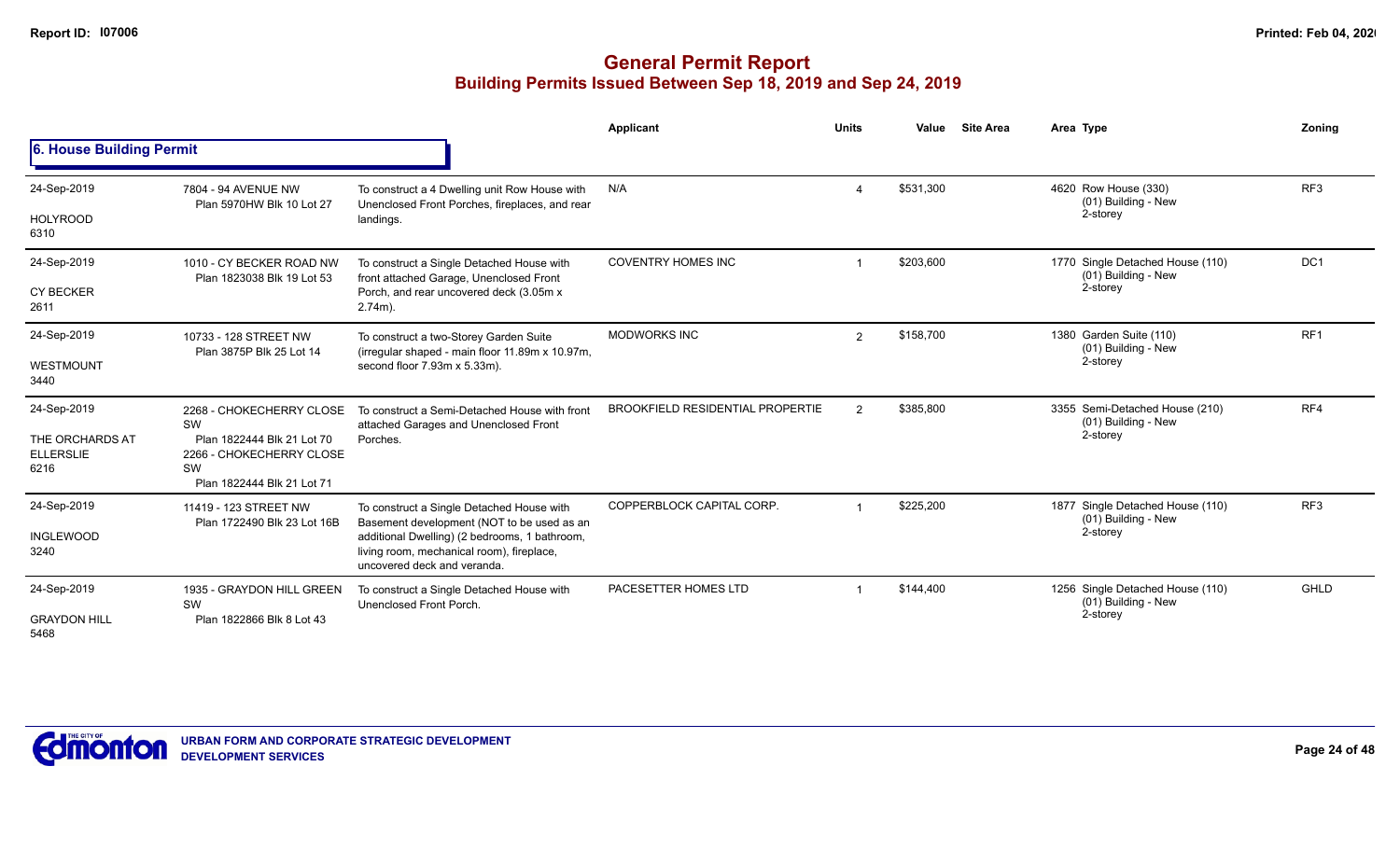|                                             |                                                                                            |                                                                                                                                                                                                        | Applicant                               | <b>Units</b>  | Value     | <b>Site Area</b> | Area Type                                               | Zoning          |
|---------------------------------------------|--------------------------------------------------------------------------------------------|--------------------------------------------------------------------------------------------------------------------------------------------------------------------------------------------------------|-----------------------------------------|---------------|-----------|------------------|---------------------------------------------------------|-----------------|
| 6. House Building Permit                    |                                                                                            |                                                                                                                                                                                                        |                                         |               |           |                  |                                                         |                 |
| 24-Sep-2019                                 | 7804 - 94 AVENUE NW<br>Plan 5970HW Blk 10 Lot 27                                           | To construct a 4 Dwelling unit Row House with<br>Unenclosed Front Porches, fireplaces, and rear                                                                                                        | N/A                                     |               | \$531.300 |                  | 4620 Row House (330)<br>(01) Building - New             | RF <sub>3</sub> |
| <b>HOLYROOD</b><br>6310                     |                                                                                            | landings.                                                                                                                                                                                              |                                         |               |           |                  | 2-storey                                                |                 |
| 24-Sep-2019                                 | 1010 - CY BECKER ROAD NW<br>Plan 1823038 Blk 19 Lot 53                                     | To construct a Single Detached House with<br>front attached Garage, Unenclosed Front                                                                                                                   | <b>COVENTRY HOMES INC</b>               |               | \$203.600 |                  | 1770 Single Detached House (110)<br>(01) Building - New | DC <sub>1</sub> |
| <b>CY BECKER</b><br>2611                    |                                                                                            | Porch, and rear uncovered deck (3.05m x)<br>$2.74m$ ).                                                                                                                                                 |                                         |               |           |                  | 2-storey                                                |                 |
| 24-Sep-2019                                 | 10733 - 128 STREET NW<br>Plan 3875P Blk 25 Lot 14                                          | To construct a two-Storey Garden Suite<br>(irregular shaped - main floor 11.89m x 10.97m,                                                                                                              | <b>MODWORKS INC</b>                     | 2             | \$158,700 |                  | 1380 Garden Suite (110)<br>(01) Building - New          | RF <sub>1</sub> |
| WESTMOUNT<br>3440                           |                                                                                            | second floor 7.93m x 5.33m).                                                                                                                                                                           |                                         |               |           |                  | 2-storey                                                |                 |
| 24-Sep-2019                                 | 2268 - CHOKECHERRY CLOSE<br>SW                                                             | To construct a Semi-Detached House with front<br>attached Garages and Unenclosed Front                                                                                                                 | <b>BROOKFIELD RESIDENTIAL PROPERTIE</b> | $\mathcal{P}$ | \$385,800 |                  | 3355 Semi-Detached House (210)<br>(01) Building - New   | RF4             |
| THE ORCHARDS AT<br><b>ELLERSLIE</b><br>6216 | Plan 1822444 Blk 21 Lot 70<br>2266 - CHOKECHERRY CLOSE<br>SW<br>Plan 1822444 Blk 21 Lot 71 | Porches.                                                                                                                                                                                               |                                         |               |           |                  | 2-storey                                                |                 |
| 24-Sep-2019                                 | 11419 - 123 STREET NW                                                                      | To construct a Single Detached House with                                                                                                                                                              | COPPERBLOCK CAPITAL CORP.               |               | \$225,200 |                  | 1877 Single Detached House (110)<br>(01) Building - New | RF <sub>3</sub> |
| <b>INGLEWOOD</b><br>3240                    |                                                                                            | Basement development (NOT to be used as an<br>Plan 1722490 Blk 23 Lot 16B<br>additional Dwelling) (2 bedrooms, 1 bathroom,<br>living room, mechanical room), fireplace,<br>uncovered deck and veranda. |                                         |               |           |                  | 2-storey                                                |                 |
| 24-Sep-2019                                 | 1935 - GRAYDON HILL GREEN<br>SW                                                            | To construct a Single Detached House with<br>Unenclosed Front Porch.                                                                                                                                   | PACESETTER HOMES LTD                    |               | \$144,400 |                  | 1256 Single Detached House (110)<br>(01) Building - New | <b>GHLD</b>     |
| <b>GRAYDON HILL</b><br>5468                 | Plan 1822866 Blk 8 Lot 43                                                                  |                                                                                                                                                                                                        |                                         |               |           |                  | 2-storey                                                |                 |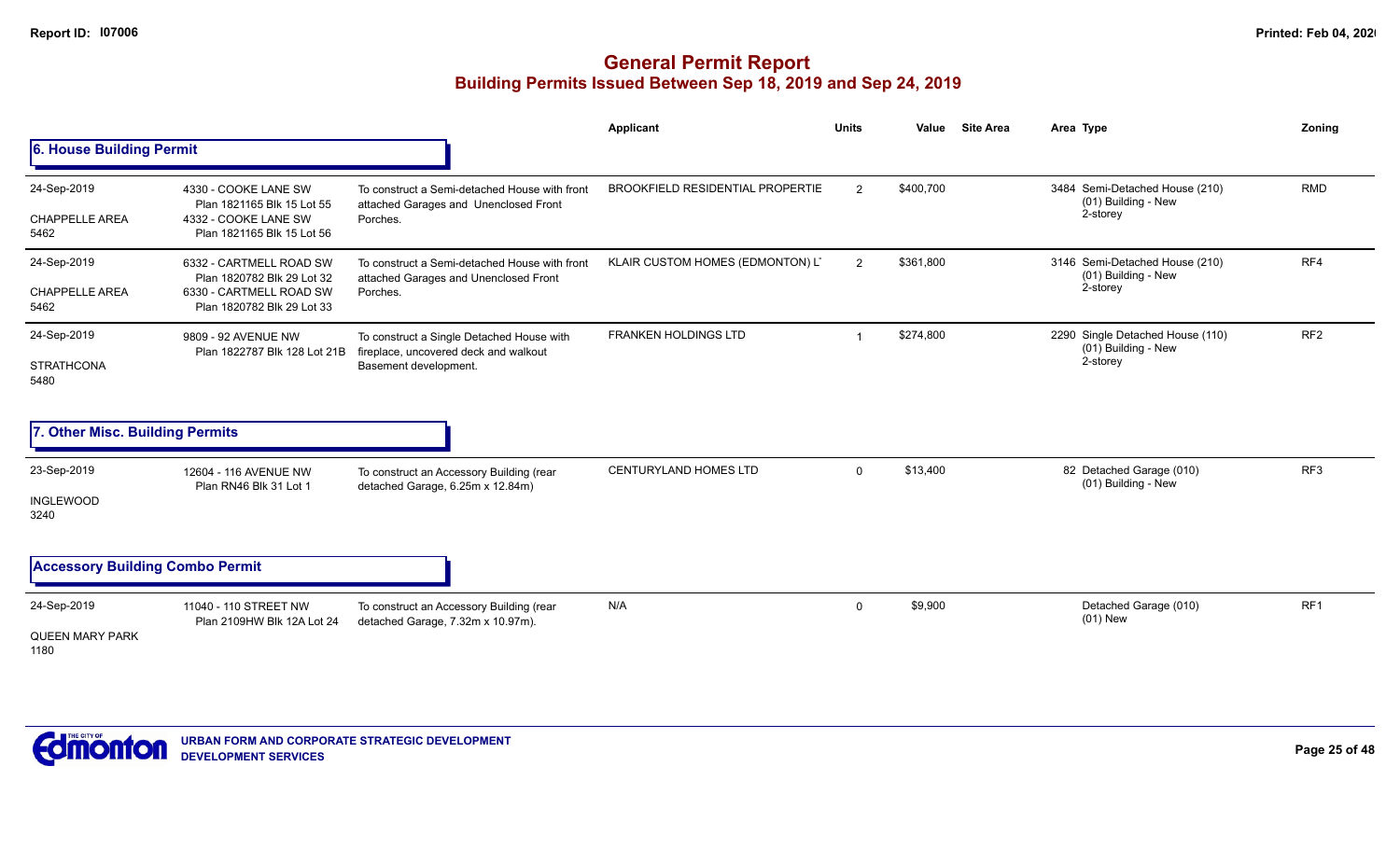|                                              |                                                                                                                |                                                                                                             | <b>Applicant</b>                        | <b>Units</b> | Value     | <b>Site Area</b> | Area Type                                                           | Zoning          |
|----------------------------------------------|----------------------------------------------------------------------------------------------------------------|-------------------------------------------------------------------------------------------------------------|-----------------------------------------|--------------|-----------|------------------|---------------------------------------------------------------------|-----------------|
| 6. House Building Permit                     |                                                                                                                |                                                                                                             |                                         |              |           |                  |                                                                     |                 |
| 24-Sep-2019<br><b>CHAPPELLE AREA</b><br>5462 | 4330 - COOKE LANE SW<br>Plan 1821165 Blk 15 Lot 55<br>4332 - COOKE LANE SW<br>Plan 1821165 Blk 15 Lot 56       | To construct a Semi-detached House with front<br>attached Garages and Unenclosed Front<br>Porches.          | <b>BROOKFIELD RESIDENTIAL PROPERTIE</b> | 2            | \$400,700 |                  | 3484 Semi-Detached House (210)<br>(01) Building - New<br>2-storey   | <b>RMD</b>      |
| 24-Sep-2019<br><b>CHAPPELLE AREA</b><br>5462 | 6332 - CARTMELL ROAD SW<br>Plan 1820782 Blk 29 Lot 32<br>6330 - CARTMELL ROAD SW<br>Plan 1820782 Blk 29 Lot 33 | To construct a Semi-detached House with front<br>attached Garages and Unenclosed Front<br>Porches.          | KLAIR CUSTOM HOMES (EDMONTON) L'        | 2            | \$361,800 |                  | 3146 Semi-Detached House (210)<br>(01) Building - New<br>2-storey   | RF4             |
| 24-Sep-2019<br><b>STRATHCONA</b><br>5480     | 9809 - 92 AVENUE NW<br>Plan 1822787 Blk 128 Lot 21B                                                            | To construct a Single Detached House with<br>fireplace, uncovered deck and walkout<br>Basement development. | <b>FRANKEN HOLDINGS LTD</b>             |              | \$274,800 |                  | 2290 Single Detached House (110)<br>(01) Building - New<br>2-storey | RF <sub>2</sub> |
| 7. Other Misc. Building Permits              |                                                                                                                |                                                                                                             |                                         |              |           |                  |                                                                     |                 |
| 23-Sep-2019<br><b>INGLEWOOD</b><br>3240      | 12604 - 116 AVENUE NW<br>Plan RN46 Blk 31 Lot 1                                                                | To construct an Accessory Building (rear<br>detached Garage, 6.25m x 12.84m)                                | <b>CENTURYLAND HOMES LTD</b>            | $\mathbf{0}$ | \$13,400  |                  | 82 Detached Garage (010)<br>(01) Building - New                     | RF <sub>3</sub> |
| <b>Accessory Building Combo Permit</b>       |                                                                                                                |                                                                                                             |                                         |              |           |                  |                                                                     |                 |
| 24-Sep-2019<br>QUEEN MARY PARK<br>1180       | 11040 - 110 STREET NW<br>Plan 2109HW Blk 12A Lot 24                                                            | To construct an Accessory Building (rear<br>detached Garage, 7.32m x 10.97m).                               | N/A                                     | $\mathbf 0$  | \$9,900   |                  | Detached Garage (010)<br>$(01)$ New                                 | RF1             |

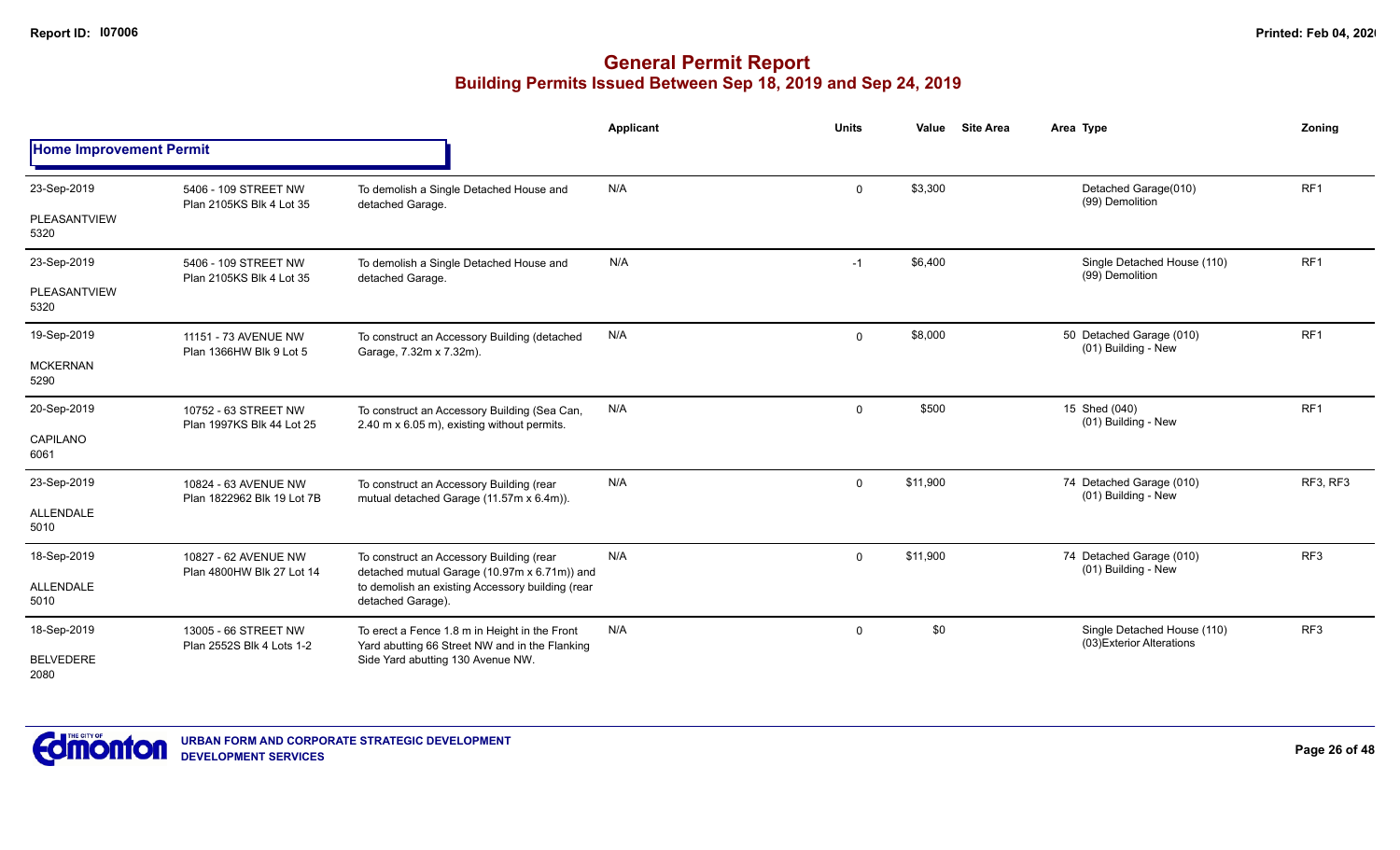|                                |                                                    |                                                                                                 | Applicant | <b>Units</b> | Value    | <b>Site Area</b> | Area Type                                                | Zonina          |
|--------------------------------|----------------------------------------------------|-------------------------------------------------------------------------------------------------|-----------|--------------|----------|------------------|----------------------------------------------------------|-----------------|
| <b>Home Improvement Permit</b> |                                                    |                                                                                                 |           |              |          |                  |                                                          |                 |
| 23-Sep-2019                    | 5406 - 109 STREET NW<br>Plan 2105KS Blk 4 Lot 35   | To demolish a Single Detached House and                                                         | N/A       | $\mathbf{0}$ | \$3,300  |                  | Detached Garage(010)<br>(99) Demolition                  | RF <sub>1</sub> |
| PLEASANTVIEW<br>5320           |                                                    | detached Garage.                                                                                |           |              |          |                  |                                                          |                 |
| 23-Sep-2019                    | 5406 - 109 STREET NW<br>Plan 2105KS Blk 4 Lot 35   | To demolish a Single Detached House and<br>detached Garage.                                     | N/A       | $-1$         | \$6,400  |                  | Single Detached House (110)<br>(99) Demolition           | RF <sub>1</sub> |
| PLEASANTVIEW<br>5320           |                                                    |                                                                                                 |           |              |          |                  |                                                          |                 |
| 19-Sep-2019                    | 11151 - 73 AVENUE NW<br>Plan 1366HW Blk 9 Lot 5    | To construct an Accessory Building (detached<br>Garage, 7.32m x 7.32m).                         | N/A       | $\mathbf 0$  | \$8,000  |                  | 50 Detached Garage (010)<br>(01) Building - New          | RF1             |
| <b>MCKERNAN</b><br>5290        |                                                    |                                                                                                 |           |              |          |                  |                                                          |                 |
| 20-Sep-2019                    | 10752 - 63 STREET NW<br>Plan 1997KS Blk 44 Lot 25  | To construct an Accessory Building (Sea Can,<br>2.40 m x 6.05 m), existing without permits.     | N/A       | $\mathbf 0$  | \$500    |                  | 15 Shed (040)<br>(01) Building - New                     | RF <sub>1</sub> |
| CAPILANO<br>6061               |                                                    |                                                                                                 |           |              |          |                  |                                                          |                 |
| 23-Sep-2019                    | 10824 - 63 AVENUE NW<br>Plan 1822962 Blk 19 Lot 7B | To construct an Accessory Building (rear<br>mutual detached Garage (11.57m x 6.4m)).            | N/A       | $\mathbf 0$  | \$11,900 |                  | 74 Detached Garage (010)<br>(01) Building - New          | RF3, RF3        |
| <b>ALLENDALE</b><br>5010       |                                                    |                                                                                                 |           |              |          |                  |                                                          |                 |
| 18-Sep-2019                    | 10827 - 62 AVENUE NW                               | To construct an Accessory Building (rear<br>detached mutual Garage (10.97m x 6.71m)) and        | N/A       | $\mathbf{0}$ | \$11,900 |                  | 74 Detached Garage (010)<br>(01) Building - New          | RF <sub>3</sub> |
| ALLENDALE<br>5010              | Plan 4800HW Blk 27 Lot 14                          | to demolish an existing Accessory building (rear<br>detached Garage).                           |           |              |          |                  |                                                          |                 |
| 18-Sep-2019                    | 13005 - 66 STREET NW<br>Plan 2552S Blk 4 Lots 1-2  | To erect a Fence 1.8 m in Height in the Front<br>Yard abutting 66 Street NW and in the Flanking | N/A       | $\mathbf{0}$ | \$0      |                  | Single Detached House (110)<br>(03) Exterior Alterations | RF <sub>3</sub> |
| <b>BELVEDERE</b><br>2080       |                                                    | Side Yard abutting 130 Avenue NW.                                                               |           |              |          |                  |                                                          |                 |

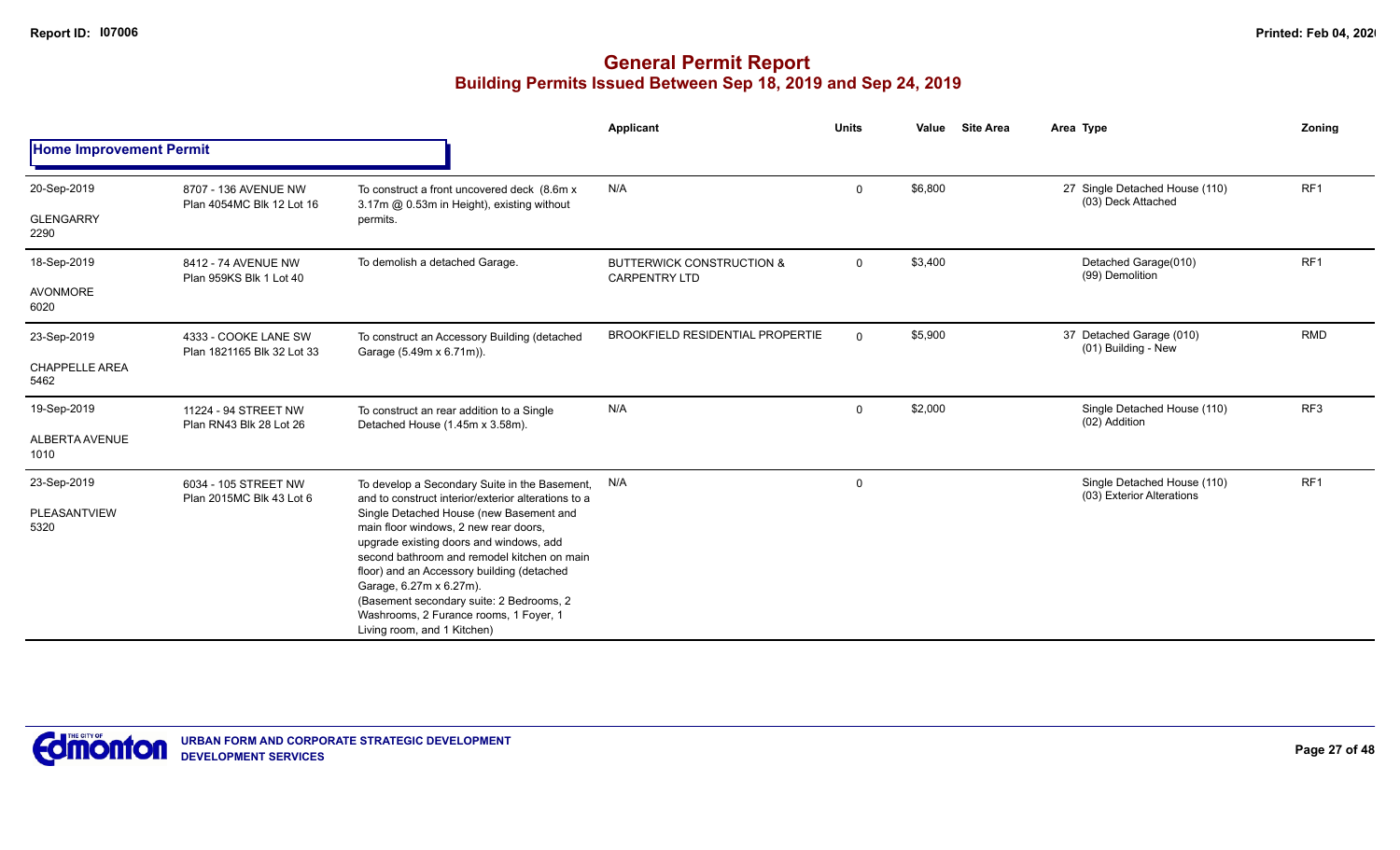|                                |                                                   |                                                                                                                                                                                                                                                     | Applicant                                                    | <b>Units</b> | Value   | <b>Site Area</b> | Area Type                                                | Zoning          |
|--------------------------------|---------------------------------------------------|-----------------------------------------------------------------------------------------------------------------------------------------------------------------------------------------------------------------------------------------------------|--------------------------------------------------------------|--------------|---------|------------------|----------------------------------------------------------|-----------------|
| <b>Home Improvement Permit</b> |                                                   |                                                                                                                                                                                                                                                     |                                                              |              |         |                  |                                                          |                 |
| 20-Sep-2019                    | 8707 - 136 AVENUE NW<br>Plan 4054MC Blk 12 Lot 16 | To construct a front uncovered deck (8.6m x)<br>3.17m @ 0.53m in Height), existing without                                                                                                                                                          | N/A                                                          | $\mathbf 0$  | \$6,800 |                  | 27 Single Detached House (110)<br>(03) Deck Attached     | RF <sub>1</sub> |
| <b>GLENGARRY</b><br>2290       |                                                   | permits.                                                                                                                                                                                                                                            |                                                              |              |         |                  |                                                          |                 |
| 18-Sep-2019                    | 8412 - 74 AVENUE NW<br>Plan 959KS Blk 1 Lot 40    | To demolish a detached Garage.                                                                                                                                                                                                                      | <b>BUTTERWICK CONSTRUCTION &amp;</b><br><b>CARPENTRY LTD</b> | 0            | \$3,400 |                  | Detached Garage(010)<br>(99) Demolition                  | RF <sub>1</sub> |
| <b>AVONMORE</b><br>6020        | 4333 - COOKE LANE SW                              |                                                                                                                                                                                                                                                     |                                                              |              |         |                  |                                                          |                 |
| 23-Sep-2019                    | Plan 1821165 Blk 32 Lot 33                        | To construct an Accessory Building (detached<br>Garage (5.49m x 6.71m)).                                                                                                                                                                            | <b>BROOKFIELD RESIDENTIAL PROPERTIE</b>                      | $\mathbf 0$  | \$5,900 |                  | 37 Detached Garage (010)<br>(01) Building - New          | <b>RMD</b>      |
| <b>CHAPPELLE AREA</b><br>5462  |                                                   |                                                                                                                                                                                                                                                     |                                                              |              |         |                  |                                                          |                 |
| 19-Sep-2019                    | 11224 - 94 STREET NW<br>Plan RN43 Blk 28 Lot 26   | To construct an rear addition to a Single<br>Detached House (1.45m x 3.58m).                                                                                                                                                                        | N/A                                                          | $\Omega$     | \$2,000 |                  | Single Detached House (110)<br>(02) Addition             | RF3             |
| <b>ALBERTA AVENUE</b><br>1010  |                                                   |                                                                                                                                                                                                                                                     |                                                              |              |         |                  |                                                          |                 |
| 23-Sep-2019                    | 6034 - 105 STREET NW<br>Plan 2015MC Blk 43 Lot 6  | To develop a Secondary Suite in the Basement,<br>and to construct interior/exterior alterations to a                                                                                                                                                | N/A                                                          | 0            |         |                  | Single Detached House (110)<br>(03) Exterior Alterations | RF1             |
| PLEASANTVIEW<br>5320           |                                                   | Single Detached House (new Basement and<br>main floor windows, 2 new rear doors,<br>upgrade existing doors and windows, add<br>second bathroom and remodel kitchen on main<br>floor) and an Accessory building (detached<br>Garage, 6.27m x 6.27m). |                                                              |              |         |                  |                                                          |                 |
|                                |                                                   | (Basement secondary suite: 2 Bedrooms, 2<br>Washrooms, 2 Furance rooms, 1 Foyer, 1<br>Living room, and 1 Kitchen)                                                                                                                                   |                                                              |              |         |                  |                                                          |                 |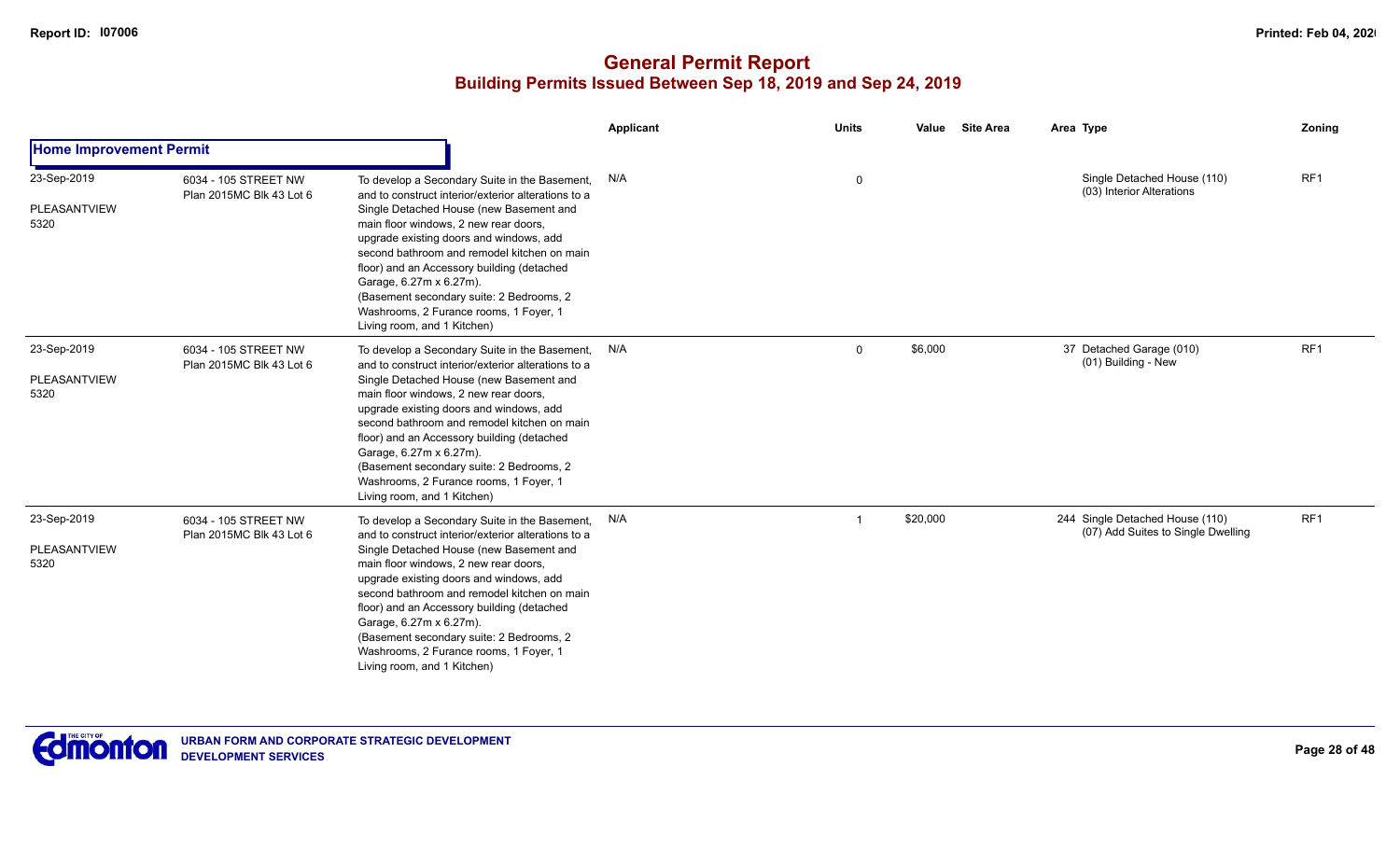|                                            |                                                  |                                                                                                                                                                                                                                                                                                                                                                                                                                                                                  | <b>Applicant</b> | <b>Units</b> | Value    | <b>Site Area</b> | Area Type                                                             | Zoning          |
|--------------------------------------------|--------------------------------------------------|----------------------------------------------------------------------------------------------------------------------------------------------------------------------------------------------------------------------------------------------------------------------------------------------------------------------------------------------------------------------------------------------------------------------------------------------------------------------------------|------------------|--------------|----------|------------------|-----------------------------------------------------------------------|-----------------|
| <b>Home Improvement Permit</b>             |                                                  |                                                                                                                                                                                                                                                                                                                                                                                                                                                                                  |                  |              |          |                  |                                                                       |                 |
| 23-Sep-2019<br><b>PLEASANTVIEW</b><br>5320 | 6034 - 105 STREET NW<br>Plan 2015MC Blk 43 Lot 6 | To develop a Secondary Suite in the Basement,<br>and to construct interior/exterior alterations to a<br>Single Detached House (new Basement and<br>main floor windows, 2 new rear doors,<br>upgrade existing doors and windows, add<br>second bathroom and remodel kitchen on main<br>floor) and an Accessory building (detached<br>Garage, 6.27m x 6.27m).<br>(Basement secondary suite: 2 Bedrooms, 2<br>Washrooms, 2 Furance rooms, 1 Foyer, 1<br>Living room, and 1 Kitchen) | N/A              | 0            |          |                  | Single Detached House (110)<br>(03) Interior Alterations              | RF1             |
| 23-Sep-2019<br>PLEASANTVIEW<br>5320        | 6034 - 105 STREET NW<br>Plan 2015MC Blk 43 Lot 6 | To develop a Secondary Suite in the Basement,<br>and to construct interior/exterior alterations to a<br>Single Detached House (new Basement and<br>main floor windows, 2 new rear doors,<br>upgrade existing doors and windows, add<br>second bathroom and remodel kitchen on main<br>floor) and an Accessory building (detached<br>Garage, 6.27m x 6.27m).<br>(Basement secondary suite: 2 Bedrooms, 2<br>Washrooms, 2 Furance rooms, 1 Foyer, 1<br>Living room, and 1 Kitchen) | N/A              | $\mathbf 0$  | \$6,000  |                  | 37 Detached Garage (010)<br>(01) Building - New                       | RF <sub>1</sub> |
| 23-Sep-2019<br>PLEASANTVIEW<br>5320        | 6034 - 105 STREET NW<br>Plan 2015MC Blk 43 Lot 6 | To develop a Secondary Suite in the Basement,<br>and to construct interior/exterior alterations to a<br>Single Detached House (new Basement and<br>main floor windows, 2 new rear doors,<br>upgrade existing doors and windows, add<br>second bathroom and remodel kitchen on main<br>floor) and an Accessory building (detached<br>Garage, 6.27m x 6.27m).<br>(Basement secondary suite: 2 Bedrooms, 2<br>Washrooms, 2 Furance rooms, 1 Foyer, 1<br>Living room, and 1 Kitchen) | N/A              |              | \$20,000 |                  | 244 Single Detached House (110)<br>(07) Add Suites to Single Dwelling | RF <sub>1</sub> |

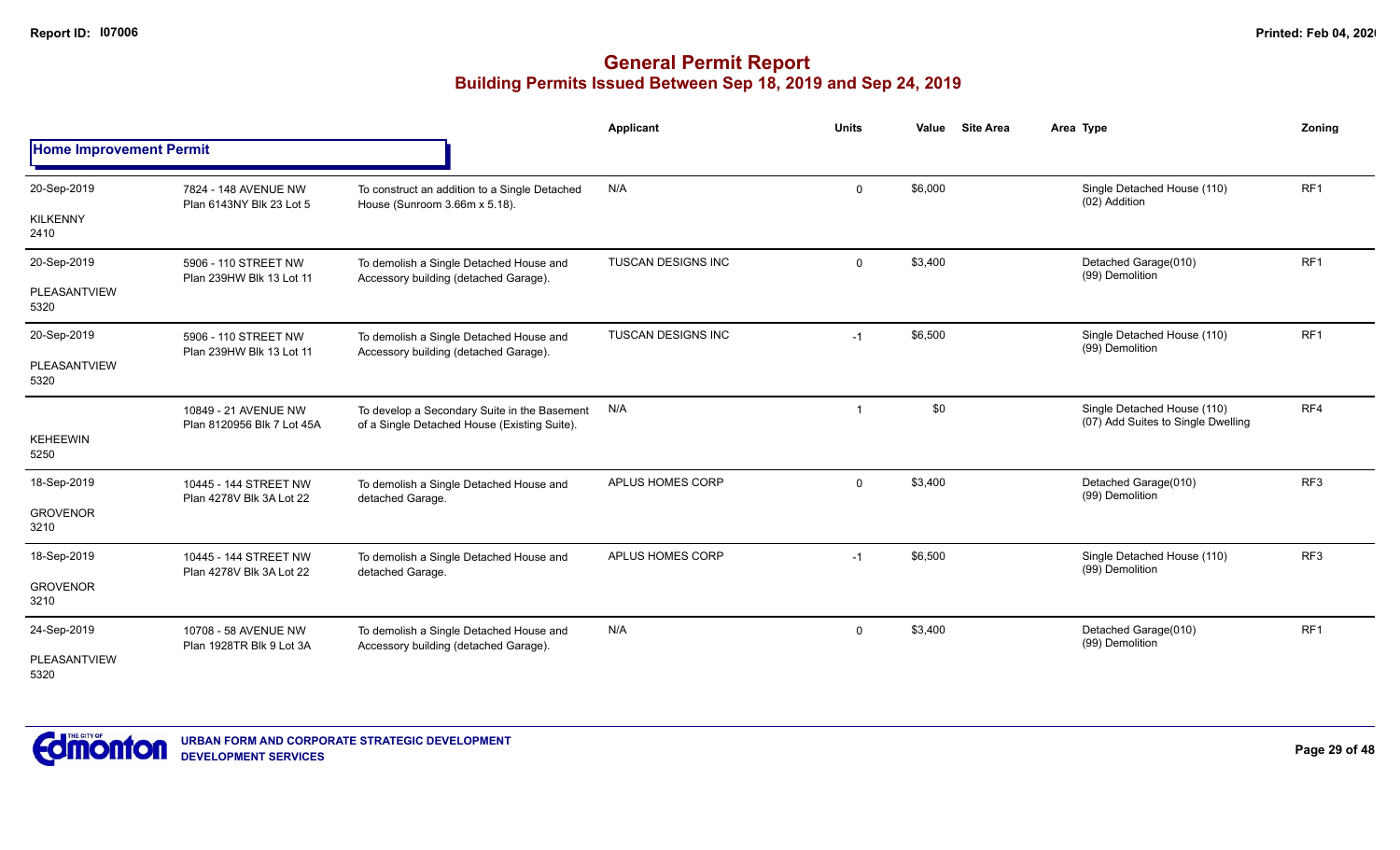|                                |                                                    |                                                                                              | <b>Applicant</b>   | <b>Units</b>   | <b>Site Area</b><br>Value | Area Type                                                         | Zoning          |
|--------------------------------|----------------------------------------------------|----------------------------------------------------------------------------------------------|--------------------|----------------|---------------------------|-------------------------------------------------------------------|-----------------|
| <b>Home Improvement Permit</b> |                                                    |                                                                                              |                    |                |                           |                                                                   |                 |
| 20-Sep-2019                    | 7824 - 148 AVENUE NW<br>Plan 6143NY Blk 23 Lot 5   | To construct an addition to a Single Detached<br>House (Sunroom 3.66m x 5.18).               | N/A                | $\mathbf 0$    | \$6,000                   | Single Detached House (110)<br>(02) Addition                      | RF <sub>1</sub> |
| <b>KILKENNY</b><br>2410        |                                                    |                                                                                              |                    |                |                           |                                                                   |                 |
| 20-Sep-2019                    | 5906 - 110 STREET NW<br>Plan 239HW Blk 13 Lot 11   | To demolish a Single Detached House and<br>Accessory building (detached Garage).             | TUSCAN DESIGNS INC | $\mathbf 0$    | \$3,400                   | Detached Garage(010)<br>(99) Demolition                           | RF <sub>1</sub> |
| PLEASANTVIEW<br>5320           |                                                    |                                                                                              |                    |                |                           |                                                                   |                 |
| 20-Sep-2019                    | 5906 - 110 STREET NW<br>Plan 239HW Blk 13 Lot 11   | To demolish a Single Detached House and<br>Accessory building (detached Garage).             | TUSCAN DESIGNS INC | $-1$           | \$6,500                   | Single Detached House (110)<br>(99) Demolition                    | RF <sub>1</sub> |
| PLEASANTVIEW<br>5320           |                                                    |                                                                                              |                    |                |                           |                                                                   |                 |
| <b>KEHEEWIN</b><br>5250        | 10849 - 21 AVENUE NW<br>Plan 8120956 Blk 7 Lot 45A | To develop a Secondary Suite in the Basement<br>of a Single Detached House (Existing Suite). | N/A                | $\overline{1}$ | \$0                       | Single Detached House (110)<br>(07) Add Suites to Single Dwelling | RF4             |
| 18-Sep-2019                    | 10445 - 144 STREET NW<br>Plan 4278V Blk 3A Lot 22  | To demolish a Single Detached House and<br>detached Garage.                                  | APLUS HOMES CORP   | $\mathbf 0$    | \$3,400                   | Detached Garage(010)<br>(99) Demolition                           | RF <sub>3</sub> |
| <b>GROVENOR</b><br>3210        |                                                    |                                                                                              |                    |                |                           |                                                                   |                 |
| 18-Sep-2019                    | 10445 - 144 STREET NW<br>Plan 4278V Blk 3A Lot 22  | To demolish a Single Detached House and<br>detached Garage.                                  | APLUS HOMES CORP   | $-1$           | \$6,500                   | Single Detached House (110)<br>(99) Demolition                    | RF <sub>3</sub> |
| <b>GROVENOR</b><br>3210        |                                                    |                                                                                              |                    |                |                           |                                                                   |                 |
| 24-Sep-2019                    | 10708 - 58 AVENUE NW<br>Plan 1928TR Blk 9 Lot 3A   | To demolish a Single Detached House and<br>Accessory building (detached Garage).             | N/A                | $\mathbf 0$    | \$3,400                   | Detached Garage(010)<br>(99) Demolition                           | RF <sub>1</sub> |
| PLEASANTVIEW<br>5320           |                                                    |                                                                                              |                    |                |                           |                                                                   |                 |

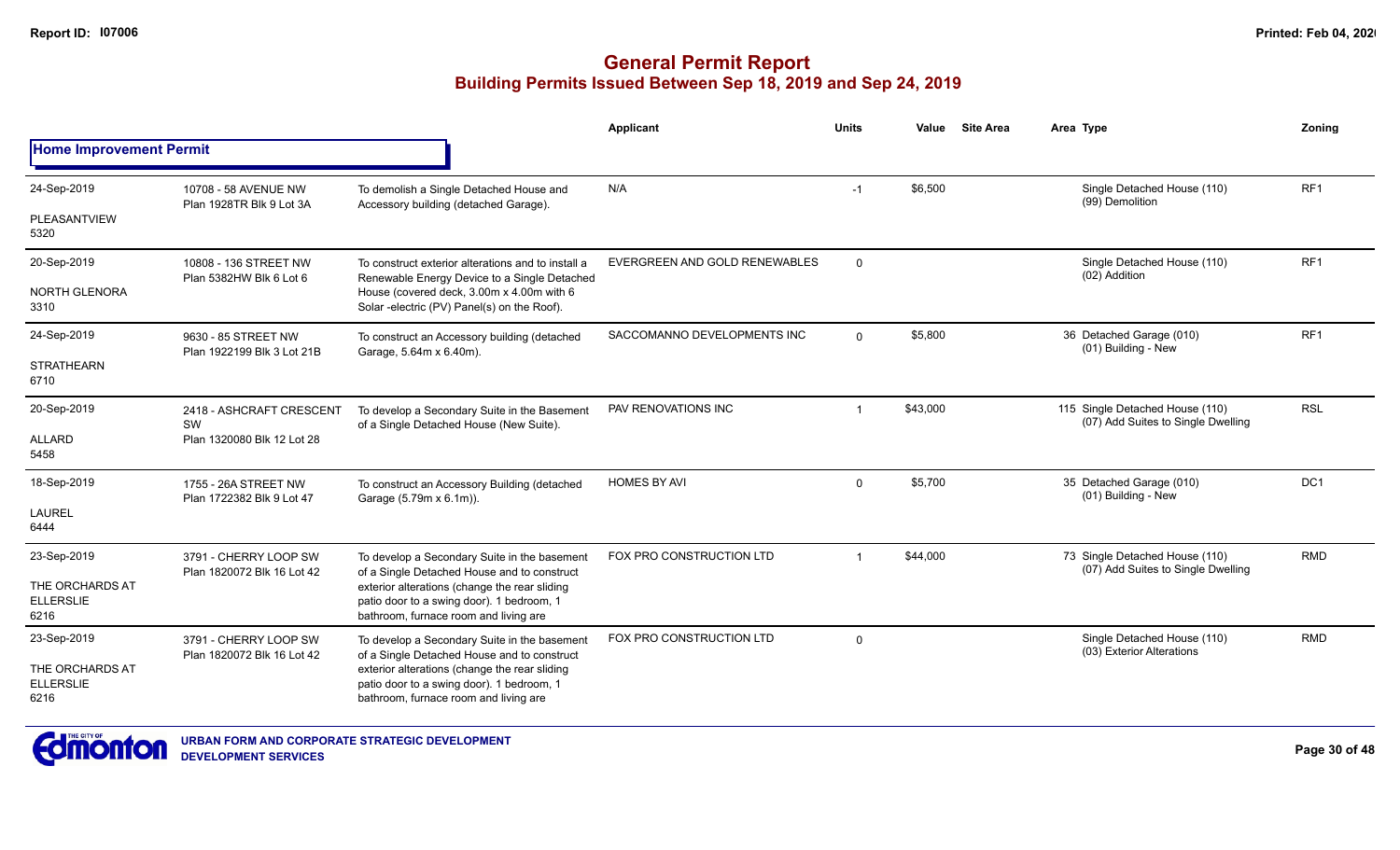|                                             |                                                                                                                                                                                                                  |                                                                                                                                     | Applicant                     | <b>Units</b> | Value    | <b>Site Area</b> | Area Type                                                             | Zonina          |
|---------------------------------------------|------------------------------------------------------------------------------------------------------------------------------------------------------------------------------------------------------------------|-------------------------------------------------------------------------------------------------------------------------------------|-------------------------------|--------------|----------|------------------|-----------------------------------------------------------------------|-----------------|
| <b>Home Improvement Permit</b>              |                                                                                                                                                                                                                  |                                                                                                                                     |                               |              |          |                  |                                                                       |                 |
| 24-Sep-2019                                 | 10708 - 58 AVENUE NW<br>Plan 1928TR Blk 9 Lot 3A                                                                                                                                                                 | To demolish a Single Detached House and<br>Accessory building (detached Garage).                                                    | N/A                           | $-1$         | \$6,500  |                  | Single Detached House (110)<br>(99) Demolition                        | RF1             |
| <b>PLEASANTVIEW</b><br>5320                 |                                                                                                                                                                                                                  |                                                                                                                                     |                               |              |          |                  |                                                                       |                 |
| 20-Sep-2019                                 | 10808 - 136 STREET NW<br>Plan 5382HW Blk 6 Lot 6                                                                                                                                                                 | To construct exterior alterations and to install a<br>Renewable Energy Device to a Single Detached                                  | EVERGREEN AND GOLD RENEWABLES | $\mathbf 0$  |          |                  | Single Detached House (110)<br>(02) Addition                          | RF1             |
| <b>NORTH GLENORA</b><br>3310                |                                                                                                                                                                                                                  | House (covered deck, 3.00m x 4.00m with 6<br>Solar -electric (PV) Panel(s) on the Roof).                                            |                               |              |          |                  |                                                                       |                 |
| 24-Sep-2019                                 | 9630 - 85 STREET NW<br>Plan 1922199 Blk 3 Lot 21B                                                                                                                                                                | To construct an Accessory building (detached<br>Garage, 5.64m x 6.40m).                                                             | SACCOMANNO DEVELOPMENTS INC   | $\mathbf 0$  | \$5,800  |                  | 36 Detached Garage (010)<br>(01) Building - New                       | RF <sub>1</sub> |
| <b>STRATHEARN</b><br>6710                   |                                                                                                                                                                                                                  |                                                                                                                                     |                               |              |          |                  |                                                                       |                 |
| 20-Sep-2019                                 | 2418 - ASHCRAFT CRESCENT<br>SW                                                                                                                                                                                   | To develop a Secondary Suite in the Basement                                                                                        | PAV RENOVATIONS INC           |              | \$43,000 |                  | 115 Single Detached House (110)<br>(07) Add Suites to Single Dwelling | <b>RSL</b>      |
| <b>ALLARD</b><br>5458                       | Plan 1320080 Blk 12 Lot 28                                                                                                                                                                                       | of a Single Detached House (New Suite).                                                                                             |                               |              |          |                  |                                                                       |                 |
| 18-Sep-2019                                 | 1755 - 26A STREET NW<br>Plan 1722382 Blk 9 Lot 47                                                                                                                                                                | To construct an Accessory Building (detached<br>Garage (5.79m x 6.1m)).                                                             | <b>HOMES BY AVI</b>           | $\Omega$     | \$5,700  |                  | 35 Detached Garage (010)<br>(01) Building - New                       | DC1             |
| <b>LAUREL</b><br>6444                       |                                                                                                                                                                                                                  |                                                                                                                                     |                               |              |          |                  |                                                                       |                 |
| 23-Sep-2019                                 | 3791 - CHERRY LOOP SW                                                                                                                                                                                            | To develop a Secondary Suite in the basement                                                                                        | FOX PRO CONSTRUCTION LTD      |              | \$44,000 |                  | 73 Single Detached House (110)<br>(07) Add Suites to Single Dwelling  | <b>RMD</b>      |
| THE ORCHARDS AT<br><b>ELLERSLIE</b><br>6216 | of a Single Detached House and to construct<br>Plan 1820072 Blk 16 Lot 42<br>exterior alterations (change the rear sliding<br>patio door to a swing door). 1 bedroom, 1<br>bathroom, furnace room and living are |                                                                                                                                     |                               |              |          |                  |                                                                       |                 |
| 23-Sep-2019                                 | 3791 - CHERRY LOOP SW<br>Plan 1820072 Blk 16 Lot 42                                                                                                                                                              | To develop a Secondary Suite in the basement<br>of a Single Detached House and to construct                                         | FOX PRO CONSTRUCTION LTD      | $\mathbf 0$  |          |                  | Single Detached House (110)<br>(03) Exterior Alterations              | <b>RMD</b>      |
| THE ORCHARDS AT<br><b>ELLERSLIE</b><br>6216 |                                                                                                                                                                                                                  | exterior alterations (change the rear sliding<br>patio door to a swing door). 1 bedroom, 1<br>bathroom, furnace room and living are |                               |              |          |                  |                                                                       |                 |

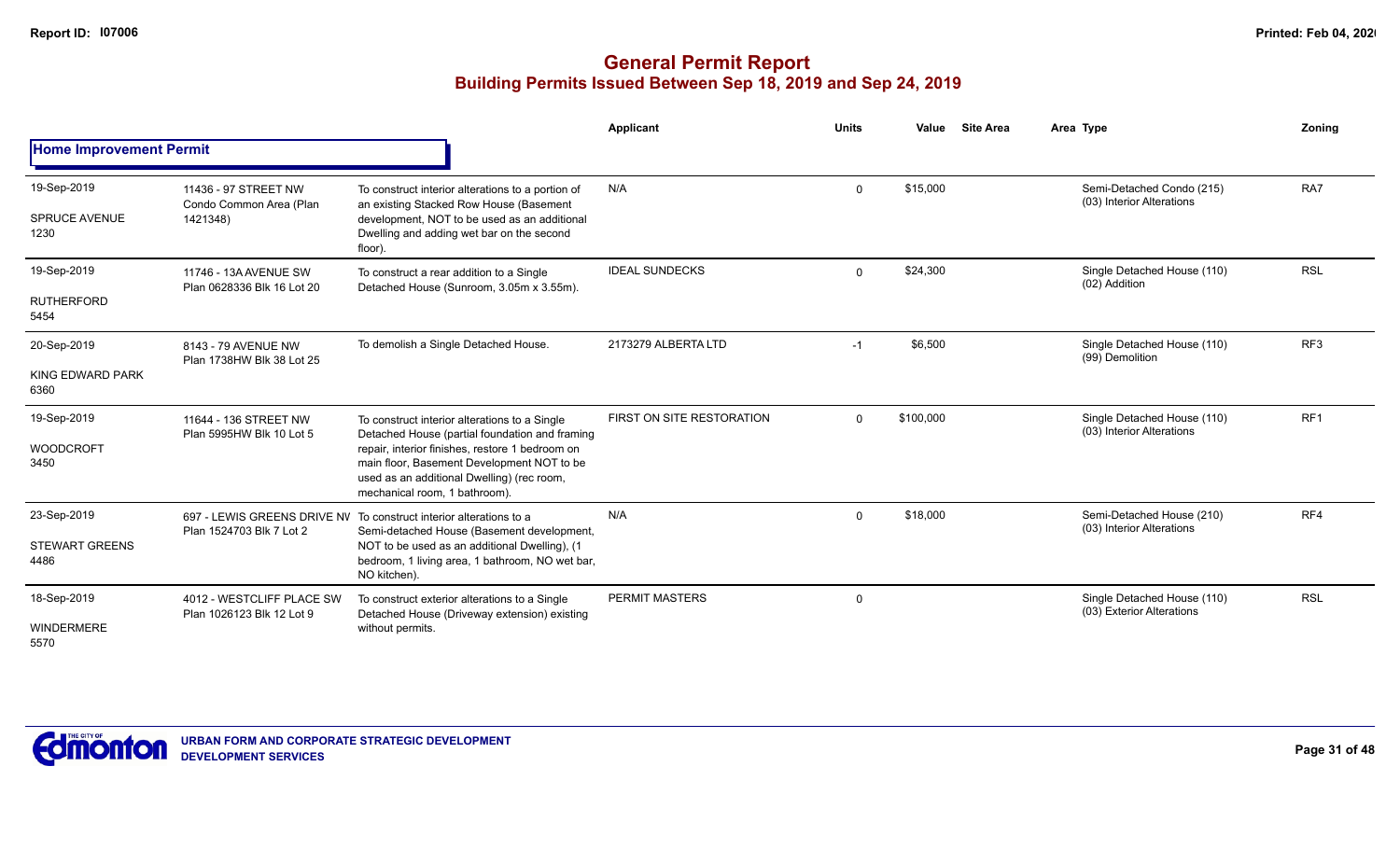|                                              |                                                             |                                                                                                                                                                                                                                                                                 | Applicant                 | <b>Units</b> | Value     | <b>Site Area</b> | Area Type                                                | Zoning          |
|----------------------------------------------|-------------------------------------------------------------|---------------------------------------------------------------------------------------------------------------------------------------------------------------------------------------------------------------------------------------------------------------------------------|---------------------------|--------------|-----------|------------------|----------------------------------------------------------|-----------------|
| <b>Home Improvement Permit</b>               |                                                             |                                                                                                                                                                                                                                                                                 |                           |              |           |                  |                                                          |                 |
| 19-Sep-2019<br><b>SPRUCE AVENUE</b><br>1230  | 11436 - 97 STREET NW<br>Condo Common Area (Plan<br>1421348) | To construct interior alterations to a portion of<br>an existing Stacked Row House (Basement<br>development, NOT to be used as an additional<br>Dwelling and adding wet bar on the second<br>floor).                                                                            | N/A                       | $\Omega$     | \$15,000  |                  | Semi-Detached Condo (215)<br>(03) Interior Alterations   | RA7             |
| 19-Sep-2019<br><b>RUTHERFORD</b><br>5454     | 11746 - 13A AVENUE SW<br>Plan 0628336 Blk 16 Lot 20         | To construct a rear addition to a Single<br>Detached House (Sunroom, 3.05m x 3.55m).                                                                                                                                                                                            | <b>IDEAL SUNDECKS</b>     | $\Omega$     | \$24,300  |                  | Single Detached House (110)<br>(02) Addition             | <b>RSL</b>      |
| 20-Sep-2019<br>KING EDWARD PARK<br>6360      | 8143 - 79 AVENUE NW<br>Plan 1738HW Blk 38 Lot 25            | To demolish a Single Detached House.                                                                                                                                                                                                                                            | 2173279 ALBERTA LTD       | $-1$         | \$6,500   |                  | Single Detached House (110)<br>(99) Demolition           | RF <sub>3</sub> |
| 19-Sep-2019<br><b>WOODCROFT</b><br>3450      | 11644 - 136 STREET NW<br>Plan 5995HW Blk 10 Lot 5           | To construct interior alterations to a Single<br>Detached House (partial foundation and framing<br>repair, interior finishes, restore 1 bedroom on<br>main floor, Basement Development NOT to be<br>used as an additional Dwelling) (rec room,<br>mechanical room, 1 bathroom). | FIRST ON SITE RESTORATION | $\Omega$     | \$100,000 |                  | Single Detached House (110)<br>(03) Interior Alterations | RF <sub>1</sub> |
| 23-Sep-2019<br><b>STEWART GREENS</b><br>4486 | Plan 1524703 Blk 7 Lot 2                                    | 697 - LEWIS GREENS DRIVE NV To construct interior alterations to a<br>Semi-detached House (Basement development,<br>NOT to be used as an additional Dwelling), (1<br>bedroom, 1 living area, 1 bathroom, NO wet bar,<br>NO kitchen).                                            | N/A                       | $\Omega$     | \$18,000  |                  | Semi-Detached House (210)<br>(03) Interior Alterations   | RF4             |
| 18-Sep-2019<br><b>WINDERMERE</b><br>5570     | 4012 - WESTCLIFF PLACE SW<br>Plan 1026123 Blk 12 Lot 9      | To construct exterior alterations to a Single<br>Detached House (Driveway extension) existing<br>without permits.                                                                                                                                                               | <b>PERMIT MASTERS</b>     | $\Omega$     |           |                  | Single Detached House (110)<br>(03) Exterior Alterations | <b>RSL</b>      |

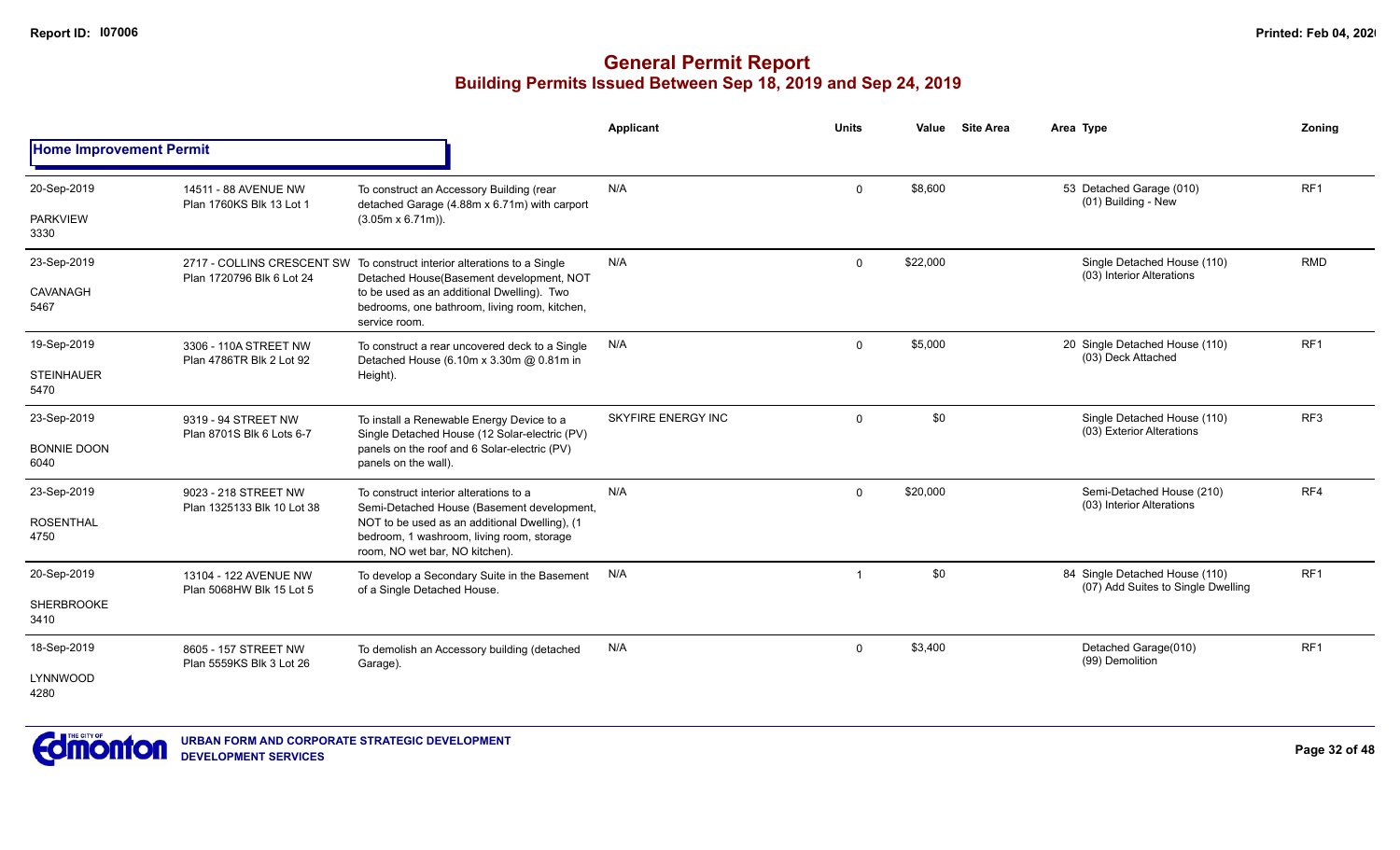|                                |                                                    |                                                                                                                              | Applicant                 | <b>Units</b> | Value    | <b>Site Area</b> | Area Type                                                            | Zonina          |
|--------------------------------|----------------------------------------------------|------------------------------------------------------------------------------------------------------------------------------|---------------------------|--------------|----------|------------------|----------------------------------------------------------------------|-----------------|
| <b>Home Improvement Permit</b> |                                                    |                                                                                                                              |                           |              |          |                  |                                                                      |                 |
| 20-Sep-2019                    | 14511 - 88 AVENUE NW<br>Plan 1760KS Blk 13 Lot 1   | To construct an Accessory Building (rear<br>detached Garage (4.88m x 6.71m) with carport                                     | N/A                       | $\mathbf 0$  | \$8,600  |                  | 53 Detached Garage (010)<br>(01) Building - New                      | RF <sub>1</sub> |
| <b>PARKVIEW</b><br>3330        |                                                    | $(3.05m \times 6.71m)$ ).                                                                                                    |                           |              |          |                  |                                                                      |                 |
| 23-Sep-2019                    | Plan 1720796 Blk 6 Lot 24                          | 2717 - COLLINS CRESCENT SW To construct interior alterations to a Single<br>Detached House(Basement development, NOT         | N/A                       | $\mathbf{0}$ | \$22,000 |                  | Single Detached House (110)<br>(03) Interior Alterations             | <b>RMD</b>      |
| CAVANAGH<br>5467               |                                                    | to be used as an additional Dwelling). Two<br>bedrooms, one bathroom, living room, kitchen,<br>service room.                 |                           |              |          |                  |                                                                      |                 |
| 19-Sep-2019                    | 3306 - 110A STREET NW<br>Plan 4786TR Blk 2 Lot 92  | To construct a rear uncovered deck to a Single<br>Detached House (6.10m x 3.30m @ 0.81m in                                   | N/A                       | $\mathbf 0$  | \$5,000  |                  | 20 Single Detached House (110)<br>(03) Deck Attached                 | RF1             |
| <b>STEINHAUER</b><br>5470      |                                                    | Height).                                                                                                                     |                           |              |          |                  |                                                                      |                 |
| 23-Sep-2019                    | 9319 - 94 STREET NW<br>Plan 8701S Blk 6 Lots 6-7   | To install a Renewable Energy Device to a<br>Single Detached House (12 Solar-electric (PV)                                   | <b>SKYFIRE ENERGY INC</b> | $\Omega$     | \$0      |                  | Single Detached House (110)<br>(03) Exterior Alterations             | RF <sub>3</sub> |
| <b>BONNIE DOON</b><br>6040     |                                                    | panels on the roof and 6 Solar-electric (PV)<br>panels on the wall).                                                         |                           |              |          |                  |                                                                      |                 |
| 23-Sep-2019                    | 9023 - 218 STREET NW<br>Plan 1325133 Blk 10 Lot 38 | To construct interior alterations to a<br>Semi-Detached House (Basement development,                                         | N/A                       | $\mathbf 0$  | \$20,000 |                  | Semi-Detached House (210)<br>(03) Interior Alterations               | RF4             |
| <b>ROSENTHAL</b><br>4750       |                                                    | NOT to be used as an additional Dwelling), (1<br>bedroom, 1 washroom, living room, storage<br>room, NO wet bar, NO kitchen). |                           |              |          |                  |                                                                      |                 |
| 20-Sep-2019                    | 13104 - 122 AVENUE NW                              | To develop a Secondary Suite in the Basement<br>of a Single Detached House.                                                  | N/A                       |              | \$0      |                  | 84 Single Detached House (110)<br>(07) Add Suites to Single Dwelling | RF <sub>1</sub> |
| <b>SHERBROOKE</b><br>3410      | Plan 5068HW Blk 15 Lot 5                           |                                                                                                                              |                           |              |          |                  |                                                                      |                 |
| 18-Sep-2019                    | 8605 - 157 STREET NW<br>Plan 5559KS Blk 3 Lot 26   | To demolish an Accessory building (detached<br>Garage).                                                                      | N/A                       | $\mathbf 0$  | \$3,400  |                  | Detached Garage(010)<br>(99) Demolition                              | RF <sub>1</sub> |
| LYNNWOOD<br>4280               |                                                    |                                                                                                                              |                           |              |          |                  |                                                                      |                 |

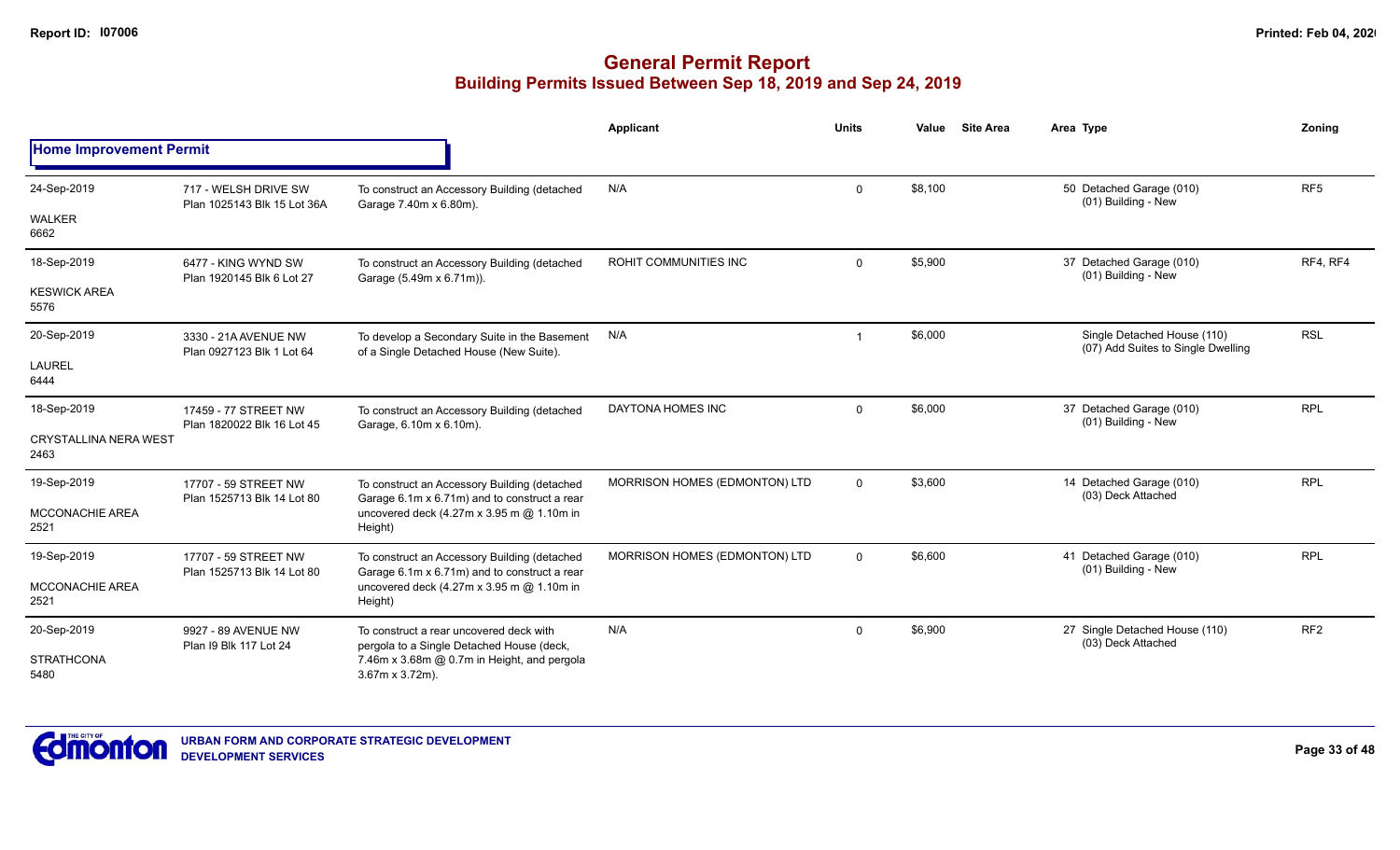|                                      |                                                     |                                                                                              | <b>Applicant</b>              | <b>Units</b> | Value   | <b>Site Area</b> | Area Type                                                         | Zoning          |
|--------------------------------------|-----------------------------------------------------|----------------------------------------------------------------------------------------------|-------------------------------|--------------|---------|------------------|-------------------------------------------------------------------|-----------------|
| <b>Home Improvement Permit</b>       |                                                     |                                                                                              |                               |              |         |                  |                                                                   |                 |
| 24-Sep-2019                          | 717 - WELSH DRIVE SW<br>Plan 1025143 Blk 15 Lot 36A | To construct an Accessory Building (detached<br>Garage 7.40m x 6.80m).                       | N/A                           | $\mathbf 0$  | \$8,100 |                  | 50 Detached Garage (010)<br>(01) Building - New                   | RF <sub>5</sub> |
| <b>WALKER</b><br>6662                |                                                     |                                                                                              |                               |              |         |                  |                                                                   |                 |
| 18-Sep-2019                          | 6477 - KING WYND SW<br>Plan 1920145 Blk 6 Lot 27    | To construct an Accessory Building (detached<br>Garage (5.49m x 6.71m)).                     | ROHIT COMMUNITIES INC         | $\mathbf 0$  | \$5,900 |                  | 37 Detached Garage (010)<br>(01) Building - New                   | RF4, RF4        |
| <b>KESWICK AREA</b><br>5576          |                                                     |                                                                                              |                               |              |         |                  |                                                                   |                 |
| 20-Sep-2019                          | 3330 - 21A AVENUE NW<br>Plan 0927123 Blk 1 Lot 64   | To develop a Secondary Suite in the Basement<br>of a Single Detached House (New Suite).      | N/A                           |              | \$6,000 |                  | Single Detached House (110)<br>(07) Add Suites to Single Dwelling | <b>RSL</b>      |
| <b>LAUREL</b><br>6444                |                                                     |                                                                                              |                               |              |         |                  |                                                                   |                 |
| 18-Sep-2019                          | 17459 - 77 STREET NW<br>Plan 1820022 Blk 16 Lot 45  | To construct an Accessory Building (detached<br>Garage, 6.10m x 6.10m).                      | DAYTONA HOMES INC             | $\mathbf 0$  | \$6,000 |                  | 37 Detached Garage (010)<br>(01) Building - New                   | <b>RPL</b>      |
| <b>CRYSTALLINA NERA WEST</b><br>2463 |                                                     |                                                                                              |                               |              |         |                  |                                                                   |                 |
| 19-Sep-2019                          | 17707 - 59 STREET NW<br>Plan 1525713 Blk 14 Lot 80  | To construct an Accessory Building (detached<br>Garage 6.1m x 6.71m) and to construct a rear | MORRISON HOMES (EDMONTON) LTD | $\mathbf{0}$ | \$3,600 |                  | 14 Detached Garage (010)<br>(03) Deck Attached                    | <b>RPL</b>      |
| MCCONACHIE AREA<br>2521              |                                                     | uncovered deck (4.27m x 3.95 m @ 1.10m in<br>Height)                                         |                               |              |         |                  |                                                                   |                 |
| 19-Sep-2019                          | 17707 - 59 STREET NW                                | To construct an Accessory Building (detached<br>Garage 6.1m x 6.71m) and to construct a rear | MORRISON HOMES (EDMONTON) LTD | $\mathbf 0$  | \$6,600 |                  | 41 Detached Garage (010)<br>(01) Building - New                   | <b>RPL</b>      |
| <b>MCCONACHIE AREA</b><br>2521       | Plan 1525713 Blk 14 Lot 80                          | uncovered deck (4.27m x 3.95 m @ 1.10m in<br>Height)                                         |                               |              |         |                  |                                                                   |                 |
| 20-Sep-2019                          | 9927 - 89 AVENUE NW                                 | To construct a rear uncovered deck with<br>pergola to a Single Detached House (deck,         | N/A                           | $\Omega$     | \$6,900 |                  | 27 Single Detached House (110)<br>(03) Deck Attached              | RF <sub>2</sub> |
| <b>STRATHCONA</b><br>5480            | Plan 19 Blk 117 Lot 24                              | 7.46m x 3.68m @ 0.7m in Height, and pergola<br>$3.67m \times 3.72m$ ).                       |                               |              |         |                  |                                                                   |                 |

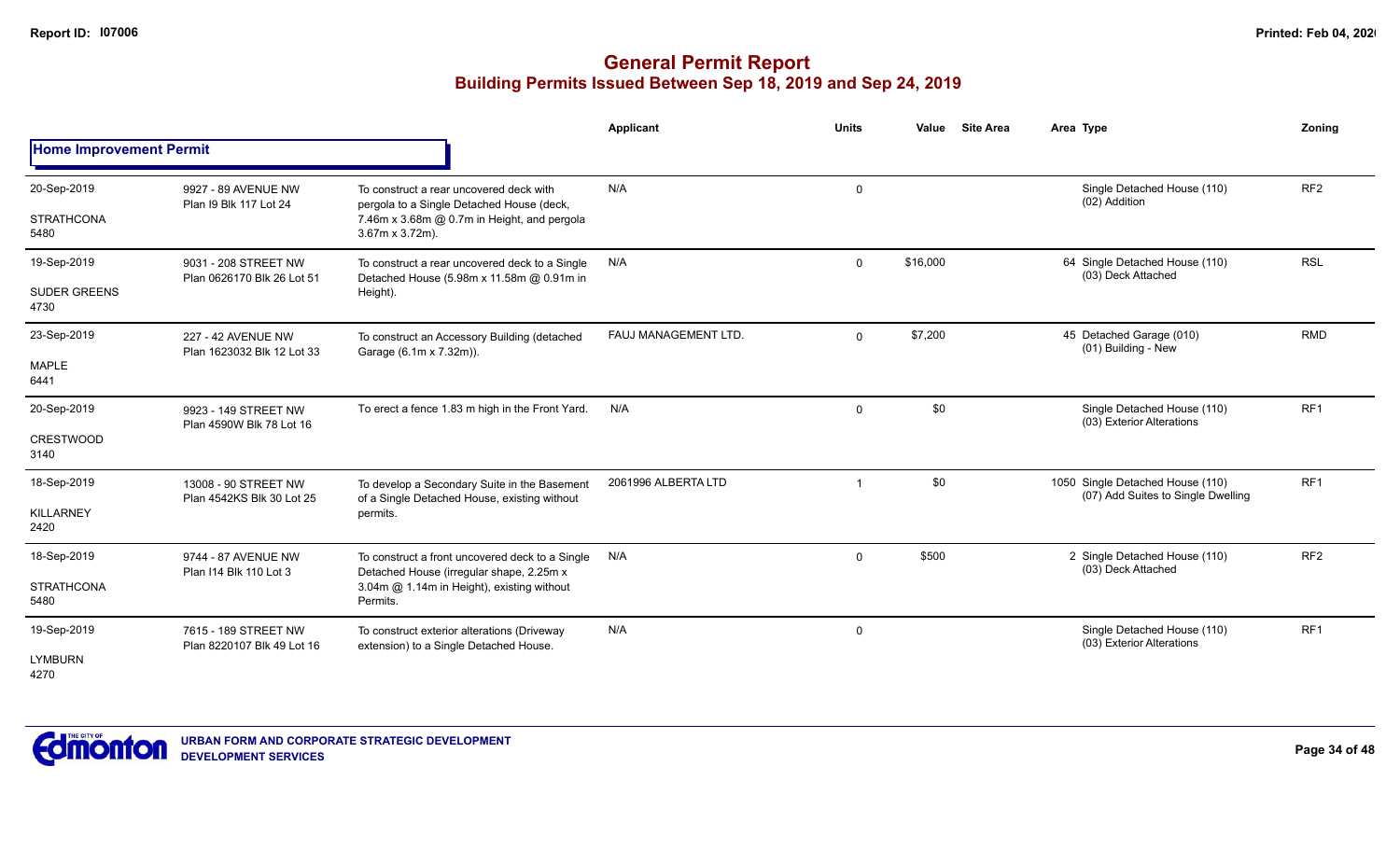|                                |                                                    |                                                                                              | <b>Applicant</b>     | <b>Units</b> | <b>Site Area</b><br>Value | Area Type                                                              | Zoning          |
|--------------------------------|----------------------------------------------------|----------------------------------------------------------------------------------------------|----------------------|--------------|---------------------------|------------------------------------------------------------------------|-----------------|
| <b>Home Improvement Permit</b> |                                                    |                                                                                              |                      |              |                           |                                                                        |                 |
| 20-Sep-2019                    | 9927 - 89 AVENUE NW<br>Plan I9 Blk 117 Lot 24      | To construct a rear uncovered deck with<br>pergola to a Single Detached House (deck,         | N/A                  | 0            |                           | Single Detached House (110)<br>(02) Addition                           | RF <sub>2</sub> |
| <b>STRATHCONA</b><br>5480      |                                                    | 7.46m x 3.68m @ 0.7m in Height, and pergola<br>$3.67m \times 3.72m$ ).                       |                      |              |                           |                                                                        |                 |
| 19-Sep-2019                    | 9031 - 208 STREET NW<br>Plan 0626170 Blk 26 Lot 51 | To construct a rear uncovered deck to a Single<br>Detached House (5.98m x 11.58m @ 0.91m in  | N/A                  | $\mathbf 0$  | \$16,000                  | 64 Single Detached House (110)<br>(03) Deck Attached                   | <b>RSL</b>      |
| <b>SUDER GREENS</b><br>4730    |                                                    | Height).                                                                                     |                      |              |                           |                                                                        |                 |
| 23-Sep-2019                    | 227 - 42 AVENUE NW<br>Plan 1623032 Blk 12 Lot 33   | To construct an Accessory Building (detached<br>Garage (6.1m x 7.32m)).                      | FAUJ MANAGEMENT LTD. | $\mathbf 0$  | \$7,200                   | 45 Detached Garage (010)<br>(01) Building - New                        | <b>RMD</b>      |
| <b>MAPLE</b><br>6441           |                                                    |                                                                                              |                      |              |                           |                                                                        |                 |
| 20-Sep-2019                    | 9923 - 149 STREET NW                               | To erect a fence 1.83 m high in the Front Yard.                                              | N/A                  | $\mathbf 0$  | \$0                       | Single Detached House (110)<br>(03) Exterior Alterations               | RF <sub>1</sub> |
| <b>CRESTWOOD</b><br>3140       | Plan 4590W Blk 78 Lot 16                           |                                                                                              |                      |              |                           |                                                                        |                 |
| 18-Sep-2019                    | 13008 - 90 STREET NW<br>Plan 4542KS Blk 30 Lot 25  | To develop a Secondary Suite in the Basement<br>of a Single Detached House, existing without | 2061996 ALBERTA LTD  |              | \$0                       | 1050 Single Detached House (110)<br>(07) Add Suites to Single Dwelling | RF <sub>1</sub> |
| <b>KILLARNEY</b><br>2420       |                                                    | permits.                                                                                     |                      |              |                           |                                                                        |                 |
| 18-Sep-2019                    | 9744 - 87 AVENUE NW                                | To construct a front uncovered deck to a Single<br>Detached House (irregular shape, 2.25m x  | N/A                  | $\mathbf 0$  | \$500                     | 2 Single Detached House (110)<br>(03) Deck Attached                    | RF <sub>2</sub> |
| <b>STRATHCONA</b><br>5480      | Plan I14 Blk 110 Lot 3                             | 3.04m @ 1.14m in Height), existing without<br>Permits.                                       |                      |              |                           |                                                                        |                 |
| 19-Sep-2019                    | 7615 - 189 STREET NW<br>Plan 8220107 Blk 49 Lot 16 | To construct exterior alterations (Driveway<br>extension) to a Single Detached House.        | N/A                  | 0            |                           | Single Detached House (110)<br>(03) Exterior Alterations               | RF1             |
| <b>LYMBURN</b><br>4270         |                                                    |                                                                                              |                      |              |                           |                                                                        |                 |

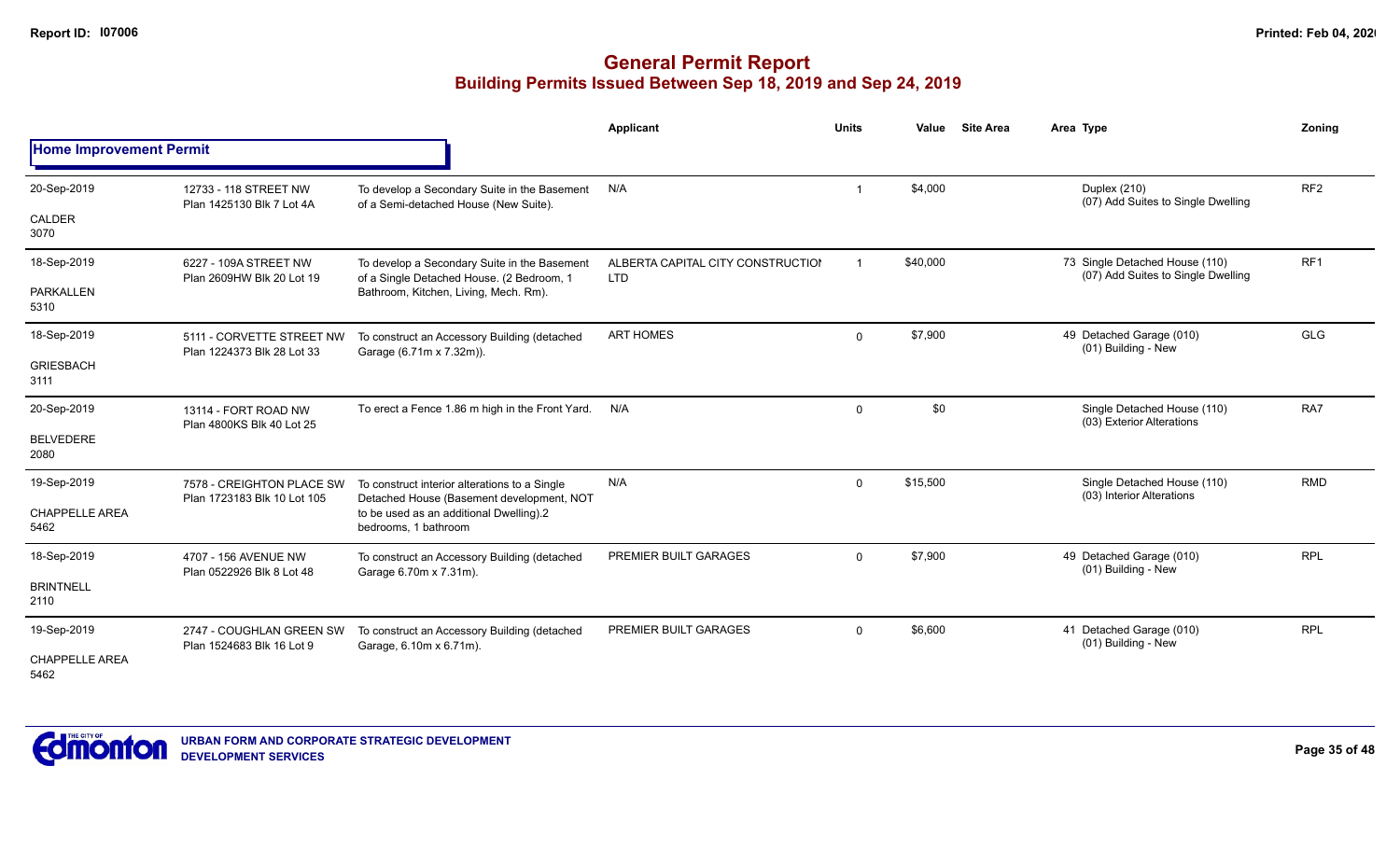|                                |                                                          |                                                                                            | Applicant                                       | <b>Units</b> | Value    | <b>Site Area</b> | Area Type                                                            | Zonina          |
|--------------------------------|----------------------------------------------------------|--------------------------------------------------------------------------------------------|-------------------------------------------------|--------------|----------|------------------|----------------------------------------------------------------------|-----------------|
| <b>Home Improvement Permit</b> |                                                          |                                                                                            |                                                 |              |          |                  |                                                                      |                 |
| 20-Sep-2019                    | 12733 - 118 STREET NW<br>Plan 1425130 Blk 7 Lot 4A       | To develop a Secondary Suite in the Basement<br>of a Semi-detached House (New Suite).      | N/A                                             |              | \$4,000  |                  | Duplex (210)<br>(07) Add Suites to Single Dwelling                   | RF <sub>2</sub> |
| CALDER<br>3070                 |                                                          |                                                                                            |                                                 |              |          |                  |                                                                      |                 |
| 18-Sep-2019                    | 6227 - 109A STREET NW<br>Plan 2609HW Blk 20 Lot 19       | To develop a Secondary Suite in the Basement<br>of a Single Detached House. (2 Bedroom, 1  | ALBERTA CAPITAL CITY CONSTRUCTION<br><b>LTD</b> |              | \$40,000 |                  | 73 Single Detached House (110)<br>(07) Add Suites to Single Dwelling | RF <sub>1</sub> |
| <b>PARKALLEN</b><br>5310       |                                                          | Bathroom, Kitchen, Living, Mech. Rm).                                                      |                                                 |              |          |                  |                                                                      |                 |
| 18-Sep-2019                    | 5111 - CORVETTE STREET NW<br>Plan 1224373 Blk 28 Lot 33  | To construct an Accessory Building (detached<br>Garage (6.71m x 7.32m)).                   | <b>ART HOMES</b>                                | 0            | \$7,900  |                  | 49 Detached Garage (010)<br>(01) Building - New                      | GLG             |
| <b>GRIESBACH</b><br>3111       |                                                          |                                                                                            |                                                 |              |          |                  |                                                                      |                 |
| 20-Sep-2019                    | 13114 - FORT ROAD NW                                     | To erect a Fence 1.86 m high in the Front Yard.                                            | N/A                                             | $\mathbf 0$  | \$0      |                  | Single Detached House (110)<br>(03) Exterior Alterations             | RA7             |
| <b>BELVEDERE</b><br>2080       | Plan 4800KS Blk 40 Lot 25                                |                                                                                            |                                                 |              |          |                  |                                                                      |                 |
| 19-Sep-2019                    | 7578 - CREIGHTON PLACE SW<br>Plan 1723183 Blk 10 Lot 105 | To construct interior alterations to a Single<br>Detached House (Basement development, NOT | N/A                                             | $\mathbf{0}$ | \$15,500 |                  | Single Detached House (110)<br>(03) Interior Alterations             | <b>RMD</b>      |
| <b>CHAPPELLE AREA</b><br>5462  |                                                          | to be used as an additional Dwelling).2<br>bedrooms, 1 bathroom                            |                                                 |              |          |                  |                                                                      |                 |
| 18-Sep-2019                    | 4707 - 156 AVENUE NW<br>Plan 0522926 Blk 8 Lot 48        | To construct an Accessory Building (detached<br>Garage 6.70m x 7.31m).                     | <b>PREMIER BUILT GARAGES</b>                    | $\mathbf 0$  | \$7,900  |                  | 49 Detached Garage (010)<br>(01) Building - New                      | <b>RPL</b>      |
| <b>BRINTNELL</b><br>2110       |                                                          |                                                                                            |                                                 |              |          |                  |                                                                      |                 |
| 19-Sep-2019                    | 2747 - COUGHLAN GREEN SW<br>Plan 1524683 Blk 16 Lot 9    | To construct an Accessory Building (detached<br>Garage, 6.10m x 6.71m).                    | <b>PREMIER BUILT GARAGES</b>                    | $\mathbf{0}$ | \$6,600  |                  | 41 Detached Garage (010)<br>(01) Building - New                      | <b>RPL</b>      |
| CHAPPELLE AREA<br>5462         |                                                          |                                                                                            |                                                 |              |          |                  |                                                                      |                 |

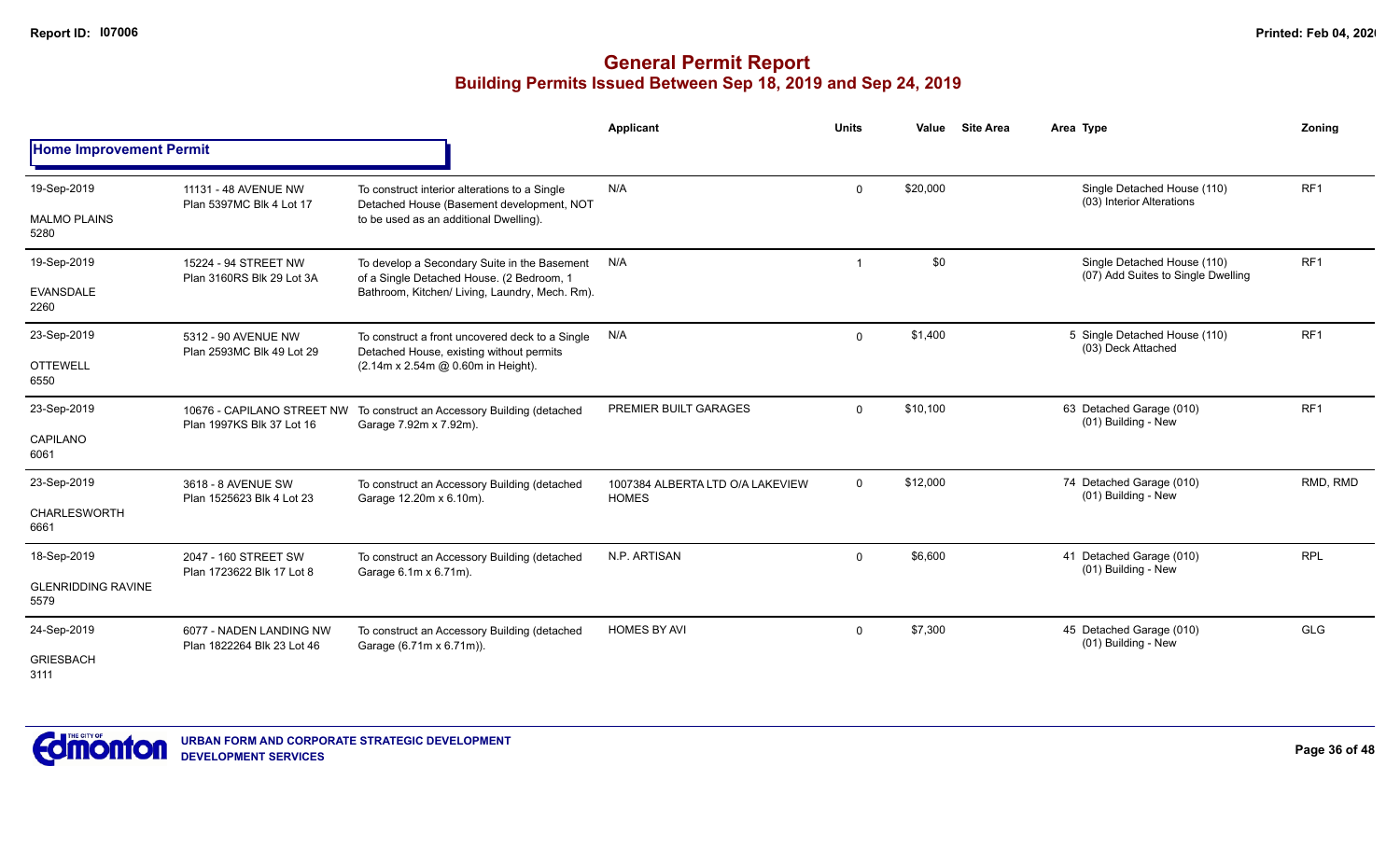|                                    |                                                         |                                                                                                                                      | <b>Applicant</b>                                 | <b>Units</b>         | Value                                           | <b>Site Area</b>                                    | Area Type                                                | Zoning          |
|------------------------------------|---------------------------------------------------------|--------------------------------------------------------------------------------------------------------------------------------------|--------------------------------------------------|----------------------|-------------------------------------------------|-----------------------------------------------------|----------------------------------------------------------|-----------------|
| <b>Home Improvement Permit</b>     |                                                         |                                                                                                                                      |                                                  |                      |                                                 |                                                     |                                                          |                 |
| 19-Sep-2019<br><b>MALMO PLAINS</b> | 11131 - 48 AVENUE NW<br>Plan 5397MC Blk 4 Lot 17        | To construct interior alterations to a Single<br>Detached House (Basement development, NOT<br>to be used as an additional Dwelling). | N/A                                              | $\mathbf 0$          | \$20,000                                        |                                                     | Single Detached House (110)<br>(03) Interior Alterations | RF <sub>1</sub> |
| 5280                               |                                                         |                                                                                                                                      |                                                  |                      |                                                 |                                                     |                                                          |                 |
| 19-Sep-2019                        | 15224 - 94 STREET NW                                    | To develop a Secondary Suite in the Basement                                                                                         | N/A                                              | $\overline{1}$       | \$0                                             |                                                     | Single Detached House (110)                              | RF <sub>1</sub> |
| <b>EVANSDALE</b><br>2260           | Plan 3160RS Blk 29 Lot 3A                               | of a Single Detached House. (2 Bedroom, 1<br>Bathroom, Kitchen/ Living, Laundry, Mech. Rm).                                          |                                                  |                      |                                                 |                                                     | (07) Add Suites to Single Dwelling                       |                 |
| 23-Sep-2019                        | 5312 - 90 AVENUE NW<br>Plan 2593MC Blk 49 Lot 29        | To construct a front uncovered deck to a Single<br>Detached House, existing without permits                                          | N/A                                              | \$1,400<br>0         |                                                 | 5 Single Detached House (110)<br>(03) Deck Attached | RF1                                                      |                 |
| <b>OTTEWELL</b><br>6550            |                                                         | (2.14m x 2.54m @ 0.60m in Height).                                                                                                   |                                                  |                      |                                                 |                                                     |                                                          |                 |
| 23-Sep-2019                        | 10676 - CAPILANO STREET NW<br>Plan 1997KS Blk 37 Lot 16 | To construct an Accessory Building (detached<br>Garage 7.92m x 7.92m).                                                               | PREMIER BUILT GARAGES                            | \$10,100<br>$\Omega$ | 63 Detached Garage (010)<br>(01) Building - New | RF <sub>1</sub>                                     |                                                          |                 |
| CAPILANO<br>6061                   |                                                         |                                                                                                                                      |                                                  |                      |                                                 |                                                     |                                                          |                 |
| 23-Sep-2019                        | 3618 - 8 AVENUE SW<br>Plan 1525623 Blk 4 Lot 23         | To construct an Accessory Building (detached<br>Garage 12.20m x 6.10m).                                                              | 1007384 ALBERTA LTD O/A LAKEVIEW<br><b>HOMES</b> | $\mathbf 0$          | \$12,000                                        |                                                     | 74 Detached Garage (010)<br>(01) Building - New          | RMD, RMD        |
| <b>CHARLESWORTH</b><br>6661        |                                                         |                                                                                                                                      |                                                  |                      |                                                 |                                                     |                                                          |                 |
| 18-Sep-2019                        | 2047 - 160 STREET SW                                    | To construct an Accessory Building (detached                                                                                         | N.P. ARTISAN                                     | $\mathbf 0$          | \$6,600                                         |                                                     | 41 Detached Garage (010)<br>(01) Building - New          | <b>RPL</b>      |
| <b>GLENRIDDING RAVINE</b><br>5579  | Plan 1723622 Blk 17 Lot 8                               | Garage 6.1m x 6.71m).                                                                                                                |                                                  |                      |                                                 |                                                     |                                                          |                 |
| 24-Sep-2019                        | 6077 - NADEN LANDING NW<br>Plan 1822264 Blk 23 Lot 46   | To construct an Accessory Building (detached<br>Garage (6.71m x 6.71m)).                                                             | <b>HOMES BY AVI</b>                              | $\mathbf 0$          | \$7,300                                         |                                                     | 45 Detached Garage (010)<br>(01) Building - New          | <b>GLG</b>      |
| <b>GRIESBACH</b><br>3111           |                                                         |                                                                                                                                      |                                                  |                      |                                                 |                                                     |                                                          |                 |

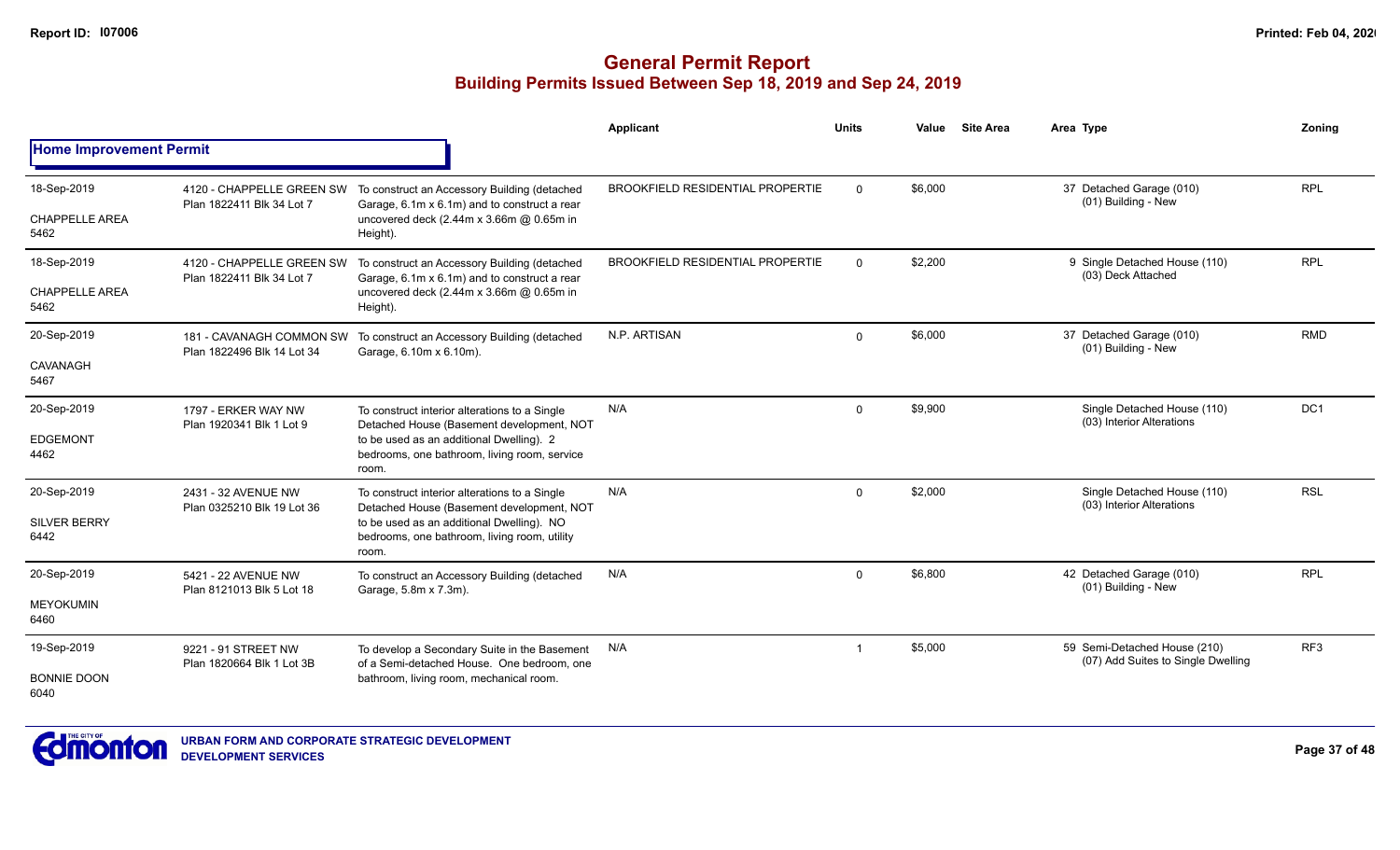|                                |                                                        |                                                                                                    | Applicant                               | <b>Units</b> | Value   | <b>Site Area</b> | Area Type                                                          | Zonina          |
|--------------------------------|--------------------------------------------------------|----------------------------------------------------------------------------------------------------|-----------------------------------------|--------------|---------|------------------|--------------------------------------------------------------------|-----------------|
| <b>Home Improvement Permit</b> |                                                        |                                                                                                    |                                         |              |         |                  |                                                                    |                 |
| 18-Sep-2019                    | 4120 - CHAPPELLE GREEN SW<br>Plan 1822411 Blk 34 Lot 7 | To construct an Accessory Building (detached<br>Garage, 6.1m x 6.1m) and to construct a rear       | <b>BROOKFIELD RESIDENTIAL PROPERTIE</b> | $\Omega$     | \$6,000 |                  | 37 Detached Garage (010)<br>(01) Building - New                    | <b>RPL</b>      |
| <b>CHAPPELLE AREA</b><br>5462  |                                                        | uncovered deck (2.44m x 3.66m @ 0.65m in<br>Height).                                               |                                         |              |         |                  |                                                                    |                 |
| 18-Sep-2019                    | 4120 - CHAPPELLE GREEN SW<br>Plan 1822411 Blk 34 Lot 7 | To construct an Accessory Building (detached<br>Garage, 6.1m x 6.1m) and to construct a rear       | <b>BROOKFIELD RESIDENTIAL PROPERTIE</b> | $\Omega$     | \$2,200 |                  | 9 Single Detached House (110)<br>(03) Deck Attached                | <b>RPL</b>      |
| <b>CHAPPELLE AREA</b><br>5462  |                                                        | uncovered deck (2.44m x 3.66m @ 0.65m in<br>Height).                                               |                                         |              |         |                  |                                                                    |                 |
| 20-Sep-2019                    | 181 - CAVANAGH COMMON SW<br>Plan 1822496 Blk 14 Lot 34 | To construct an Accessory Building (detached<br>Garage, 6.10m x 6.10m).                            | N.P. ARTISAN                            | $\mathbf 0$  | \$6,000 |                  | 37 Detached Garage (010)<br>(01) Building - New                    | <b>RMD</b>      |
| CAVANAGH<br>5467               |                                                        |                                                                                                    |                                         |              |         |                  |                                                                    |                 |
| 20-Sep-2019                    | 1797 - ERKER WAY NW                                    | To construct interior alterations to a Single<br>Detached House (Basement development, NOT         | N/A                                     | $\Omega$     | \$9,900 |                  | Single Detached House (110)<br>(03) Interior Alterations           | DC1             |
| <b>EDGEMONT</b><br>4462        | Plan 1920341 Blk 1 Lot 9                               | to be used as an additional Dwelling). 2<br>bedrooms, one bathroom, living room, service<br>room.  |                                         |              |         |                  |                                                                    |                 |
| 20-Sep-2019                    | 2431 - 32 AVENUE NW<br>Plan 0325210 Blk 19 Lot 36      | To construct interior alterations to a Single<br>Detached House (Basement development, NOT         | N/A                                     | $\Omega$     | \$2,000 |                  | Single Detached House (110)<br>(03) Interior Alterations           | <b>RSL</b>      |
| <b>SILVER BERRY</b><br>6442    |                                                        | to be used as an additional Dwelling). NO<br>bedrooms, one bathroom, living room, utility<br>room. |                                         |              |         |                  |                                                                    |                 |
| 20-Sep-2019                    | 5421 - 22 AVENUE NW                                    | To construct an Accessory Building (detached<br>Garage, 5.8m x 7.3m).                              | N/A                                     | $\mathbf{0}$ | \$6,800 |                  | 42 Detached Garage (010)<br>(01) Building - New                    | <b>RPL</b>      |
| <b>MEYOKUMIN</b><br>6460       | Plan 8121013 Blk 5 Lot 18                              |                                                                                                    |                                         |              |         |                  |                                                                    |                 |
| 19-Sep-2019                    | 9221 - 91 STREET NW<br>Plan 1820664 Blk 1 Lot 3B       | To develop a Secondary Suite in the Basement<br>of a Semi-detached House. One bedroom, one         | N/A                                     | -1           | \$5,000 |                  | 59 Semi-Detached House (210)<br>(07) Add Suites to Single Dwelling | RF <sub>3</sub> |
| <b>BONNIE DOON</b><br>6040     |                                                        | bathroom, living room, mechanical room.                                                            |                                         |              |         |                  |                                                                    |                 |

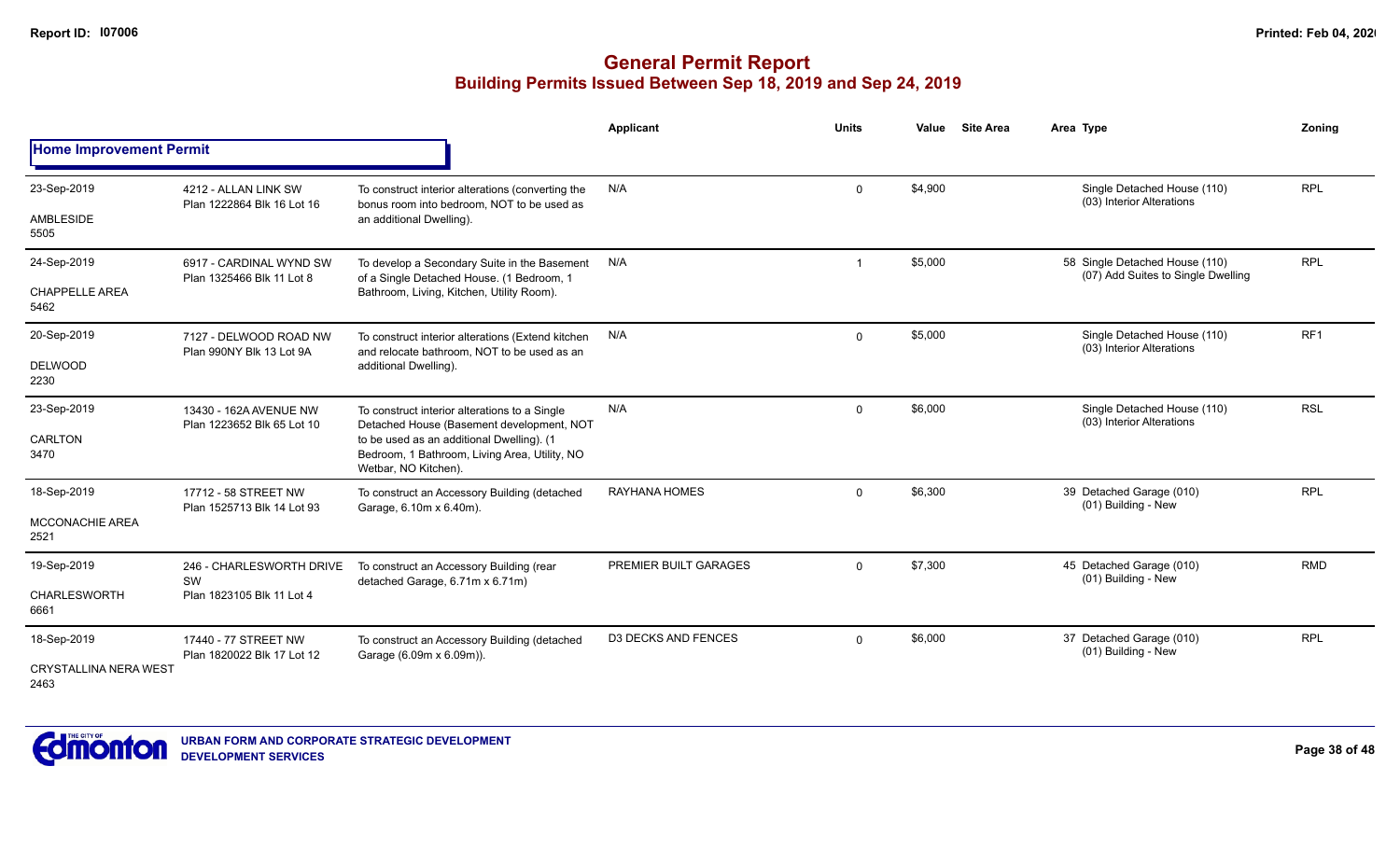|                                      |                                                      |                                                                                                                    | Applicant                  | <b>Units</b> | Value   | <b>Site Area</b> | Area Type                                                            | Zoning          |
|--------------------------------------|------------------------------------------------------|--------------------------------------------------------------------------------------------------------------------|----------------------------|--------------|---------|------------------|----------------------------------------------------------------------|-----------------|
| <b>Home Improvement Permit</b>       |                                                      |                                                                                                                    |                            |              |         |                  |                                                                      |                 |
| 23-Sep-2019                          | 4212 - ALLAN LINK SW<br>Plan 1222864 Blk 16 Lot 16   | To construct interior alterations (converting the<br>bonus room into bedroom, NOT to be used as                    | N/A                        | $\Omega$     | \$4,900 |                  | Single Detached House (110)<br>(03) Interior Alterations             | <b>RPL</b>      |
| <b>AMBLESIDE</b><br>5505             |                                                      | an additional Dwelling).                                                                                           |                            |              |         |                  |                                                                      |                 |
| 24-Sep-2019                          | 6917 - CARDINAL WYND SW<br>Plan 1325466 Blk 11 Lot 8 | To develop a Secondary Suite in the Basement<br>of a Single Detached House. (1 Bedroom, 1                          | N/A                        | -1           | \$5,000 |                  | 58 Single Detached House (110)<br>(07) Add Suites to Single Dwelling | <b>RPL</b>      |
| <b>CHAPPELLE AREA</b><br>5462        |                                                      | Bathroom, Living, Kitchen, Utility Room).                                                                          |                            |              |         |                  |                                                                      |                 |
| 20-Sep-2019                          | 7127 - DELWOOD ROAD NW<br>Plan 990NY Blk 13 Lot 9A   | To construct interior alterations (Extend kitchen<br>and relocate bathroom. NOT to be used as an                   | N/A                        | $\Omega$     | \$5,000 |                  | Single Detached House (110)<br>(03) Interior Alterations             | RF <sub>1</sub> |
| <b>DELWOOD</b><br>2230               |                                                      | additional Dwelling).                                                                                              |                            |              |         |                  |                                                                      |                 |
| 23-Sep-2019                          | 13430 - 162A AVENUE NW                               | To construct interior alterations to a Single<br>Detached House (Basement development, NOT                         | N/A                        | $\Omega$     | \$6,000 |                  | Single Detached House (110)<br>(03) Interior Alterations             | <b>RSL</b>      |
| <b>CARLTON</b><br>3470               | Plan 1223652 Blk 65 Lot 10                           | to be used as an additional Dwelling). (1<br>Bedroom, 1 Bathroom, Living Area, Utility, NO<br>Wetbar, NO Kitchen). |                            |              |         |                  |                                                                      |                 |
| 18-Sep-2019                          | 17712 - 58 STREET NW<br>Plan 1525713 Blk 14 Lot 93   | To construct an Accessory Building (detached<br>Garage, 6.10m x 6.40m).                                            | <b>RAYHANA HOMES</b>       | $\Omega$     | \$6,300 |                  | 39 Detached Garage (010)<br>(01) Building - New                      | <b>RPL</b>      |
| <b>MCCONACHIE AREA</b><br>2521       |                                                      |                                                                                                                    |                            |              |         |                  |                                                                      |                 |
| 19-Sep-2019                          | 246 - CHARLESWORTH DRIVE<br>SW                       | To construct an Accessory Building (rear<br>detached Garage, 6.71m x 6.71m)                                        | PREMIER BUILT GARAGES      | $\Omega$     | \$7,300 |                  | 45 Detached Garage (010)<br>(01) Building - New                      | <b>RMD</b>      |
| CHARLESWORTH<br>6661                 | Plan 1823105 Blk 11 Lot 4                            |                                                                                                                    |                            |              |         |                  |                                                                      |                 |
| 18-Sep-2019                          | 17440 - 77 STREET NW<br>Plan 1820022 Blk 17 Lot 12   | To construct an Accessory Building (detached<br>Garage (6.09m x 6.09m)).                                           | <b>D3 DECKS AND FENCES</b> | $\Omega$     | \$6,000 |                  | 37 Detached Garage (010)<br>(01) Building - New                      | <b>RPL</b>      |
| <b>CRYSTALLINA NERA WEST</b><br>2463 |                                                      |                                                                                                                    |                            |              |         |                  |                                                                      |                 |

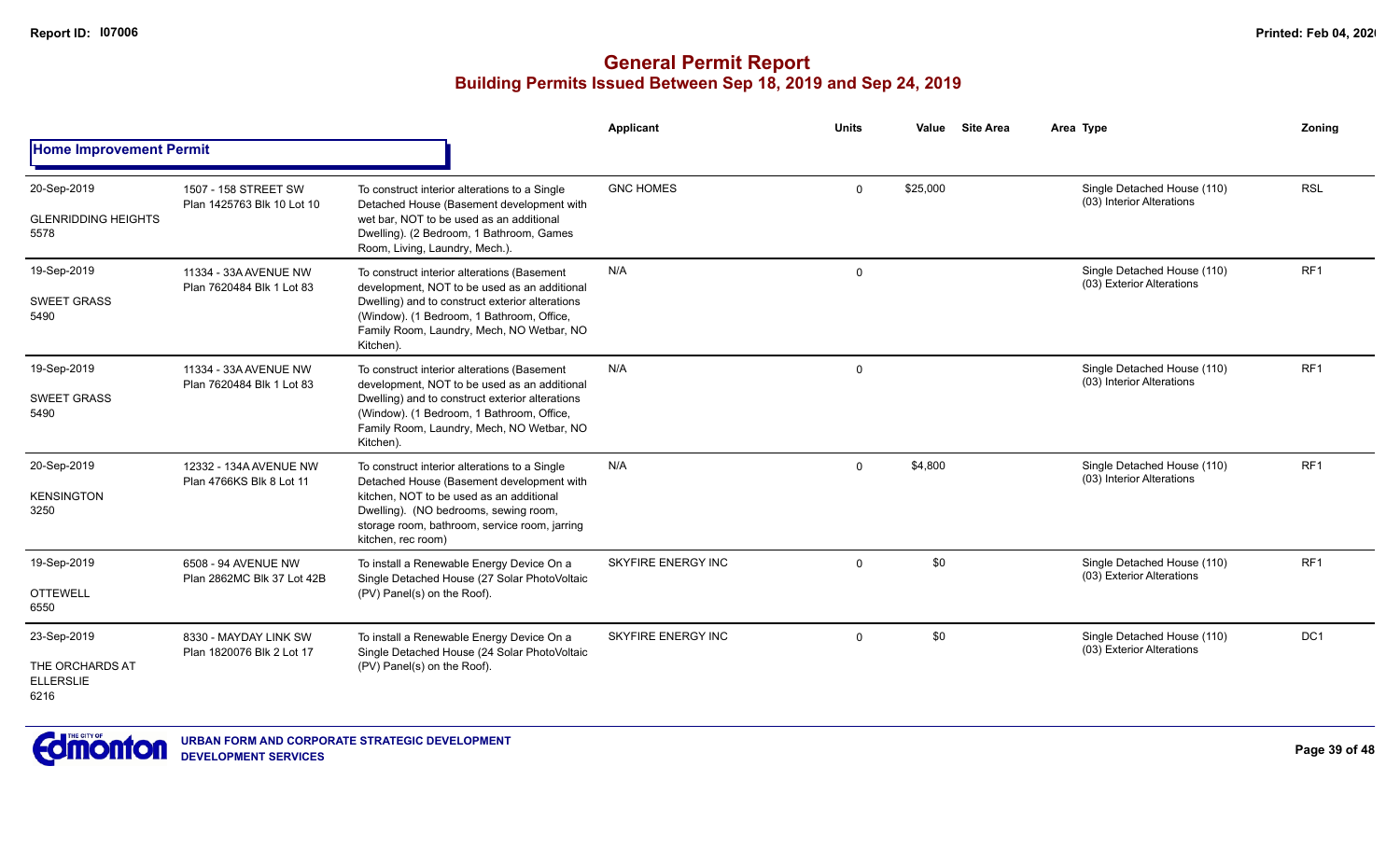|                                                            |                                                    |                                                                                                                                                                                                                                                        | <b>Applicant</b>          | <b>Units</b> | Value    | <b>Site Area</b> | Area Type                                                | Zonina          |
|------------------------------------------------------------|----------------------------------------------------|--------------------------------------------------------------------------------------------------------------------------------------------------------------------------------------------------------------------------------------------------------|---------------------------|--------------|----------|------------------|----------------------------------------------------------|-----------------|
| <b>Home Improvement Permit</b>                             |                                                    |                                                                                                                                                                                                                                                        |                           |              |          |                  |                                                          |                 |
| 20-Sep-2019<br><b>GLENRIDDING HEIGHTS</b><br>5578          | 1507 - 158 STREET SW<br>Plan 1425763 Blk 10 Lot 10 | To construct interior alterations to a Single<br>Detached House (Basement development with<br>wet bar, NOT to be used as an additional<br>Dwelling). (2 Bedroom, 1 Bathroom, Games<br>Room, Living, Laundry, Mech.).                                   | <b>GNC HOMES</b>          | 0            | \$25,000 |                  | Single Detached House (110)<br>(03) Interior Alterations | <b>RSL</b>      |
| 19-Sep-2019<br><b>SWEET GRASS</b><br>5490                  | 11334 - 33A AVENUE NW<br>Plan 7620484 Blk 1 Lot 83 | To construct interior alterations (Basement<br>development, NOT to be used as an additional<br>Dwelling) and to construct exterior alterations<br>(Window). (1 Bedroom, 1 Bathroom, Office,<br>Family Room, Laundry, Mech, NO Wetbar, NO<br>Kitchen).  | N/A                       | 0            |          |                  | Single Detached House (110)<br>(03) Exterior Alterations | RF <sub>1</sub> |
| 19-Sep-2019<br><b>SWEET GRASS</b><br>5490                  | 11334 - 33A AVENUE NW<br>Plan 7620484 Blk 1 Lot 83 | To construct interior alterations (Basement<br>development, NOT to be used as an additional<br>Dwelling) and to construct exterior alterations<br>(Window). (1 Bedroom, 1 Bathroom, Office,<br>Family Room, Laundry, Mech, NO Wetbar, NO<br>Kitchen).  | N/A                       | 0            |          |                  | Single Detached House (110)<br>(03) Interior Alterations | RF <sub>1</sub> |
| 20-Sep-2019<br><b>KENSINGTON</b><br>3250                   | 12332 - 134A AVENUE NW<br>Plan 4766KS Blk 8 Lot 11 | To construct interior alterations to a Single<br>Detached House (Basement development with<br>kitchen. NOT to be used as an additional<br>Dwelling). (NO bedrooms, sewing room,<br>storage room, bathroom, service room, jarring<br>kitchen, rec room) | N/A                       | $\mathbf{0}$ | \$4,800  |                  | Single Detached House (110)<br>(03) Interior Alterations | RF <sub>1</sub> |
| 19-Sep-2019<br><b>OTTEWELL</b><br>6550                     | 6508 - 94 AVENUE NW<br>Plan 2862MC Blk 37 Lot 42B  | To install a Renewable Energy Device On a<br>Single Detached House (27 Solar PhotoVoltaic<br>(PV) Panel(s) on the Roof).                                                                                                                               | <b>SKYFIRE ENERGY INC</b> | $\mathbf{0}$ | \$0      |                  | Single Detached House (110)<br>(03) Exterior Alterations | RF <sub>1</sub> |
| 23-Sep-2019<br>THE ORCHARDS AT<br><b>ELLERSLIE</b><br>6216 | 8330 - MAYDAY LINK SW<br>Plan 1820076 Blk 2 Lot 17 | To install a Renewable Energy Device On a<br>Single Detached House (24 Solar PhotoVoltaic<br>(PV) Panel(s) on the Roof).                                                                                                                               | <b>SKYFIRE ENERGY INC</b> | $\Omega$     | \$0      |                  | Single Detached House (110)<br>(03) Exterior Alterations | DC <sub>1</sub> |

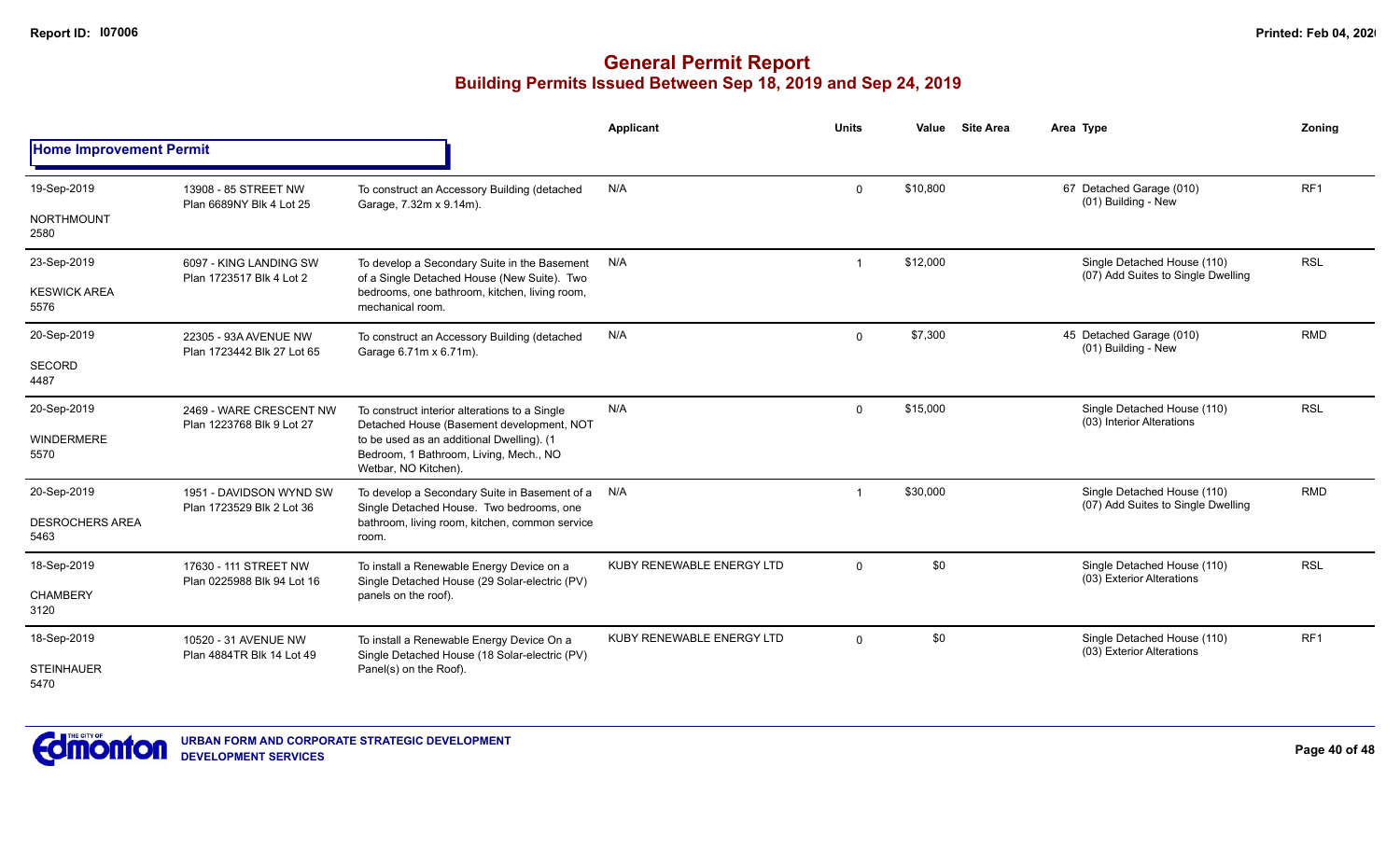|                                |                                                      |                                                                                                             | <b>Applicant</b>          | <b>Units</b>   | Value    | <b>Site Area</b> | Area Type                                                         | Zoning          |
|--------------------------------|------------------------------------------------------|-------------------------------------------------------------------------------------------------------------|---------------------------|----------------|----------|------------------|-------------------------------------------------------------------|-----------------|
| <b>Home Improvement Permit</b> |                                                      |                                                                                                             |                           |                |          |                  |                                                                   |                 |
| 19-Sep-2019                    | 13908 - 85 STREET NW<br>Plan 6689NY Blk 4 Lot 25     | To construct an Accessory Building (detached<br>Garage, 7.32m x 9.14m).                                     | N/A                       | 0              | \$10,800 |                  | 67 Detached Garage (010)<br>(01) Building - New                   | RF <sub>1</sub> |
| <b>NORTHMOUNT</b><br>2580      |                                                      |                                                                                                             |                           |                |          |                  |                                                                   |                 |
| 23-Sep-2019                    | 6097 - KING LANDING SW<br>Plan 1723517 Blk 4 Lot 2   | To develop a Secondary Suite in the Basement<br>of a Single Detached House (New Suite). Two                 | N/A                       | $\overline{1}$ | \$12,000 |                  | Single Detached House (110)<br>(07) Add Suites to Single Dwelling | <b>RSL</b>      |
| <b>KESWICK AREA</b><br>5576    |                                                      | bedrooms, one bathroom, kitchen, living room,<br>mechanical room.                                           |                           |                |          |                  |                                                                   |                 |
| 20-Sep-2019                    | 22305 - 93A AVENUE NW<br>Plan 1723442 Blk 27 Lot 65  | To construct an Accessory Building (detached<br>Garage 6.71m x 6.71m).                                      | N/A                       | $\mathbf{0}$   | \$7,300  |                  | 45 Detached Garage (010)<br>(01) Building - New                   | <b>RMD</b>      |
| <b>SECORD</b><br>4487          |                                                      |                                                                                                             |                           |                |          |                  |                                                                   |                 |
| 20-Sep-2019                    | 2469 - WARE CRESCENT NW                              | To construct interior alterations to a Single<br>Detached House (Basement development, NOT                  | N/A                       | $\mathbf 0$    | \$15,000 |                  | Single Detached House (110)<br>(03) Interior Alterations          | <b>RSL</b>      |
| <b>WINDERMERE</b><br>5570      | Plan 1223768 Blk 9 Lot 27                            | to be used as an additional Dwelling). (1<br>Bedroom, 1 Bathroom, Living, Mech., NO<br>Wetbar, NO Kitchen). |                           |                |          |                  |                                                                   |                 |
| 20-Sep-2019                    | 1951 - DAVIDSON WYND SW<br>Plan 1723529 Blk 2 Lot 36 | To develop a Secondary Suite in Basement of a<br>Single Detached House. Two bedrooms, one                   | N/A                       | $\mathbf 1$    | \$30,000 |                  | Single Detached House (110)<br>(07) Add Suites to Single Dwelling | <b>RMD</b>      |
| <b>DESROCHERS AREA</b><br>5463 |                                                      | bathroom, living room, kitchen, common service<br>room.                                                     |                           |                |          |                  |                                                                   |                 |
| 18-Sep-2019                    | 17630 - 111 STREET NW                                | To install a Renewable Energy Device on a<br>Single Detached House (29 Solar-electric (PV)                  | KUBY RENEWABLE ENERGY LTD | $\mathbf{0}$   | \$0      |                  | Single Detached House (110)<br>(03) Exterior Alterations          | <b>RSL</b>      |
| <b>CHAMBERY</b><br>3120        | Plan 0225988 Blk 94 Lot 16                           | panels on the roof).                                                                                        |                           |                |          |                  |                                                                   |                 |
| 18-Sep-2019                    | 10520 - 31 AVENUE NW<br>Plan 4884TR Blk 14 Lot 49    | To install a Renewable Energy Device On a<br>Single Detached House (18 Solar-electric (PV)                  | KUBY RENEWABLE ENERGY LTD | $\Omega$       | \$0      |                  | Single Detached House (110)<br>(03) Exterior Alterations          | RF <sub>1</sub> |
| <b>STEINHAUER</b><br>5470      |                                                      | Panel(s) on the Roof).                                                                                      |                           |                |          |                  |                                                                   |                 |

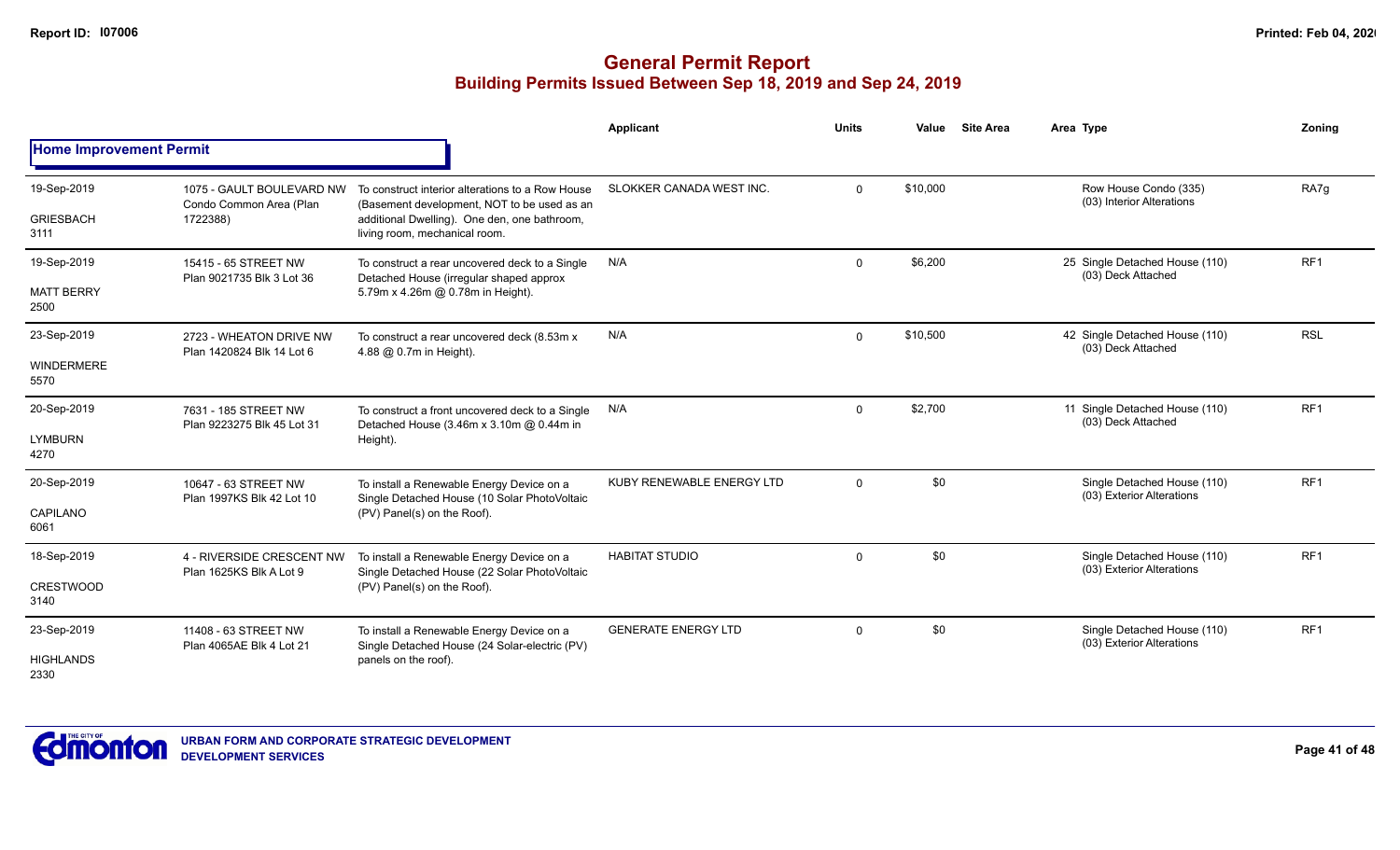|                                          |                                                                  |                                                                                                                                                                                  | <b>Applicant</b>           | <b>Units</b> | Value    | <b>Site Area</b> | Area Type                                                | Zoning          |
|------------------------------------------|------------------------------------------------------------------|----------------------------------------------------------------------------------------------------------------------------------------------------------------------------------|----------------------------|--------------|----------|------------------|----------------------------------------------------------|-----------------|
| <b>Home Improvement Permit</b>           |                                                                  |                                                                                                                                                                                  |                            |              |          |                  |                                                          |                 |
| 19-Sep-2019<br><b>GRIESBACH</b><br>3111  | 1075 - GAULT BOULEVARD NW<br>Condo Common Area (Plan<br>1722388) | To construct interior alterations to a Row House<br>(Basement development, NOT to be used as an<br>additional Dwelling). One den, one bathroom,<br>living room, mechanical room. | SLOKKER CANADA WEST INC.   | $\mathbf{0}$ | \$10,000 |                  | Row House Condo (335)<br>(03) Interior Alterations       | RA7q            |
| 19-Sep-2019<br><b>MATT BERRY</b><br>2500 | 15415 - 65 STREET NW<br>Plan 9021735 Blk 3 Lot 36                | To construct a rear uncovered deck to a Single<br>Detached House (irregular shaped approx<br>5.79m x 4.26m @ 0.78m in Height).                                                   | N/A                        | $\mathbf 0$  | \$6,200  |                  | 25 Single Detached House (110)<br>(03) Deck Attached     | RF1             |
| 23-Sep-2019<br><b>WINDERMERE</b><br>5570 | 2723 - WHEATON DRIVE NW<br>Plan 1420824 Blk 14 Lot 6             | To construct a rear uncovered deck (8.53m x<br>4.88 @ 0.7m in Height).                                                                                                           | N/A                        | $\mathbf 0$  | \$10,500 |                  | 42 Single Detached House (110)<br>(03) Deck Attached     | <b>RSL</b>      |
| 20-Sep-2019<br><b>LYMBURN</b><br>4270    | 7631 - 185 STREET NW<br>Plan 9223275 Blk 45 Lot 31               | To construct a front uncovered deck to a Single<br>Detached House (3.46m x 3.10m @ 0.44m in<br>Height).                                                                          | N/A                        | $\mathbf{0}$ | \$2,700  |                  | 11 Single Detached House (110)<br>(03) Deck Attached     | RF <sub>1</sub> |
| 20-Sep-2019<br>CAPILANO<br>6061          | 10647 - 63 STREET NW<br>Plan 1997KS Blk 42 Lot 10                | To install a Renewable Energy Device on a<br>Single Detached House (10 Solar PhotoVoltaic<br>(PV) Panel(s) on the Roof).                                                         | KUBY RENEWABLE ENERGY LTD  | $\Omega$     | \$0      |                  | Single Detached House (110)<br>(03) Exterior Alterations | RF <sub>1</sub> |
| 18-Sep-2019<br><b>CRESTWOOD</b><br>3140  | 4 - RIVERSIDE CRESCENT NW<br>Plan 1625KS Blk A Lot 9             | To install a Renewable Energy Device on a<br>Single Detached House (22 Solar PhotoVoltaic<br>(PV) Panel(s) on the Roof).                                                         | <b>HABITAT STUDIO</b>      | $\mathbf 0$  | \$0      |                  | Single Detached House (110)<br>(03) Exterior Alterations | RF <sub>1</sub> |
| 23-Sep-2019<br><b>HIGHLANDS</b><br>2330  | 11408 - 63 STREET NW<br>Plan 4065AE Blk 4 Lot 21                 | To install a Renewable Energy Device on a<br>Single Detached House (24 Solar-electric (PV)<br>panels on the roof).                                                               | <b>GENERATE ENERGY LTD</b> | $\mathbf{0}$ | \$0      |                  | Single Detached House (110)<br>(03) Exterior Alterations | RF <sub>1</sub> |

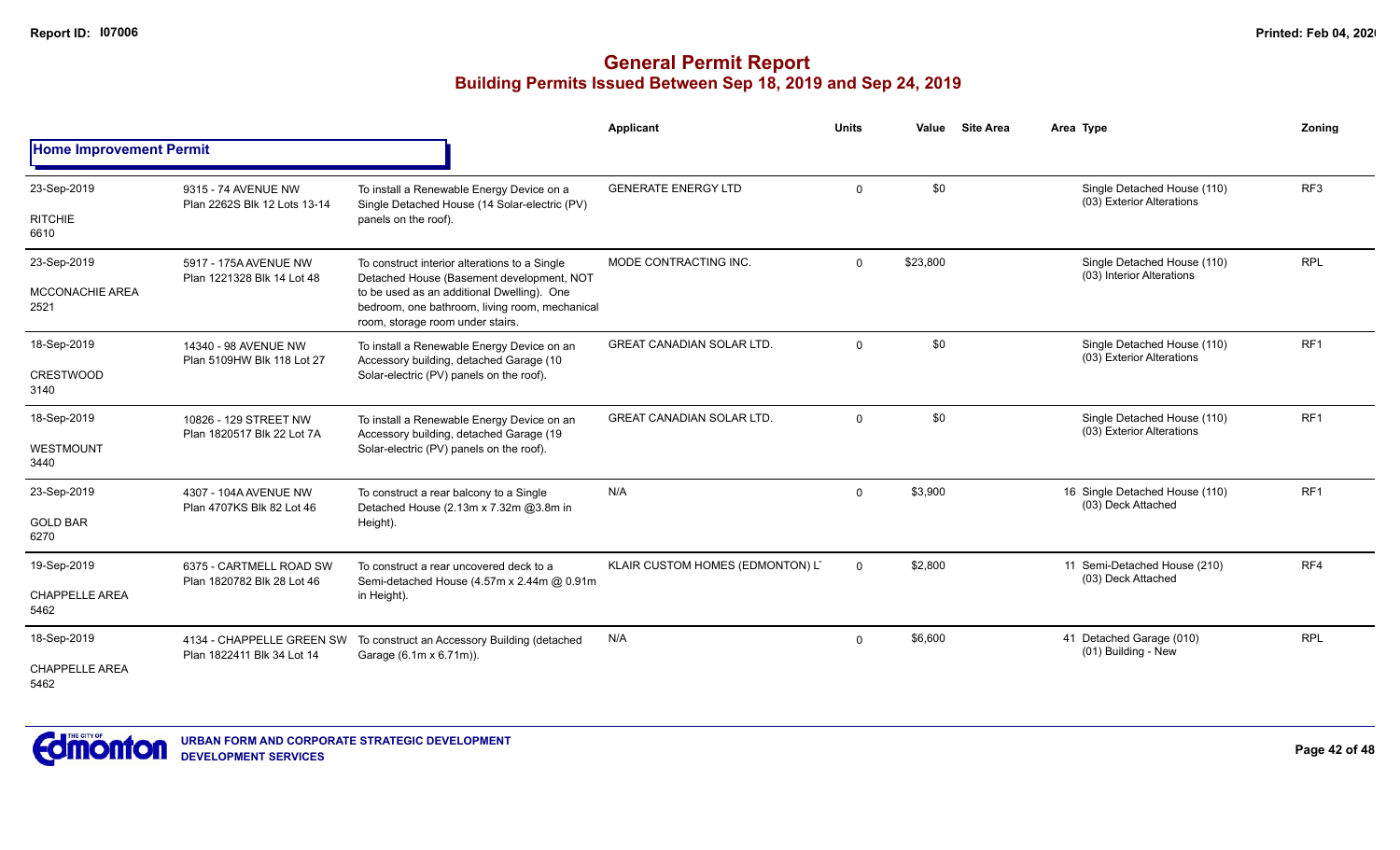|                                |                                                     |                                                                                                                                  | Applicant                        | <b>Units</b> | Value    | <b>Site Area</b> | Area Type                                                | Zoning          |
|--------------------------------|-----------------------------------------------------|----------------------------------------------------------------------------------------------------------------------------------|----------------------------------|--------------|----------|------------------|----------------------------------------------------------|-----------------|
| <b>Home Improvement Permit</b> |                                                     |                                                                                                                                  |                                  |              |          |                  |                                                          |                 |
| 23-Sep-2019                    | 9315 - 74 AVENUE NW<br>Plan 2262S Blk 12 Lots 13-14 | To install a Renewable Energy Device on a<br>Single Detached House (14 Solar-electric (PV)                                       | <b>GENERATE ENERGY LTD</b>       | $\mathbf 0$  | \$0      |                  | Single Detached House (110)<br>(03) Exterior Alterations | RF <sub>3</sub> |
| <b>RITCHIE</b><br>6610         |                                                     | panels on the roof).                                                                                                             |                                  |              |          |                  |                                                          |                 |
| 23-Sep-2019                    | 5917 - 175A AVENUE NW<br>Plan 1221328 Blk 14 Lot 48 | To construct interior alterations to a Single<br>Detached House (Basement development, NOT                                       | MODE CONTRACTING INC.            | $\Omega$     | \$23,800 |                  | Single Detached House (110)<br>(03) Interior Alterations | <b>RPL</b>      |
| <b>MCCONACHIE AREA</b><br>2521 |                                                     | to be used as an additional Dwelling). One<br>bedroom, one bathroom, living room, mechanical<br>room, storage room under stairs. |                                  |              |          |                  |                                                          |                 |
| 18-Sep-2019                    | 14340 - 98 AVENUE NW<br>Plan 5109HW Blk 118 Lot 27  | To install a Renewable Energy Device on an<br>Accessory building, detached Garage (10                                            | <b>GREAT CANADIAN SOLAR LTD.</b> | $\mathbf 0$  | \$0      |                  | Single Detached House (110)<br>(03) Exterior Alterations | RF <sub>1</sub> |
| <b>CRESTWOOD</b><br>3140       |                                                     | Solar-electric (PV) panels on the roof).                                                                                         |                                  |              |          |                  |                                                          |                 |
| 18-Sep-2019                    | 10826 - 129 STREET NW                               | To install a Renewable Energy Device on an<br>Accessory building, detached Garage (19                                            | <b>GREAT CANADIAN SOLAR LTD.</b> | $\Omega$     | \$0      |                  | Single Detached House (110)<br>(03) Exterior Alterations | RF <sub>1</sub> |
| WESTMOUNT<br>3440              | Plan 1820517 Blk 22 Lot 7A                          | Solar-electric (PV) panels on the roof).                                                                                         |                                  |              |          |                  |                                                          |                 |
| 23-Sep-2019                    | 4307 - 104A AVENUE NW<br>Plan 4707KS Blk 82 Lot 46  | To construct a rear balcony to a Single<br>Detached House (2.13m x 7.32m @3.8m in                                                | N/A                              | $\mathbf 0$  | \$3,900  |                  | 16 Single Detached House (110)<br>(03) Deck Attached     | RF <sub>1</sub> |
| <b>GOLD BAR</b><br>6270        |                                                     | Height).                                                                                                                         |                                  |              |          |                  |                                                          |                 |
| 19-Sep-2019                    | 6375 - CARTMELL ROAD SW                             | To construct a rear uncovered deck to a<br>Semi-detached House (4.57m x 2.44m @ 0.91m                                            | KLAIR CUSTOM HOMES (EDMONTON) L' | $\Omega$     | \$2,800  |                  | 11 Semi-Detached House (210)<br>(03) Deck Attached       | RF4             |
| CHAPPELLE AREA<br>5462         | Plan 1820782 Blk 28 Lot 46                          | in Height).                                                                                                                      |                                  |              |          |                  |                                                          |                 |
| 18-Sep-2019                    | Plan 1822411 Blk 34 Lot 14                          | 4134 - CHAPPELLE GREEN SW To construct an Accessory Building (detached<br>Garage (6.1m x 6.71m)).                                | N/A                              | $\Omega$     | \$6,600  |                  | 41 Detached Garage (010)<br>(01) Building - New          | <b>RPL</b>      |
| <b>CHAPPELLE AREA</b><br>5462  |                                                     |                                                                                                                                  |                                  |              |          |                  |                                                          |                 |

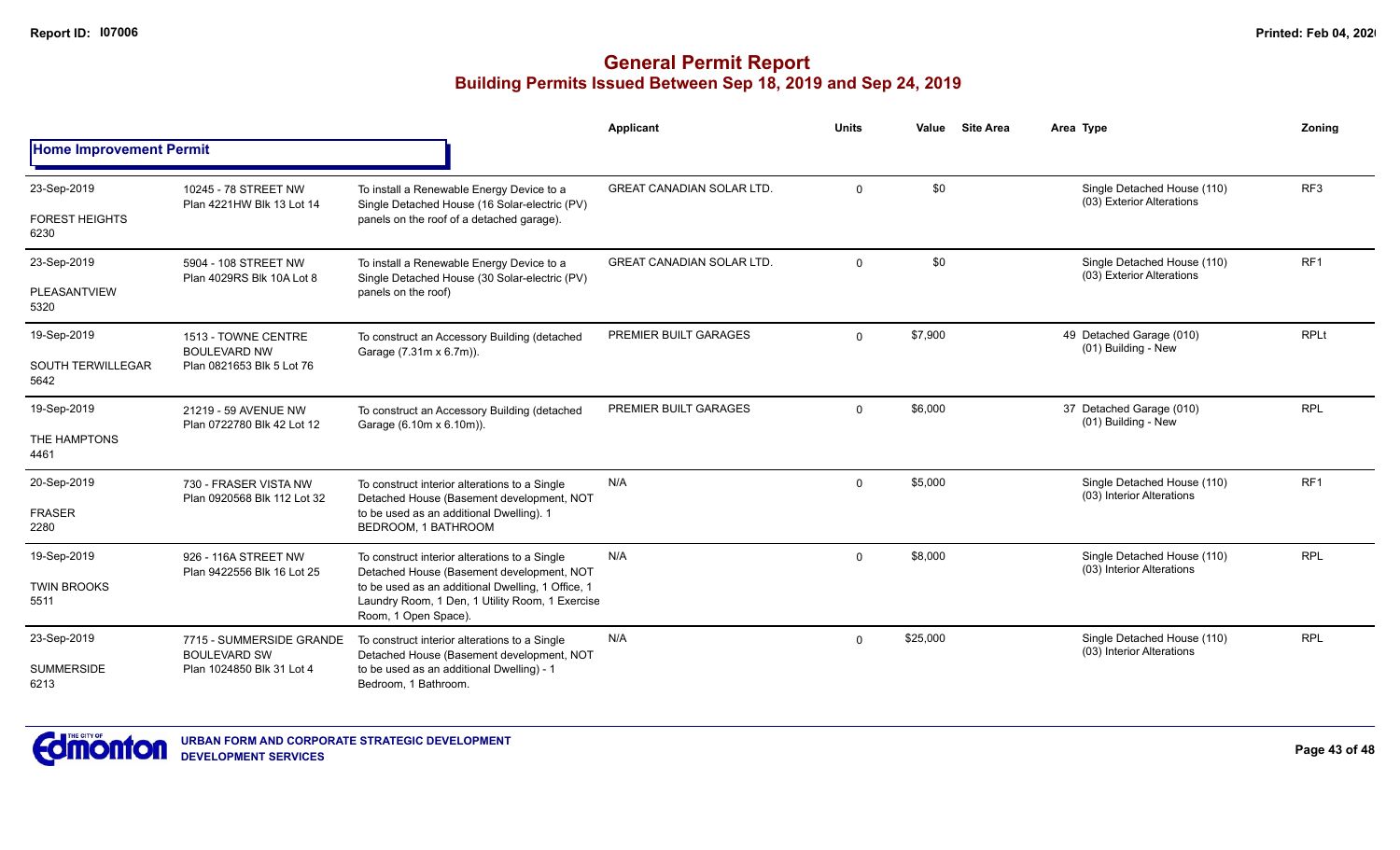|                                  |                                                                                                |                                                                                                                              | Applicant                        | <b>Units</b> | Value    | <b>Site Area</b> | Area Type                                                | Zonina          |
|----------------------------------|------------------------------------------------------------------------------------------------|------------------------------------------------------------------------------------------------------------------------------|----------------------------------|--------------|----------|------------------|----------------------------------------------------------|-----------------|
| <b>Home Improvement Permit</b>   |                                                                                                |                                                                                                                              |                                  |              |          |                  |                                                          |                 |
| 23-Sep-2019                      | 10245 - 78 STREET NW<br>Plan 4221HW Blk 13 Lot 14                                              | To install a Renewable Energy Device to a<br>Single Detached House (16 Solar-electric (PV)                                   | <b>GREAT CANADIAN SOLAR LTD.</b> | $\Omega$     | \$0      |                  | Single Detached House (110)<br>(03) Exterior Alterations | RF <sub>3</sub> |
| <b>FOREST HEIGHTS</b><br>6230    |                                                                                                | panels on the roof of a detached garage).                                                                                    |                                  |              |          |                  |                                                          |                 |
| 23-Sep-2019                      | 5904 - 108 STREET NW<br>Plan 4029RS Blk 10A Lot 8                                              | To install a Renewable Energy Device to a<br>Single Detached House (30 Solar-electric (PV)                                   | <b>GREAT CANADIAN SOLAR LTD.</b> | $\Omega$     | \$0      |                  | Single Detached House (110)<br>(03) Exterior Alterations | RF <sub>1</sub> |
| PLEASANTVIEW<br>5320             |                                                                                                | panels on the roof)                                                                                                          |                                  |              |          |                  |                                                          |                 |
| 19-Sep-2019                      | 1513 - TOWNE CENTRE<br><b>BOULEVARD NW</b>                                                     | To construct an Accessory Building (detached<br>Garage (7.31m x 6.7m)).                                                      | PREMIER BUILT GARAGES            | $\mathbf 0$  | \$7,900  |                  | 49 Detached Garage (010)<br>(01) Building - New          | <b>RPLt</b>     |
| <b>SOUTH TERWILLEGAR</b><br>5642 | Plan 0821653 Blk 5 Lot 76                                                                      |                                                                                                                              |                                  |              |          |                  |                                                          |                 |
| 19-Sep-2019                      | 21219 - 59 AVENUE NW                                                                           | To construct an Accessory Building (detached<br>Garage (6.10m x 6.10m)).                                                     | PREMIER BUILT GARAGES            | $\Omega$     | \$6,000  |                  | 37 Detached Garage (010)<br>(01) Building - New          | <b>RPL</b>      |
| THE HAMPTONS<br>4461             | Plan 0722780 Blk 42 Lot 12                                                                     |                                                                                                                              |                                  |              |          |                  |                                                          |                 |
| 20-Sep-2019                      | 730 - FRASER VISTA NW<br>Plan 0920568 Blk 112 Lot 32                                           | To construct interior alterations to a Single<br>Detached House (Basement development, NOT                                   | N/A                              | $\Omega$     | \$5,000  |                  | Single Detached House (110)<br>(03) Interior Alterations | RF <sub>1</sub> |
| <b>FRASER</b><br>2280            |                                                                                                | to be used as an additional Dwelling). 1<br>BEDROOM, 1 BATHROOM                                                              |                                  |              |          |                  |                                                          |                 |
| 19-Sep-2019                      | 926 - 116A STREET NW                                                                           | To construct interior alterations to a Single<br>Detached House (Basement development, NOT                                   | N/A                              | $\Omega$     | \$8,000  |                  | Single Detached House (110)<br>(03) Interior Alterations | <b>RPL</b>      |
| <b>TWIN BROOKS</b><br>5511       | Plan 9422556 Blk 16 Lot 25                                                                     | to be used as an additional Dwelling, 1 Office, 1<br>Laundry Room, 1 Den, 1 Utility Room, 1 Exercise<br>Room, 1 Open Space). |                                  |              |          |                  |                                                          |                 |
| 23-Sep-2019                      | 7715 - SUMMERSIDE GRANDE<br><b>BOULEVARD SW</b>                                                | To construct interior alterations to a Single<br>Detached House (Basement development, NOT                                   | N/A                              | $\Omega$     | \$25,000 |                  | Single Detached House (110)<br>(03) Interior Alterations | <b>RPL</b>      |
| <b>SUMMERSIDE</b><br>6213        | to be used as an additional Dwelling) - 1<br>Plan 1024850 Blk 31 Lot 4<br>Bedroom, 1 Bathroom. |                                                                                                                              |                                  |              |          |                  |                                                          |                 |

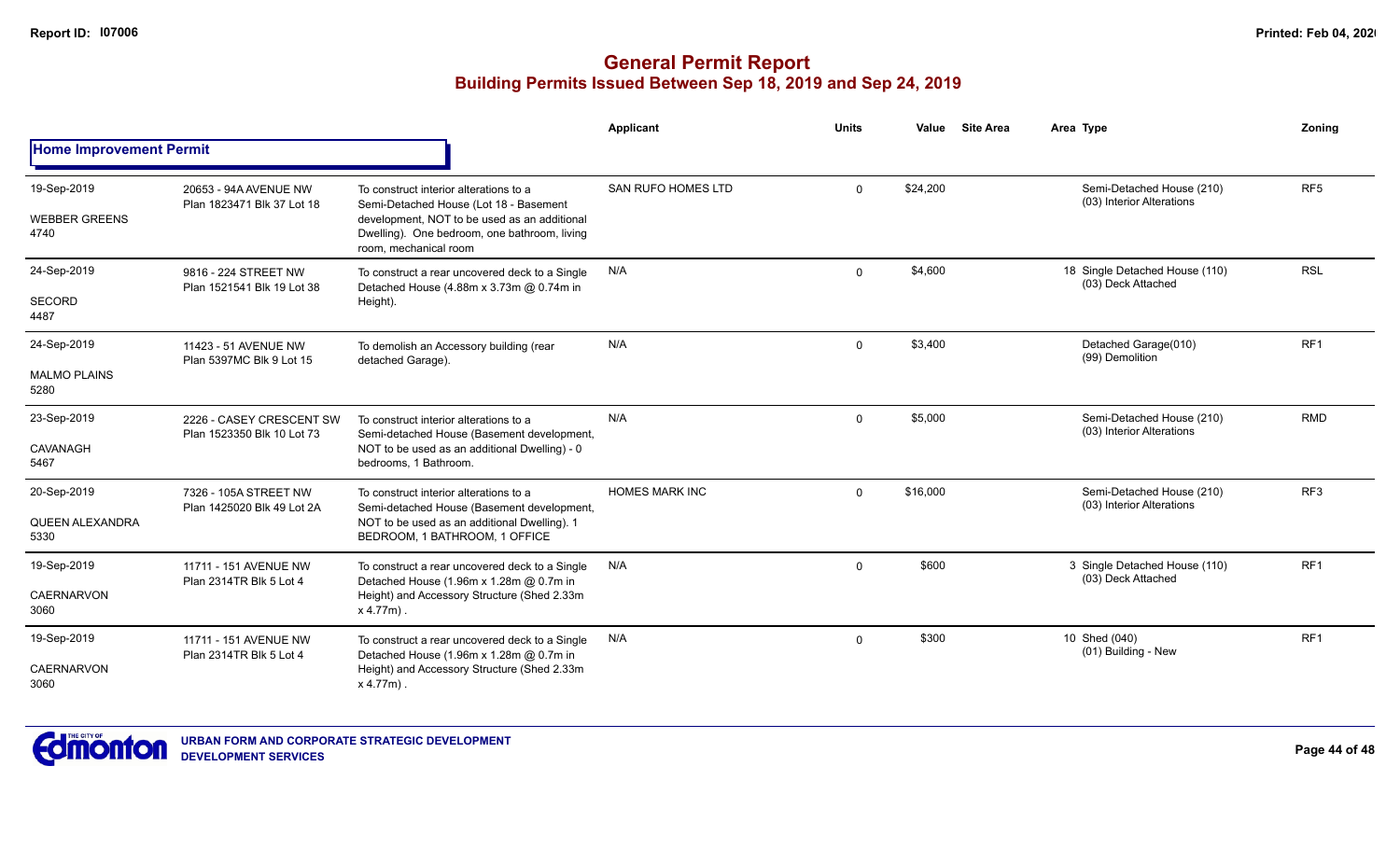#### **General Permit Report Building Permits Issued Between Sep 18, 2019 and Sep 24, 2019**

|                                               |                                                        |                                                                                                                                                                                                           | Applicant                 | <b>Units</b> | Value    | <b>Site Area</b> | Area Type                                              | Zoning          |
|-----------------------------------------------|--------------------------------------------------------|-----------------------------------------------------------------------------------------------------------------------------------------------------------------------------------------------------------|---------------------------|--------------|----------|------------------|--------------------------------------------------------|-----------------|
| <b>Home Improvement Permit</b>                |                                                        |                                                                                                                                                                                                           |                           |              |          |                  |                                                        |                 |
| 19-Sep-2019<br><b>WEBBER GREENS</b><br>4740   | 20653 - 94A AVENUE NW<br>Plan 1823471 Blk 37 Lot 18    | To construct interior alterations to a<br>Semi-Detached House (Lot 18 - Basement<br>development, NOT to be used as an additional<br>Dwelling). One bedroom, one bathroom, living<br>room, mechanical room | <b>SAN RUFO HOMES LTD</b> | $\Omega$     | \$24,200 |                  | Semi-Detached House (210)<br>(03) Interior Alterations | RF <sub>5</sub> |
| 24-Sep-2019<br>SECORD<br>4487                 | 9816 - 224 STREET NW<br>Plan 1521541 Blk 19 Lot 38     | To construct a rear uncovered deck to a Single<br>Detached House (4.88m x 3.73m @ 0.74m in<br>Height).                                                                                                    | N/A                       | $\Omega$     | \$4,600  |                  | 18 Single Detached House (110)<br>(03) Deck Attached   | <b>RSL</b>      |
| 24-Sep-2019<br><b>MALMO PLAINS</b><br>5280    | 11423 - 51 AVENUE NW<br>Plan 5397MC Blk 9 Lot 15       | To demolish an Accessory building (rear<br>detached Garage).                                                                                                                                              | N/A                       | $\Omega$     | \$3,400  |                  | Detached Garage(010)<br>(99) Demolition                | RF <sub>1</sub> |
| 23-Sep-2019<br>CAVANAGH<br>5467               | 2226 - CASEY CRESCENT SW<br>Plan 1523350 Blk 10 Lot 73 | To construct interior alterations to a<br>Semi-detached House (Basement development,<br>NOT to be used as an additional Dwelling) - 0<br>bedrooms. 1 Bathroom.                                            | N/A                       | $\Omega$     | \$5,000  |                  | Semi-Detached House (210)<br>(03) Interior Alterations | <b>RMD</b>      |
| 20-Sep-2019<br><b>QUEEN ALEXANDRA</b><br>5330 | 7326 - 105A STREET NW<br>Plan 1425020 Blk 49 Lot 2A    | To construct interior alterations to a<br>Semi-detached House (Basement development,<br>NOT to be used as an additional Dwelling). 1<br>BEDROOM, 1 BATHROOM, 1 OFFICE                                     | <b>HOMES MARK INC</b>     | $\Omega$     | \$16,000 |                  | Semi-Detached House (210)<br>(03) Interior Alterations | RF3             |
| 19-Sep-2019<br><b>CAERNARVON</b><br>3060      | 11711 - 151 AVENUE NW<br>Plan 2314TR Blk 5 Lot 4       | To construct a rear uncovered deck to a Single<br>Detached House (1.96m x 1.28m @ 0.7m in<br>Height) and Accessory Structure (Shed 2.33m<br>$x 4.77m$ .                                                   | N/A                       | $\Omega$     | \$600    |                  | 3 Single Detached House (110)<br>(03) Deck Attached    | RF1             |
| 19-Sep-2019<br><b>CAERNARVON</b><br>3060      | 11711 - 151 AVENUE NW<br>Plan 2314TR Blk 5 Lot 4       | To construct a rear uncovered deck to a Single<br>Detached House (1.96m x 1.28m @ 0.7m in<br>Height) and Accessory Structure (Shed 2.33m<br>$x 4.77m$ .                                                   | N/A                       | $\Omega$     | \$300    |                  | 10 Shed (040)<br>(01) Building - New                   | RF1             |



**Page 44 of 48**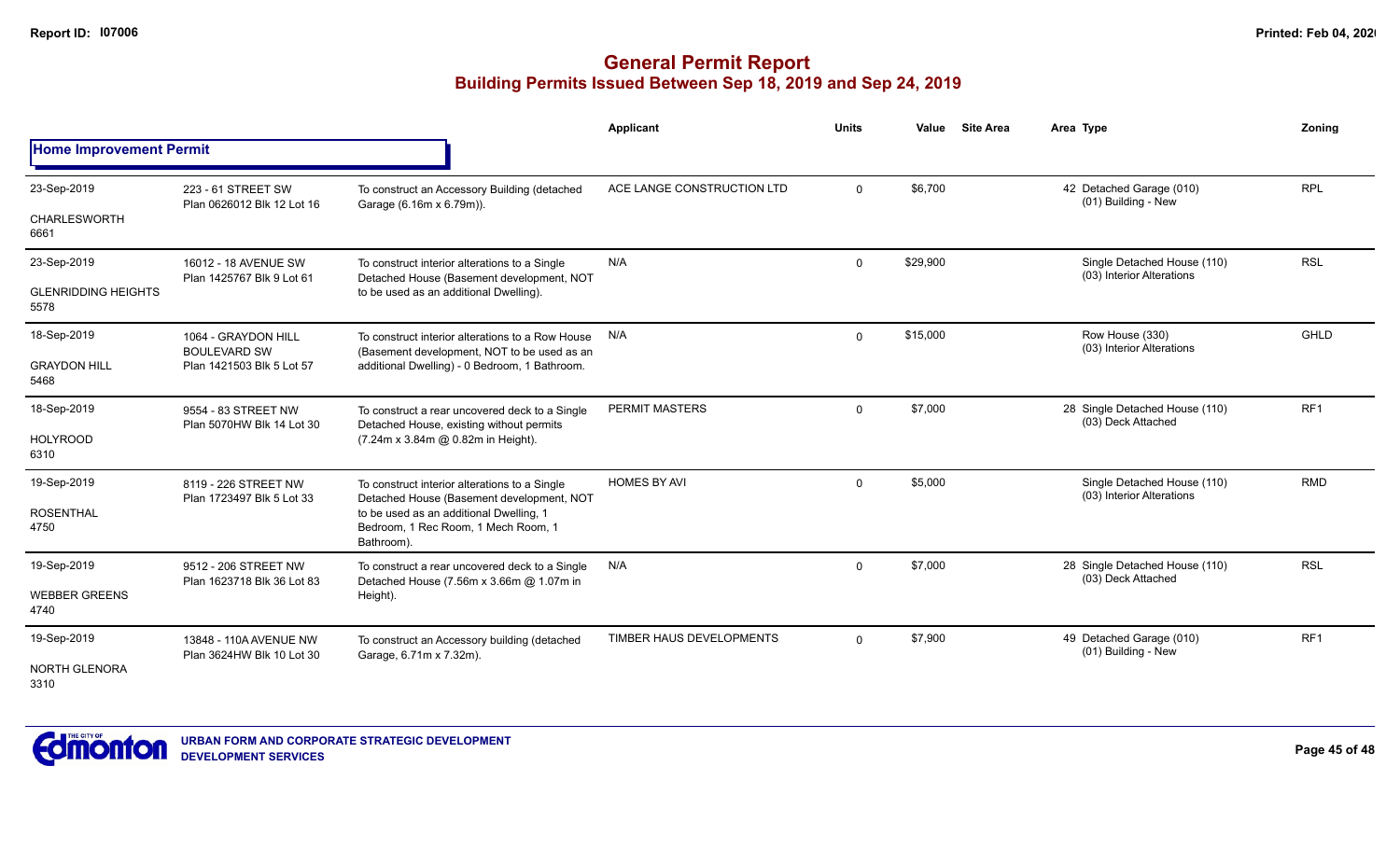|                                                   |                                                                         |                                                                                                                                                                                            | <b>Applicant</b>           | <b>Units</b> | Value    | <b>Site Area</b> | Area Type                                                | Zoning          |
|---------------------------------------------------|-------------------------------------------------------------------------|--------------------------------------------------------------------------------------------------------------------------------------------------------------------------------------------|----------------------------|--------------|----------|------------------|----------------------------------------------------------|-----------------|
| <b>Home Improvement Permit</b>                    |                                                                         |                                                                                                                                                                                            |                            |              |          |                  |                                                          |                 |
| 23-Sep-2019<br><b>CHARLESWORTH</b>                | 223 - 61 STREET SW<br>Plan 0626012 Blk 12 Lot 16                        | To construct an Accessory Building (detached<br>Garage (6.16m x 6.79m)).                                                                                                                   | ACE LANGE CONSTRUCTION LTD | $\Omega$     | \$6,700  |                  | 42 Detached Garage (010)<br>(01) Building - New          | <b>RPL</b>      |
| 6661                                              |                                                                         |                                                                                                                                                                                            |                            |              |          |                  |                                                          |                 |
| 23-Sep-2019<br><b>GLENRIDDING HEIGHTS</b><br>5578 | 16012 - 18 AVENUE SW<br>Plan 1425767 Blk 9 Lot 61                       | To construct interior alterations to a Single<br>Detached House (Basement development, NOT<br>to be used as an additional Dwelling).                                                       | N/A                        | $\mathbf 0$  | \$29,900 |                  | Single Detached House (110)<br>(03) Interior Alterations | <b>RSL</b>      |
| 18-Sep-2019<br><b>GRAYDON HILL</b><br>5468        | 1064 - GRAYDON HILL<br><b>BOULEVARD SW</b><br>Plan 1421503 Blk 5 Lot 57 | To construct interior alterations to a Row House<br>(Basement development, NOT to be used as an<br>additional Dwelling) - 0 Bedroom, 1 Bathroom.                                           | N/A                        | $\mathbf{0}$ | \$15,000 |                  | Row House (330)<br>(03) Interior Alterations             | GHLD            |
| 18-Sep-2019<br><b>HOLYROOD</b><br>6310            | 9554 - 83 STREET NW<br>Plan 5070HW Blk 14 Lot 30                        | To construct a rear uncovered deck to a Single<br>Detached House, existing without permits<br>(7.24m x 3.84m @ 0.82m in Height).                                                           | PERMIT MASTERS             | $\Omega$     | \$7,000  |                  | 28 Single Detached House (110)<br>(03) Deck Attached     | RF <sub>1</sub> |
| 19-Sep-2019<br><b>ROSENTHAL</b><br>4750           | 8119 - 226 STREET NW<br>Plan 1723497 Blk 5 Lot 33                       | To construct interior alterations to a Single<br>Detached House (Basement development, NOT<br>to be used as an additional Dwelling, 1<br>Bedroom, 1 Rec Room, 1 Mech Room, 1<br>Bathroom). | <b>HOMES BY AVI</b>        | $\mathbf 0$  | \$5,000  |                  | Single Detached House (110)<br>(03) Interior Alterations | <b>RMD</b>      |
| 19-Sep-2019<br><b>WEBBER GREENS</b><br>4740       | 9512 - 206 STREET NW<br>Plan 1623718 Blk 36 Lot 83                      | To construct a rear uncovered deck to a Single<br>Detached House (7.56m x 3.66m @ 1.07m in<br>Height).                                                                                     | N/A                        | $\mathbf 0$  | \$7,000  |                  | 28 Single Detached House (110)<br>(03) Deck Attached     | <b>RSL</b>      |
| 19-Sep-2019<br>NORTH GLENORA<br>3310              | 13848 - 110A AVENUE NW<br>Plan 3624HW Blk 10 Lot 30                     | To construct an Accessory building (detached<br>Garage, 6.71m x 7.32m).                                                                                                                    | TIMBER HAUS DEVELOPMENTS   | $\Omega$     | \$7,900  |                  | 49 Detached Garage (010)<br>(01) Building - New          | RF <sub>1</sub> |

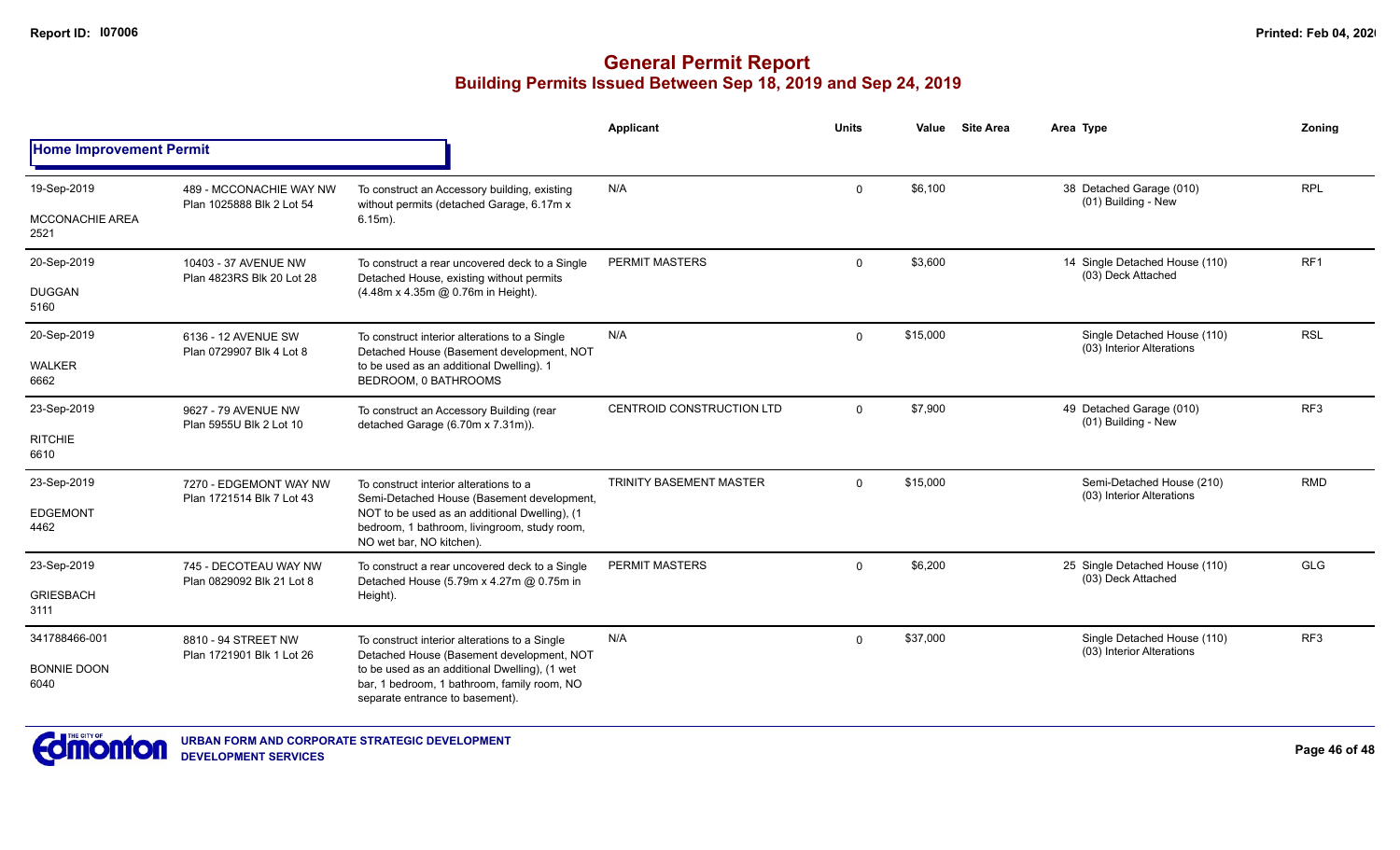|                                |                                                      |                                                                                                                                 | Applicant                      | Units        | Value    | <b>Site Area</b> | Area Type                                                | Zoning          |
|--------------------------------|------------------------------------------------------|---------------------------------------------------------------------------------------------------------------------------------|--------------------------------|--------------|----------|------------------|----------------------------------------------------------|-----------------|
| <b>Home Improvement Permit</b> |                                                      |                                                                                                                                 |                                |              |          |                  |                                                          |                 |
| 19-Sep-2019                    | 489 - MCCONACHIE WAY NW<br>Plan 1025888 Blk 2 Lot 54 | To construct an Accessory building, existing                                                                                    | N/A                            | 0            | \$6,100  |                  | 38 Detached Garage (010)<br>(01) Building - New          | <b>RPL</b>      |
| <b>MCCONACHIE AREA</b><br>2521 |                                                      | without permits (detached Garage, 6.17m x<br>$6.15m$ ).                                                                         |                                |              |          |                  |                                                          |                 |
| 20-Sep-2019                    | 10403 - 37 AVENUE NW<br>Plan 4823RS Blk 20 Lot 28    | To construct a rear uncovered deck to a Single<br>Detached House, existing without permits                                      | <b>PERMIT MASTERS</b>          | $\Omega$     | \$3,600  |                  | 14 Single Detached House (110)<br>(03) Deck Attached     | RF <sub>1</sub> |
| <b>DUGGAN</b><br>5160          |                                                      | (4.48m x 4.35m @ 0.76m in Height).                                                                                              |                                |              |          |                  |                                                          |                 |
| 20-Sep-2019                    | 6136 - 12 AVENUE SW<br>Plan 0729907 Blk 4 Lot 8      | To construct interior alterations to a Single<br>Detached House (Basement development, NOT                                      | N/A                            | $\mathbf{0}$ | \$15,000 |                  | Single Detached House (110)<br>(03) Interior Alterations | <b>RSL</b>      |
| <b>WALKER</b><br>6662          |                                                      | to be used as an additional Dwelling). 1<br>BEDROOM, 0 BATHROOMS                                                                |                                |              |          |                  |                                                          |                 |
| 23-Sep-2019                    | 9627 - 79 AVENUE NW<br>Plan 5955U Blk 2 Lot 10       | To construct an Accessory Building (rear<br>detached Garage (6.70m x 7.31m)).                                                   | CENTROID CONSTRUCTION LTD      | $\mathbf{0}$ | \$7,900  |                  | 49 Detached Garage (010)<br>(01) Building - New          | RF <sub>3</sub> |
| <b>RITCHIE</b><br>6610         |                                                      |                                                                                                                                 |                                |              |          |                  |                                                          |                 |
| 23-Sep-2019                    | 7270 - EDGEMONT WAY NW<br>Plan 1721514 Blk 7 Lot 43  | To construct interior alterations to a<br>Semi-Detached House (Basement development,                                            | <b>TRINITY BASEMENT MASTER</b> | $\Omega$     | \$15,000 |                  | Semi-Detached House (210)<br>(03) Interior Alterations   | <b>RMD</b>      |
| <b>EDGEMONT</b><br>4462        |                                                      | NOT to be used as an additional Dwelling), (1<br>bedroom, 1 bathroom, livingroom, study room,<br>NO wet bar, NO kitchen).       |                                |              |          |                  |                                                          |                 |
| 23-Sep-2019                    | 745 - DECOTEAU WAY NW                                | To construct a rear uncovered deck to a Single<br>Detached House (5.79m x 4.27m @ 0.75m in                                      | <b>PERMIT MASTERS</b>          | $\Omega$     | \$6.200  |                  | 25 Single Detached House (110)<br>(03) Deck Attached     | <b>GLG</b>      |
| <b>GRIESBACH</b><br>3111       | Plan 0829092 Blk 21 Lot 8                            | Height).                                                                                                                        |                                |              |          |                  |                                                          |                 |
| 341788466-001                  | 8810 - 94 STREET NW                                  | To construct interior alterations to a Single<br>Detached House (Basement development, NOT                                      | N/A                            | $\Omega$     | \$37,000 |                  | Single Detached House (110)<br>(03) Interior Alterations | RF <sub>3</sub> |
| <b>BONNIE DOON</b><br>6040     | Plan 1721901 Blk 1 Lot 26                            | to be used as an additional Dwelling), (1 wet<br>bar, 1 bedroom, 1 bathroom, family room, NO<br>separate entrance to basement). |                                |              |          |                  |                                                          |                 |

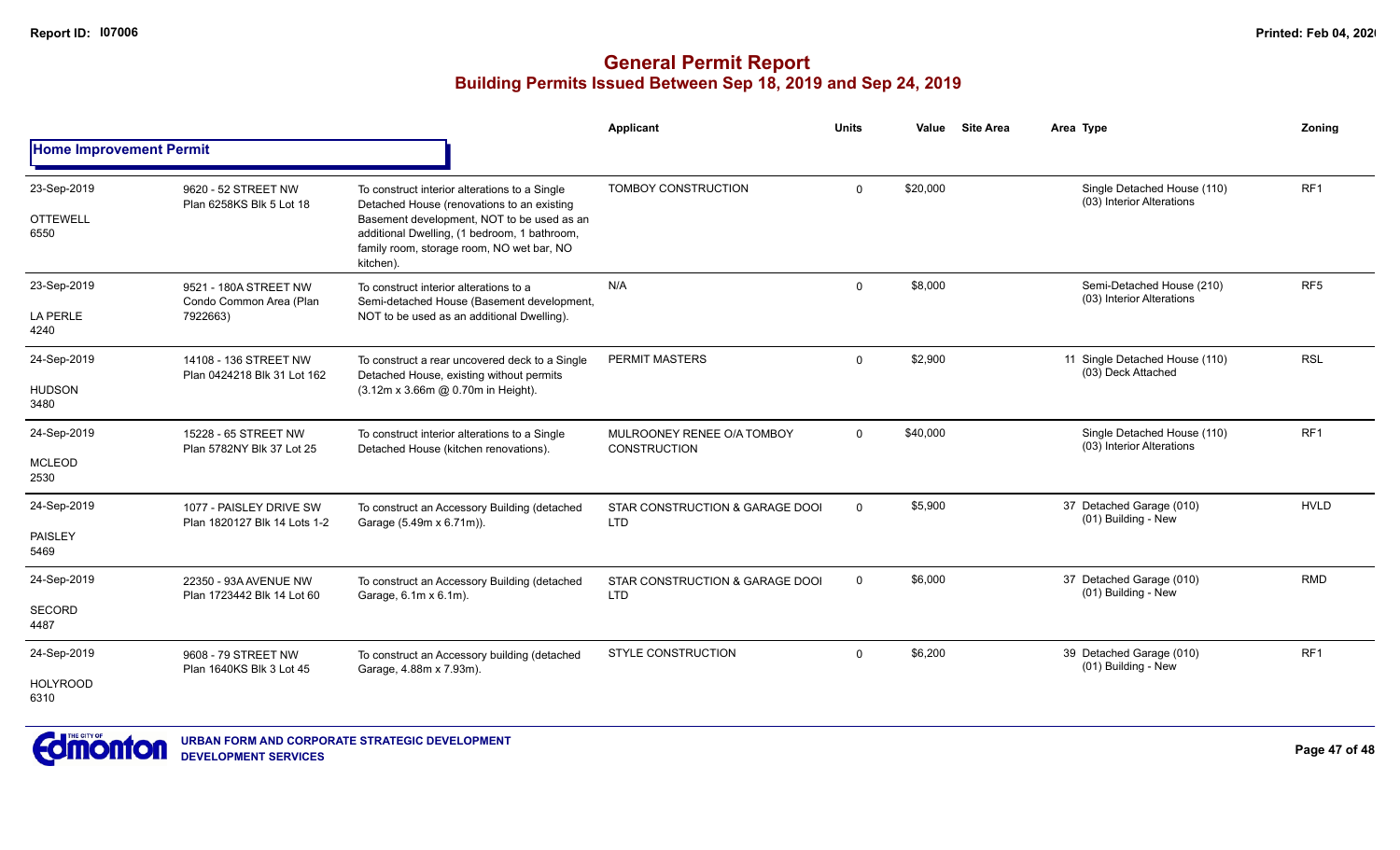|                                |                                                         |                                                                                                                                                      | Applicant                                         | <b>Units</b> | Value    | <b>Site Area</b> | Area Type                                                | Zonina          |
|--------------------------------|---------------------------------------------------------|------------------------------------------------------------------------------------------------------------------------------------------------------|---------------------------------------------------|--------------|----------|------------------|----------------------------------------------------------|-----------------|
| <b>Home Improvement Permit</b> |                                                         |                                                                                                                                                      |                                                   |              |          |                  |                                                          |                 |
| 23-Sep-2019                    | 9620 - 52 STREET NW<br>Plan 6258KS Blk 5 Lot 18         | To construct interior alterations to a Single<br>Detached House (renovations to an existing                                                          | TOMBOY CONSTRUCTION                               | $\mathbf 0$  | \$20,000 |                  | Single Detached House (110)<br>(03) Interior Alterations | RF <sub>1</sub> |
| <b>OTTEWELL</b><br>6550        |                                                         | Basement development, NOT to be used as an<br>additional Dwelling, (1 bedroom, 1 bathroom,<br>family room, storage room, NO wet bar, NO<br>kitchen). |                                                   |              |          |                  |                                                          |                 |
| 23-Sep-2019                    | 9521 - 180A STREET NW<br>Condo Common Area (Plan        | To construct interior alterations to a<br>Semi-detached House (Basement development,                                                                 | N/A                                               | $\Omega$     | \$8,000  |                  | Semi-Detached House (210)<br>(03) Interior Alterations   | RF <sub>5</sub> |
| <b>LA PERLE</b><br>4240        | 7922663)                                                | NOT to be used as an additional Dwelling).                                                                                                           |                                                   |              |          |                  |                                                          |                 |
| 24-Sep-2019                    | 14108 - 136 STREET NW<br>Plan 0424218 Blk 31 Lot 162    | To construct a rear uncovered deck to a Single<br>Detached House, existing without permits                                                           | PERMIT MASTERS                                    | $\Omega$     | \$2,900  |                  | 11 Single Detached House (110)<br>(03) Deck Attached     | <b>RSL</b>      |
| <b>HUDSON</b><br>3480          |                                                         | (3.12m x 3.66m @ 0.70m in Height).                                                                                                                   |                                                   |              |          |                  |                                                          |                 |
| 24-Sep-2019                    | 15228 - 65 STREET NW                                    | To construct interior alterations to a Single<br>Detached House (kitchen renovations).                                                               | MULROONEY RENEE O/A TOMBOY<br><b>CONSTRUCTION</b> | $\mathbf{0}$ | \$40,000 |                  | Single Detached House (110)<br>(03) Interior Alterations | RF <sub>1</sub> |
| <b>MCLEOD</b><br>2530          | Plan 5782NY Blk 37 Lot 25                               |                                                                                                                                                      |                                                   |              |          |                  |                                                          |                 |
| 24-Sep-2019                    | 1077 - PAISLEY DRIVE SW<br>Plan 1820127 Blk 14 Lots 1-2 | To construct an Accessory Building (detached<br>Garage (5.49m x 6.71m)).                                                                             | STAR CONSTRUCTION & GARAGE DOOI<br><b>LTD</b>     | $\mathbf{0}$ | \$5,900  |                  | 37 Detached Garage (010)<br>(01) Building - New          | <b>HVLD</b>     |
| <b>PAISLEY</b><br>5469         |                                                         |                                                                                                                                                      |                                                   |              |          |                  |                                                          |                 |
| 24-Sep-2019                    | 22350 - 93A AVENUE NW                                   | To construct an Accessory Building (detached<br>Garage, 6.1m x 6.1m).                                                                                | STAR CONSTRUCTION & GARAGE DOOI<br><b>LTD</b>     | $\mathbf{0}$ | \$6,000  |                  | 37 Detached Garage (010)<br>(01) Building - New          | <b>RMD</b>      |
| <b>SECORD</b><br>4487          | Plan 1723442 Blk 14 Lot 60                              |                                                                                                                                                      |                                                   |              |          |                  |                                                          |                 |
| 24-Sep-2019                    | 9608 - 79 STREET NW<br>Plan 1640KS Blk 3 Lot 45         | To construct an Accessory building (detached<br>Garage, 4.88m x 7.93m).                                                                              | <b>STYLE CONSTRUCTION</b>                         | $\Omega$     | \$6,200  |                  | 39 Detached Garage (010)<br>(01) Building - New          | RF <sub>1</sub> |
| <b>HOLYROOD</b><br>6310        |                                                         |                                                                                                                                                      |                                                   |              |          |                  |                                                          |                 |